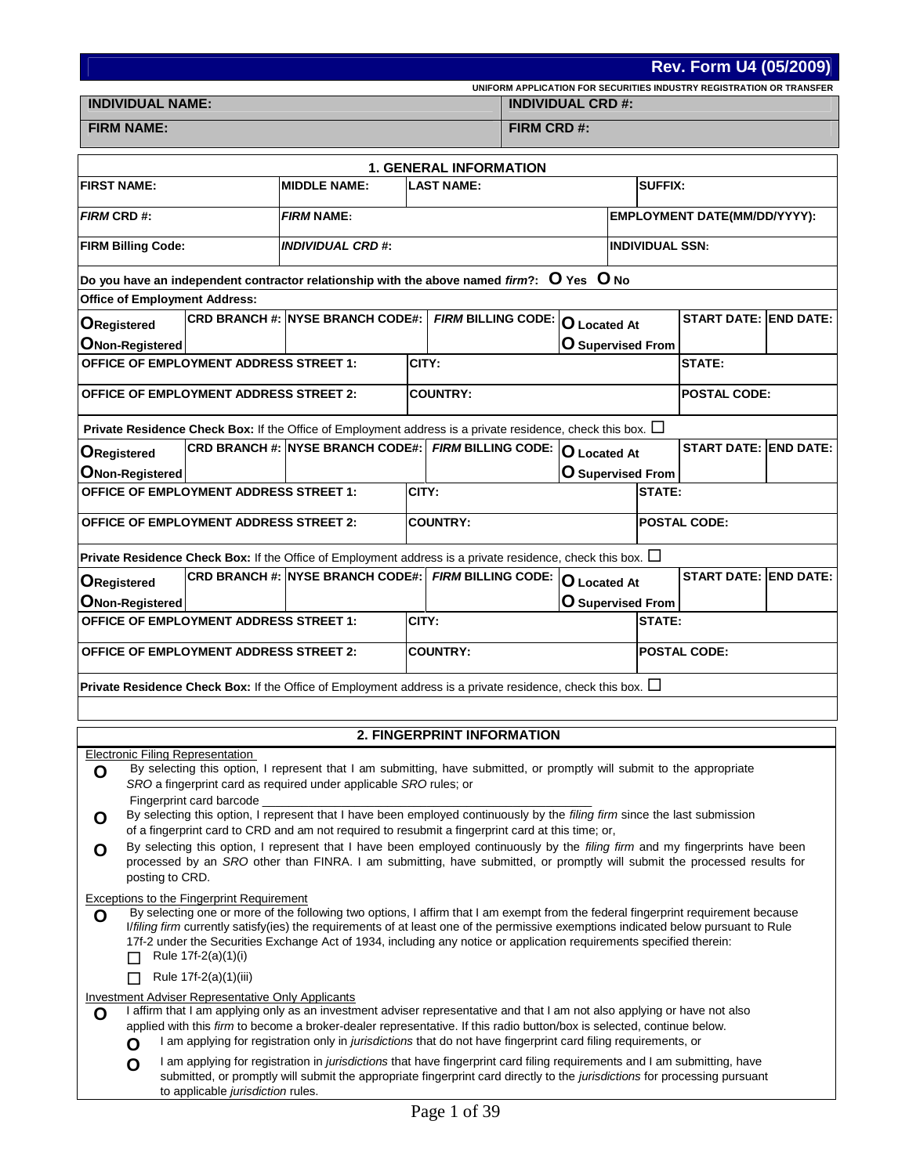**Rev. Form U4 (05/2009)**

| <b>INDIVIDUAL NAME:</b> | <b>INDIVIDUAL CRD #:</b> |
|-------------------------|--------------------------|

**UNIFORM APPLICATION FOR SECURITIES INDUSTRY REGISTRATION OR TRANSFER**

**FIRM NAME: FIRM CRD #:**

|                                                                                                                                                                                                                                                     |                                   |                                                                   | <b>1. GENERAL INFORMATION</b>                                                                                                                                                                                                                                            |                     |                          |                              |  |  |  |  |
|-----------------------------------------------------------------------------------------------------------------------------------------------------------------------------------------------------------------------------------------------------|-----------------------------------|-------------------------------------------------------------------|--------------------------------------------------------------------------------------------------------------------------------------------------------------------------------------------------------------------------------------------------------------------------|---------------------|--------------------------|------------------------------|--|--|--|--|
| <b>FIRST NAME:</b>                                                                                                                                                                                                                                  |                                   | <b>MIDDLE NAME:</b>                                               | <b>LAST NAME:</b>                                                                                                                                                                                                                                                        |                     |                          | <b>SUFFIX:</b>               |  |  |  |  |
| <b>FIRM CRD#:</b>                                                                                                                                                                                                                                   |                                   | <b>FIRM NAME:</b>                                                 |                                                                                                                                                                                                                                                                          |                     |                          | EMPLOYMENT DATE(MM/DD/YYYY): |  |  |  |  |
| <b>FIRM Billing Code:</b>                                                                                                                                                                                                                           |                                   | INDIVIDUAL CRD #:                                                 |                                                                                                                                                                                                                                                                          |                     | <b>INDIVIDUAL SSN:</b>   |                              |  |  |  |  |
|                                                                                                                                                                                                                                                     |                                   |                                                                   | Do you have an independent contractor relationship with the above named firm?: $O$ Yes $O$ No                                                                                                                                                                            |                     |                          |                              |  |  |  |  |
| <b>Office of Employment Address:</b>                                                                                                                                                                                                                |                                   |                                                                   |                                                                                                                                                                                                                                                                          |                     |                          |                              |  |  |  |  |
| <b>ORegistered</b>                                                                                                                                                                                                                                  |                                   | CRD BRANCH #: NYSE BRANCH CODE#:                                  | FIRM BILLING CODE: O Located At                                                                                                                                                                                                                                          |                     |                          | <b>START DATE: END DATE:</b> |  |  |  |  |
| <b>ONon-Registered</b>                                                                                                                                                                                                                              |                                   |                                                                   |                                                                                                                                                                                                                                                                          |                     | O Supervised From        |                              |  |  |  |  |
| <b>OFFICE OF EMPLOYMENT ADDRESS STREET 1:</b>                                                                                                                                                                                                       |                                   |                                                                   | CITY:                                                                                                                                                                                                                                                                    |                     |                          | STATE:                       |  |  |  |  |
| <b>OFFICE OF EMPLOYMENT ADDRESS STREET 2:</b>                                                                                                                                                                                                       |                                   |                                                                   | <b>COUNTRY:</b>                                                                                                                                                                                                                                                          |                     |                          | <b>POSTAL CODE:</b>          |  |  |  |  |
|                                                                                                                                                                                                                                                     |                                   |                                                                   | Private Residence Check Box: If the Office of Employment address is a private residence, check this box. $\Box$                                                                                                                                                          |                     |                          |                              |  |  |  |  |
| <b>ORegistered</b>                                                                                                                                                                                                                                  |                                   |                                                                   | CRD BRANCH #: NYSE BRANCH CODE#: FIRM BILLING CODE: O Located At                                                                                                                                                                                                         |                     |                          | <b>START DATE: END DATE:</b> |  |  |  |  |
| <b>ONon-Registered</b>                                                                                                                                                                                                                              |                                   |                                                                   |                                                                                                                                                                                                                                                                          |                     | <b>O</b> Supervised From |                              |  |  |  |  |
| <b>OFFICE OF EMPLOYMENT ADDRESS STREET 1:</b>                                                                                                                                                                                                       |                                   |                                                                   | CITY:                                                                                                                                                                                                                                                                    |                     | STATE:                   |                              |  |  |  |  |
| <b>OFFICE OF EMPLOYMENT ADDRESS STREET 2:</b>                                                                                                                                                                                                       |                                   |                                                                   | <b>COUNTRY:</b>                                                                                                                                                                                                                                                          |                     |                          | <b>POSTAL CODE:</b>          |  |  |  |  |
|                                                                                                                                                                                                                                                     |                                   |                                                                   | <b>Private Residence Check Box:</b> If the Office of Employment address is a private residence, check this box. $\Box$                                                                                                                                                   |                     |                          |                              |  |  |  |  |
| <b>ORegistered</b>                                                                                                                                                                                                                                  |                                   |                                                                   | CRD BRANCH #: NYSE BRANCH CODE#: FIRM BILLING CODE:                                                                                                                                                                                                                      | <b>O</b> Located At |                          | <b>START DATE: END DATE:</b> |  |  |  |  |
| <b>ONon-Registered</b>                                                                                                                                                                                                                              |                                   |                                                                   |                                                                                                                                                                                                                                                                          |                     | O Supervised From        |                              |  |  |  |  |
| <b>OFFICE OF EMPLOYMENT ADDRESS STREET 1:</b>                                                                                                                                                                                                       |                                   |                                                                   | CITY:                                                                                                                                                                                                                                                                    |                     | <b>STATE:</b>            |                              |  |  |  |  |
| <b>OFFICE OF EMPLOYMENT ADDRESS STREET 2:</b>                                                                                                                                                                                                       |                                   |                                                                   | <b>COUNTRY:</b>                                                                                                                                                                                                                                                          |                     |                          | <b>POSTAL CODE:</b>          |  |  |  |  |
|                                                                                                                                                                                                                                                     |                                   |                                                                   | Private Residence Check Box: If the Office of Employment address is a private residence, check this box. $\Box$                                                                                                                                                          |                     |                          |                              |  |  |  |  |
|                                                                                                                                                                                                                                                     |                                   |                                                                   |                                                                                                                                                                                                                                                                          |                     |                          |                              |  |  |  |  |
|                                                                                                                                                                                                                                                     |                                   |                                                                   | <b>2. FINGERPRINT INFORMATION</b>                                                                                                                                                                                                                                        |                     |                          |                              |  |  |  |  |
| Electronic Filing Representation                                                                                                                                                                                                                    |                                   |                                                                   |                                                                                                                                                                                                                                                                          |                     |                          |                              |  |  |  |  |
| O                                                                                                                                                                                                                                                   |                                   | SRO a fingerprint card as required under applicable SRO rules; or | By selecting this option, I represent that I am submitting, have submitted, or promptly will submit to the appropriate                                                                                                                                                   |                     |                          |                              |  |  |  |  |
|                                                                                                                                                                                                                                                     | Fingerprint card barcode _        |                                                                   |                                                                                                                                                                                                                                                                          |                     |                          |                              |  |  |  |  |
| O                                                                                                                                                                                                                                                   |                                   |                                                                   | By selecting this option, I represent that I have been employed continuously by the filing firm since the last submission                                                                                                                                                |                     |                          |                              |  |  |  |  |
|                                                                                                                                                                                                                                                     |                                   |                                                                   | of a fingerprint card to CRD and am not required to resubmit a fingerprint card at this time; or,<br>By selecting this option, I represent that I have been employed continuously by the filing firm and my fingerprints have been                                       |                     |                          |                              |  |  |  |  |
| O<br>posting to CRD.                                                                                                                                                                                                                                |                                   |                                                                   | processed by an SRO other than FINRA. I am submitting, have submitted, or promptly will submit the processed results for                                                                                                                                                 |                     |                          |                              |  |  |  |  |
| Exceptions to the Fingerprint Requirement                                                                                                                                                                                                           |                                   |                                                                   |                                                                                                                                                                                                                                                                          |                     |                          |                              |  |  |  |  |
| O                                                                                                                                                                                                                                                   |                                   |                                                                   | By selecting one or more of the following two options, I affirm that I am exempt from the federal fingerprint requirement because<br>I/filing firm currently satisfy(ies) the requirements of at least one of the permissive exemptions indicated below pursuant to Rule |                     |                          |                              |  |  |  |  |
|                                                                                                                                                                                                                                                     |                                   |                                                                   | 17f-2 under the Securities Exchange Act of 1934, including any notice or application requirements specified therein:                                                                                                                                                     |                     |                          |                              |  |  |  |  |
|                                                                                                                                                                                                                                                     | Rule $17f-2(a)(1)(i)$             |                                                                   |                                                                                                                                                                                                                                                                          |                     |                          |                              |  |  |  |  |
|                                                                                                                                                                                                                                                     | Rule 17f-2(a)(1)(iii)             |                                                                   |                                                                                                                                                                                                                                                                          |                     |                          |                              |  |  |  |  |
| Investment Adviser Representative Only Applicants<br>O                                                                                                                                                                                              |                                   |                                                                   |                                                                                                                                                                                                                                                                          |                     |                          |                              |  |  |  |  |
| I affirm that I am applying only as an investment adviser representative and that I am not also applying or have not also<br>applied with this firm to become a broker-dealer representative. If this radio button/box is selected, continue below. |                                   |                                                                   |                                                                                                                                                                                                                                                                          |                     |                          |                              |  |  |  |  |
| I am applying for registration only in <i>jurisdictions</i> that do not have fingerprint card filing requirements, or<br>O                                                                                                                          |                                   |                                                                   |                                                                                                                                                                                                                                                                          |                     |                          |                              |  |  |  |  |
| O                                                                                                                                                                                                                                                   | to applicable jurisdiction rules. |                                                                   | I am applying for registration in <i>jurisdictions</i> that have fingerprint card filing requirements and I am submitting, have<br>submitted, or promptly will submit the appropriate fingerprint card directly to the jurisdictions for processing pursuant             |                     |                          |                              |  |  |  |  |
|                                                                                                                                                                                                                                                     |                                   |                                                                   | $\epsilon$ 0.0<br>D.                                                                                                                                                                                                                                                     |                     |                          |                              |  |  |  |  |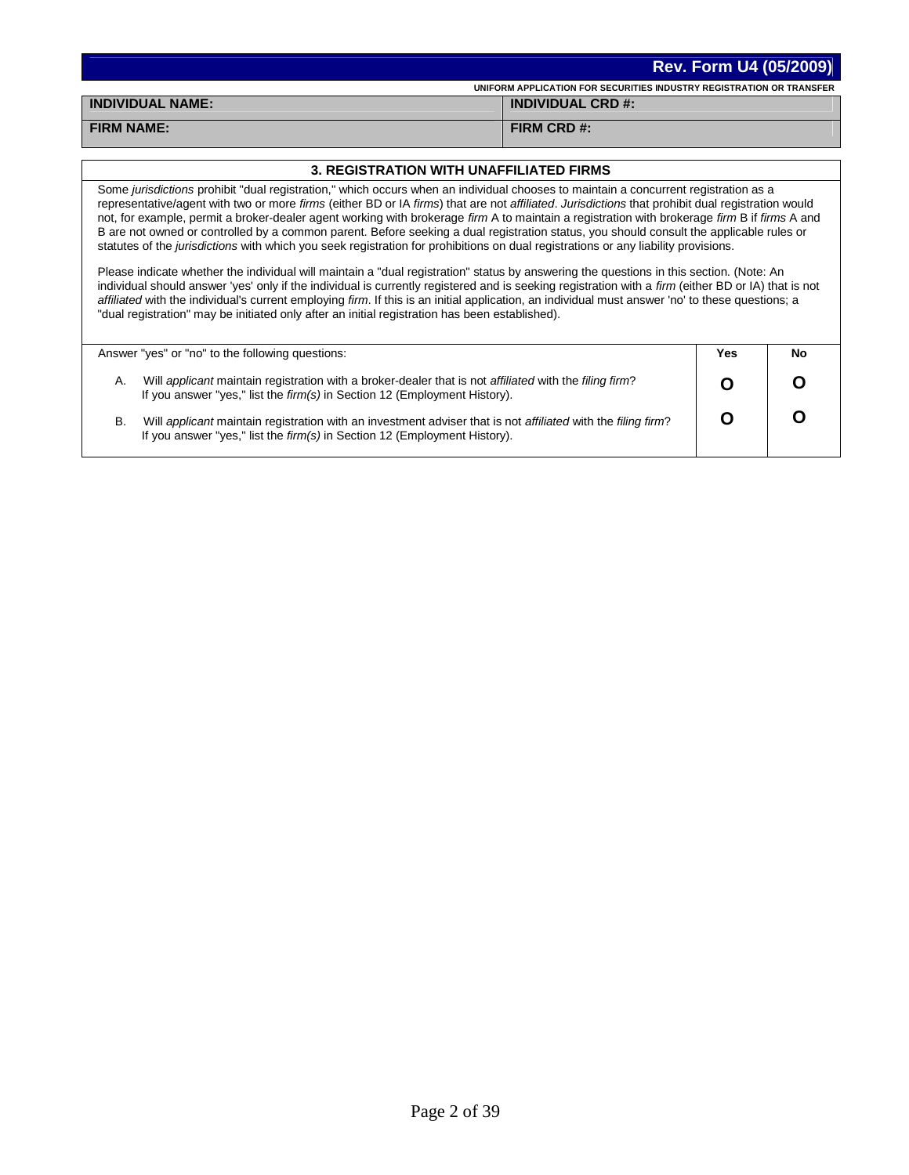|                         | <b>Rev. Form U4 (05/2009)</b>                                        |
|-------------------------|----------------------------------------------------------------------|
|                         | UNIFORM APPLICATION FOR SECURITIES INDUSTRY REGISTRATION OR TRANSFER |
| <b>INDIVIDUAL NAME:</b> | <b>INDIVIDUAL CRD #:</b>                                             |
| <b>FIRM NAME:</b>       | FIRM CRD #:                                                          |

## **3. REGISTRATION WITH UNAFFILIATED FIRMS**

Some *jurisdictions* prohibit "dual registration," which occurs when an individual chooses to maintain a concurrent registration as a representative/agent with two or more *firms* (either BD or IA *firms*) that are not *affiliated*. *Jurisdictions* that prohibit dual registration would not, for example, permit a broker-dealer agent working with brokerage *firm* A to maintain a registration with brokerage *firm* B if *firms* A and B are not owned or controlled by a common parent. Before seeking a dual registration status, you should consult the applicable rules or statutes of the *jurisdictions* with which you seek registration for prohibitions on dual registrations or any liability provisions.

Please indicate whether the individual will maintain a "dual registration" status by answering the questions in this section. (Note: An individual should answer 'yes' only if the individual is currently registered and is seeking registration with a *firm* (either BD or IA) that is not *affiliated* with the individual's current employing *firm*. If this is an initial application, an individual must answer 'no' to these questions; a "dual registration" may be initiated only after an initial registration has been established).

|    | Answer "yes" or "no" to the following questions:                                                                                                                                                 | Yes | Nc |
|----|--------------------------------------------------------------------------------------------------------------------------------------------------------------------------------------------------|-----|----|
| Α. | Will applicant maintain registration with a broker-dealer that is not affiliated with the filing firm?<br>If you answer "yes," list the <i>firm(s)</i> in Section 12 (Employment History).       |     |    |
| В. | Will applicant maintain registration with an investment adviser that is not affiliated with the filing firm?<br>If you answer "yes," list the <i>firm(s)</i> in Section 12 (Employment History). |     |    |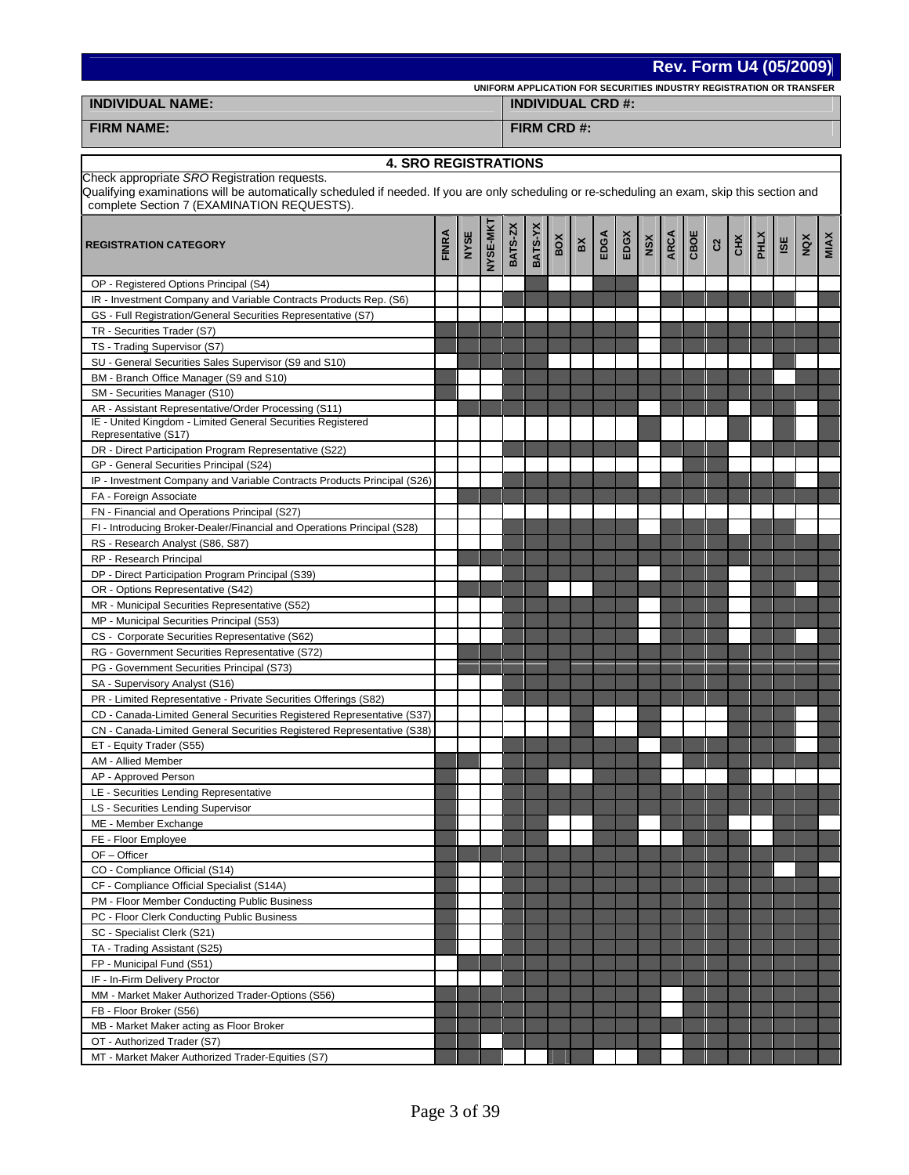| Rev. Form U4 (05/2009)                                                                                                                                                                                                                      |                                                                                                                                                                      |  |  |  |  |                          |             |  |  |  |  |             |  |  |  |  |  |  |
|---------------------------------------------------------------------------------------------------------------------------------------------------------------------------------------------------------------------------------------------|----------------------------------------------------------------------------------------------------------------------------------------------------------------------|--|--|--|--|--------------------------|-------------|--|--|--|--|-------------|--|--|--|--|--|--|
|                                                                                                                                                                                                                                             | UNIFORM APPLICATION FOR SECURITIES INDUSTRY REGISTRATION OR TRANSFER                                                                                                 |  |  |  |  |                          |             |  |  |  |  |             |  |  |  |  |  |  |
| <b>INDIVIDUAL NAME:</b>                                                                                                                                                                                                                     |                                                                                                                                                                      |  |  |  |  | <b>INDIVIDUAL CRD #:</b> |             |  |  |  |  |             |  |  |  |  |  |  |
| <b>FIRM NAME:</b>                                                                                                                                                                                                                           |                                                                                                                                                                      |  |  |  |  |                          | FIRM CRD #: |  |  |  |  |             |  |  |  |  |  |  |
| <b>4. SRO REGISTRATIONS</b>                                                                                                                                                                                                                 |                                                                                                                                                                      |  |  |  |  |                          |             |  |  |  |  |             |  |  |  |  |  |  |
| Check appropriate SRO Registration requests.<br>Qualifying examinations will be automatically scheduled if needed. If you are only scheduling or re-scheduling an exam, skip this section and<br>complete Section 7 (EXAMINATION REQUESTS). |                                                                                                                                                                      |  |  |  |  |                          |             |  |  |  |  |             |  |  |  |  |  |  |
| <b>REGISTRATION CATEGORY</b>                                                                                                                                                                                                                | NYSE-MKT<br>BATS-YX<br>BATS-ZX<br><b>FINRA</b><br>NYSE<br>CBOE<br>EDGX<br><b>ARCA</b><br>EDGA<br><b>PHLX</b><br>BOX<br>CHX<br>NSX<br>NQX<br>ISE<br>ă<br>$\mathbf{c}$ |  |  |  |  |                          |             |  |  |  |  | <b>MIAX</b> |  |  |  |  |  |  |
| OP - Registered Options Principal (S4)                                                                                                                                                                                                      |                                                                                                                                                                      |  |  |  |  |                          |             |  |  |  |  |             |  |  |  |  |  |  |
| IR - Investment Company and Variable Contracts Products Rep. (S6)                                                                                                                                                                           |                                                                                                                                                                      |  |  |  |  |                          |             |  |  |  |  |             |  |  |  |  |  |  |
| GS - Full Registration/General Securities Representative (S7)                                                                                                                                                                               |                                                                                                                                                                      |  |  |  |  |                          |             |  |  |  |  |             |  |  |  |  |  |  |
| TR - Securities Trader (S7)                                                                                                                                                                                                                 |                                                                                                                                                                      |  |  |  |  |                          |             |  |  |  |  |             |  |  |  |  |  |  |
| TS - Trading Supervisor (S7)                                                                                                                                                                                                                |                                                                                                                                                                      |  |  |  |  |                          |             |  |  |  |  |             |  |  |  |  |  |  |
| SU - General Securities Sales Supervisor (S9 and S10)<br>BM - Branch Office Manager (S9 and S10)                                                                                                                                            |                                                                                                                                                                      |  |  |  |  |                          |             |  |  |  |  |             |  |  |  |  |  |  |
| SM - Securities Manager (S10)                                                                                                                                                                                                               |                                                                                                                                                                      |  |  |  |  |                          |             |  |  |  |  |             |  |  |  |  |  |  |
| AR - Assistant Representative/Order Processing (S11)<br>IE - United Kingdom - Limited General Securities Registered<br>Representative (S17)                                                                                                 |                                                                                                                                                                      |  |  |  |  |                          |             |  |  |  |  |             |  |  |  |  |  |  |
| DR - Direct Participation Program Representative (S22)                                                                                                                                                                                      |                                                                                                                                                                      |  |  |  |  |                          |             |  |  |  |  |             |  |  |  |  |  |  |
| GP - General Securities Principal (S24)                                                                                                                                                                                                     |                                                                                                                                                                      |  |  |  |  |                          |             |  |  |  |  |             |  |  |  |  |  |  |
| IP - Investment Company and Variable Contracts Products Principal (S26)                                                                                                                                                                     |                                                                                                                                                                      |  |  |  |  |                          |             |  |  |  |  |             |  |  |  |  |  |  |
| FA - Foreign Associate                                                                                                                                                                                                                      |                                                                                                                                                                      |  |  |  |  |                          |             |  |  |  |  |             |  |  |  |  |  |  |
| FN - Financial and Operations Principal (S27)                                                                                                                                                                                               |                                                                                                                                                                      |  |  |  |  |                          |             |  |  |  |  |             |  |  |  |  |  |  |
| FI - Introducing Broker-Dealer/Financial and Operations Principal (S28)                                                                                                                                                                     |                                                                                                                                                                      |  |  |  |  |                          |             |  |  |  |  |             |  |  |  |  |  |  |
| RS - Research Analyst (S86, S87)                                                                                                                                                                                                            |                                                                                                                                                                      |  |  |  |  |                          |             |  |  |  |  |             |  |  |  |  |  |  |
| RP - Research Principal<br>DP - Direct Participation Program Principal (S39)                                                                                                                                                                |                                                                                                                                                                      |  |  |  |  |                          |             |  |  |  |  |             |  |  |  |  |  |  |
| OR - Options Representative (S42)                                                                                                                                                                                                           |                                                                                                                                                                      |  |  |  |  |                          |             |  |  |  |  |             |  |  |  |  |  |  |
| MR - Municipal Securities Representative (S52)                                                                                                                                                                                              |                                                                                                                                                                      |  |  |  |  |                          |             |  |  |  |  |             |  |  |  |  |  |  |
| MP - Municipal Securities Principal (S53)                                                                                                                                                                                                   |                                                                                                                                                                      |  |  |  |  |                          |             |  |  |  |  |             |  |  |  |  |  |  |
| CS - Corporate Securities Representative (S62)                                                                                                                                                                                              |                                                                                                                                                                      |  |  |  |  |                          |             |  |  |  |  |             |  |  |  |  |  |  |
| RG - Government Securities Representative (S72)                                                                                                                                                                                             |                                                                                                                                                                      |  |  |  |  |                          |             |  |  |  |  |             |  |  |  |  |  |  |
| PG - Government Securities Principal (S73)                                                                                                                                                                                                  |                                                                                                                                                                      |  |  |  |  |                          |             |  |  |  |  |             |  |  |  |  |  |  |
| SA - Supervisory Analyst (S16)                                                                                                                                                                                                              |                                                                                                                                                                      |  |  |  |  |                          |             |  |  |  |  |             |  |  |  |  |  |  |
| PR - Limited Representative - Private Securities Offerings (S82)                                                                                                                                                                            |                                                                                                                                                                      |  |  |  |  |                          |             |  |  |  |  |             |  |  |  |  |  |  |
| CD - Canada-Limited General Securities Registered Representative (S37)                                                                                                                                                                      |                                                                                                                                                                      |  |  |  |  |                          |             |  |  |  |  |             |  |  |  |  |  |  |
| CN - Canada-Limited General Securities Registered Representative (S38)                                                                                                                                                                      |                                                                                                                                                                      |  |  |  |  |                          |             |  |  |  |  |             |  |  |  |  |  |  |
| ET - Equity Trader (S55)<br>AM - Allied Member                                                                                                                                                                                              |                                                                                                                                                                      |  |  |  |  |                          |             |  |  |  |  |             |  |  |  |  |  |  |
| AP - Approved Person                                                                                                                                                                                                                        |                                                                                                                                                                      |  |  |  |  |                          |             |  |  |  |  |             |  |  |  |  |  |  |
| LE - Securities Lending Representative                                                                                                                                                                                                      |                                                                                                                                                                      |  |  |  |  |                          |             |  |  |  |  |             |  |  |  |  |  |  |
| LS - Securities Lending Supervisor                                                                                                                                                                                                          |                                                                                                                                                                      |  |  |  |  |                          |             |  |  |  |  |             |  |  |  |  |  |  |
| ME - Member Exchange                                                                                                                                                                                                                        |                                                                                                                                                                      |  |  |  |  |                          |             |  |  |  |  |             |  |  |  |  |  |  |
| FE - Floor Employee                                                                                                                                                                                                                         |                                                                                                                                                                      |  |  |  |  |                          |             |  |  |  |  |             |  |  |  |  |  |  |
| OF - Officer<br>CO - Compliance Official (S14)                                                                                                                                                                                              |                                                                                                                                                                      |  |  |  |  |                          |             |  |  |  |  |             |  |  |  |  |  |  |
| CF - Compliance Official Specialist (S14A)                                                                                                                                                                                                  |                                                                                                                                                                      |  |  |  |  |                          |             |  |  |  |  |             |  |  |  |  |  |  |
| PM - Floor Member Conducting Public Business                                                                                                                                                                                                |                                                                                                                                                                      |  |  |  |  |                          |             |  |  |  |  |             |  |  |  |  |  |  |
| PC - Floor Clerk Conducting Public Business                                                                                                                                                                                                 |                                                                                                                                                                      |  |  |  |  |                          |             |  |  |  |  |             |  |  |  |  |  |  |
| SC - Specialist Clerk (S21)                                                                                                                                                                                                                 |                                                                                                                                                                      |  |  |  |  |                          |             |  |  |  |  |             |  |  |  |  |  |  |
| TA - Trading Assistant (S25)                                                                                                                                                                                                                |                                                                                                                                                                      |  |  |  |  |                          |             |  |  |  |  |             |  |  |  |  |  |  |
| FP - Municipal Fund (S51)                                                                                                                                                                                                                   |                                                                                                                                                                      |  |  |  |  |                          |             |  |  |  |  |             |  |  |  |  |  |  |
| IF - In-Firm Delivery Proctor                                                                                                                                                                                                               |                                                                                                                                                                      |  |  |  |  |                          |             |  |  |  |  |             |  |  |  |  |  |  |
| MM - Market Maker Authorized Trader-Options (S56)                                                                                                                                                                                           |                                                                                                                                                                      |  |  |  |  |                          |             |  |  |  |  |             |  |  |  |  |  |  |
| FB - Floor Broker (S56)<br>MB - Market Maker acting as Floor Broker                                                                                                                                                                         |                                                                                                                                                                      |  |  |  |  |                          |             |  |  |  |  |             |  |  |  |  |  |  |
| OT - Authorized Trader (S7)                                                                                                                                                                                                                 |                                                                                                                                                                      |  |  |  |  |                          |             |  |  |  |  |             |  |  |  |  |  |  |
| MT - Market Maker Authorized Trader-Equities (S7)                                                                                                                                                                                           |                                                                                                                                                                      |  |  |  |  |                          |             |  |  |  |  |             |  |  |  |  |  |  |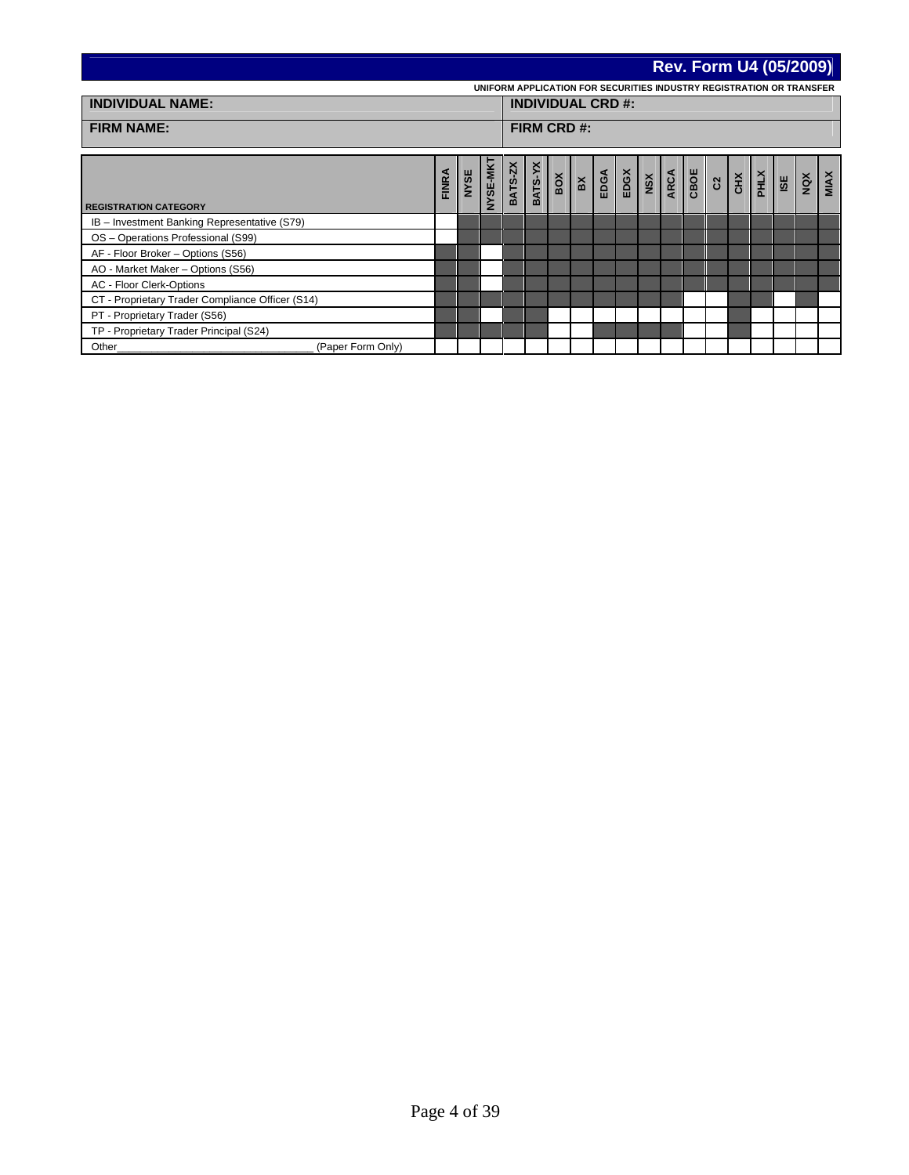|                                                  |              |      |                 |                          |                                                                      |     |                         |      |      |                        |      |      |                |   | <b>Rev. Form U4 (05/2009)</b> |     |     |             |
|--------------------------------------------------|--------------|------|-----------------|--------------------------|----------------------------------------------------------------------|-----|-------------------------|------|------|------------------------|------|------|----------------|---|-------------------------------|-----|-----|-------------|
|                                                  |              |      |                 |                          | UNIFORM APPLICATION FOR SECURITIES INDUSTRY REGISTRATION OR TRANSFER |     |                         |      |      |                        |      |      |                |   |                               |     |     |             |
| <b>INDIVIDUAL NAME:</b>                          |              |      |                 | <b>INDIVIDUAL CRD #:</b> |                                                                      |     |                         |      |      |                        |      |      |                |   |                               |     |     |             |
| <b>FIRM NAME:</b>                                |              |      |                 | FIRM CRD #:              |                                                                      |     |                         |      |      |                        |      |      |                |   |                               |     |     |             |
| <b>REGISTRATION CATEGORY</b>                     | <b>FINRA</b> | NYSE | <b>VAW-3S/V</b> | BATS-ZX                  | BATS-YX                                                              | BOX | $\mathbf{B} \mathbf{X}$ | EDGA | EDGX | $\overline{\text{ns}}$ | ARCA | CBOE | $\overline{c}$ | š | $\frac{1}{2}$                 | ISE | NQX | <b>MINX</b> |
| IB - Investment Banking Representative (S79)     |              |      |                 |                          |                                                                      |     |                         |      |      |                        |      |      |                |   |                               |     |     |             |
| OS - Operations Professional (S99)               |              |      |                 |                          |                                                                      |     |                         |      |      |                        |      |      |                |   |                               |     |     |             |
| AF - Floor Broker - Options (S56)                |              |      |                 |                          |                                                                      |     |                         |      |      |                        |      |      |                |   |                               |     |     |             |
| AO - Market Maker - Options (S56)                |              |      |                 |                          |                                                                      |     |                         |      |      |                        |      |      |                |   |                               |     |     |             |
| AC - Floor Clerk-Options                         |              |      |                 |                          |                                                                      |     |                         |      |      |                        |      |      |                |   |                               |     |     |             |
| CT - Proprietary Trader Compliance Officer (S14) |              |      |                 |                          |                                                                      |     |                         |      |      |                        |      |      |                |   |                               |     |     |             |
| PT - Proprietary Trader (S56)                    |              |      |                 |                          |                                                                      |     |                         |      |      |                        |      |      |                |   |                               |     |     |             |
| TP - Proprietary Trader Principal (S24)          |              |      |                 |                          |                                                                      |     |                         |      |      |                        |      |      |                |   |                               |     |     |             |
| (Paper Form Only)<br>Other                       |              |      |                 |                          |                                                                      |     |                         |      |      |                        |      |      |                |   |                               |     |     |             |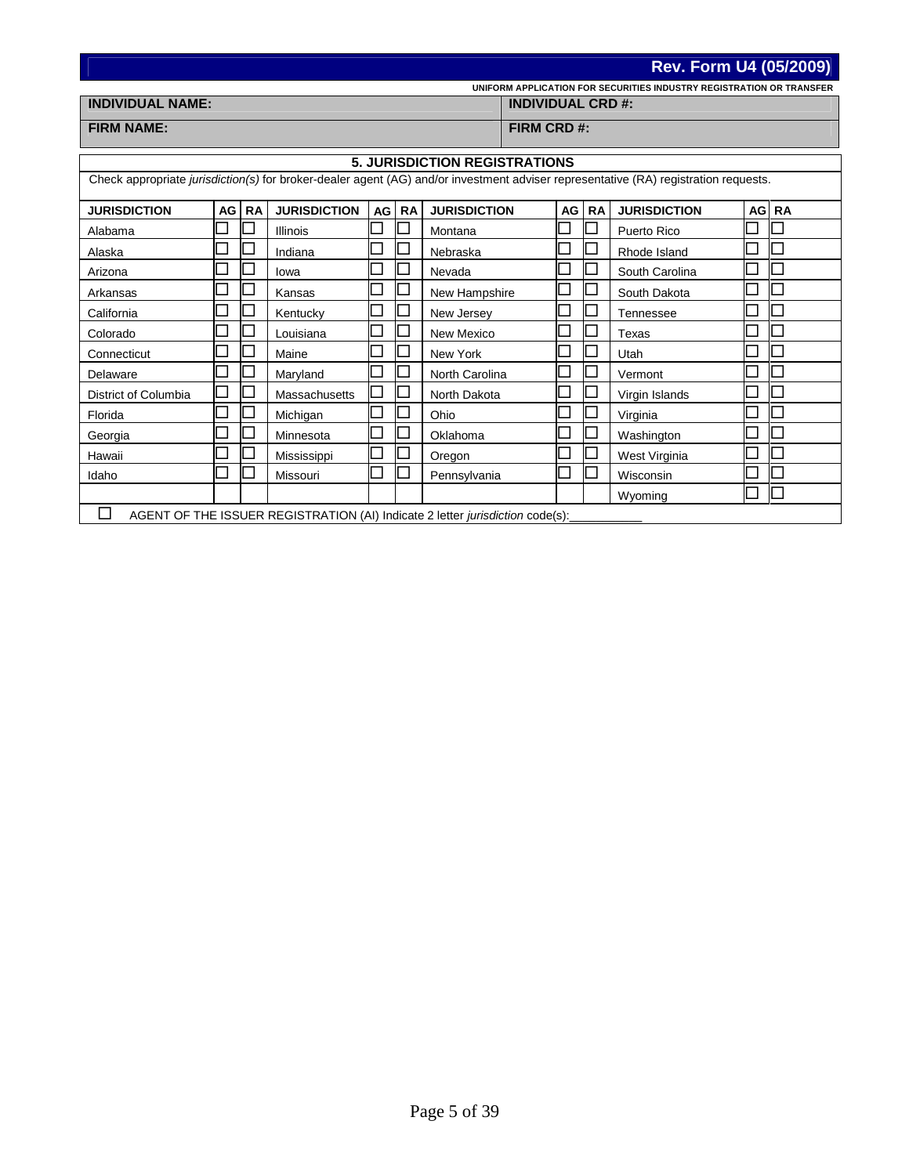|                                                                                                                                     |      |           |                                                                               |    |                             |                     |                          |    |           | <b>Rev. Form U4 (05/2009)</b>                                        |      |           |  |
|-------------------------------------------------------------------------------------------------------------------------------------|------|-----------|-------------------------------------------------------------------------------|----|-----------------------------|---------------------|--------------------------|----|-----------|----------------------------------------------------------------------|------|-----------|--|
|                                                                                                                                     |      |           |                                                                               |    |                             |                     |                          |    |           | UNIFORM APPLICATION FOR SECURITIES INDUSTRY REGISTRATION OR TRANSFER |      |           |  |
| <b>INDIVIDUAL NAME:</b>                                                                                                             |      |           |                                                                               |    |                             |                     | <b>INDIVIDUAL CRD #:</b> |    |           |                                                                      |      |           |  |
| <b>FIRM NAME:</b>                                                                                                                   |      |           |                                                                               |    |                             |                     | FIRM CRD #:              |    |           |                                                                      |      |           |  |
| <b>5. JURISDICTION REGISTRATIONS</b>                                                                                                |      |           |                                                                               |    |                             |                     |                          |    |           |                                                                      |      |           |  |
|                                                                                                                                     |      |           |                                                                               |    |                             |                     |                          |    |           |                                                                      |      |           |  |
| Check appropriate jurisdiction(s) for broker-dealer agent (AG) and/or investment adviser representative (RA) registration requests. |      |           |                                                                               |    |                             |                     |                          |    |           |                                                                      |      |           |  |
| <b>JURISDICTION</b>                                                                                                                 | AG I | <b>RA</b> | <b>JURISDICTION</b>                                                           | AG | <b>RA</b>                   | <b>JURISDICTION</b> |                          | AG | <b>RA</b> | <b>JURISDICTION</b>                                                  | AG I | <b>RA</b> |  |
| Alabama                                                                                                                             |      |           | <b>Illinois</b>                                                               |    |                             | Montana             |                          |    |           | Puerto Rico                                                          |      |           |  |
| Alaska                                                                                                                              |      |           | Indiana                                                                       |    | ×                           | Nebraska            |                          |    |           | Rhode Island                                                         |      |           |  |
| Arizona                                                                                                                             |      |           | lowa                                                                          |    |                             | Nevada              |                          |    |           | South Carolina                                                       |      |           |  |
| Arkansas                                                                                                                            |      |           | Kansas                                                                        |    | $\overline{\phantom{a}}$    | New Hampshire       |                          |    |           | South Dakota                                                         |      |           |  |
| California                                                                                                                          |      |           | Kentucky                                                                      |    | $\overline{\phantom{a}}$    | New Jersey          |                          |    |           | Tennessee                                                            |      |           |  |
| Colorado                                                                                                                            |      |           | Louisiana                                                                     |    |                             | New Mexico          |                          |    |           | Texas                                                                |      |           |  |
| Connecticut                                                                                                                         |      |           | Maine                                                                         |    | J.                          | New York            |                          |    |           | Utah                                                                 |      |           |  |
| Delaware                                                                                                                            |      |           | Maryland                                                                      |    |                             | North Carolina      |                          |    |           | Vermont                                                              |      |           |  |
| District of Columbia                                                                                                                |      |           | Massachusetts                                                                 |    | $\mathcal{L}_{\mathcal{A}}$ | North Dakota        |                          |    |           | Virgin Islands                                                       |      |           |  |
| Florida                                                                                                                             |      |           | Michigan                                                                      |    | $\overline{\phantom{a}}$    | Ohio                |                          |    | I I       | Virginia                                                             |      |           |  |
| Georgia                                                                                                                             |      |           | Minnesota                                                                     |    |                             | Oklahoma            |                          |    |           | Washington                                                           |      |           |  |
| Hawaii                                                                                                                              |      |           | Mississippi                                                                   |    | J.                          | Oregon              |                          |    |           | West Virginia                                                        |      |           |  |
| Idaho                                                                                                                               |      |           | Missouri                                                                      |    | $\mathbf{L}$                | Pennsylvania        |                          |    |           | Wisconsin                                                            |      |           |  |
|                                                                                                                                     |      |           |                                                                               |    |                             |                     |                          |    |           | Wyoming                                                              |      |           |  |
| $\Box$                                                                                                                              |      |           | AGENT OF THE ISSUER REGISTRATION (AI) Indicate 2 letter jurisdiction code(s): |    |                             |                     |                          |    |           |                                                                      |      |           |  |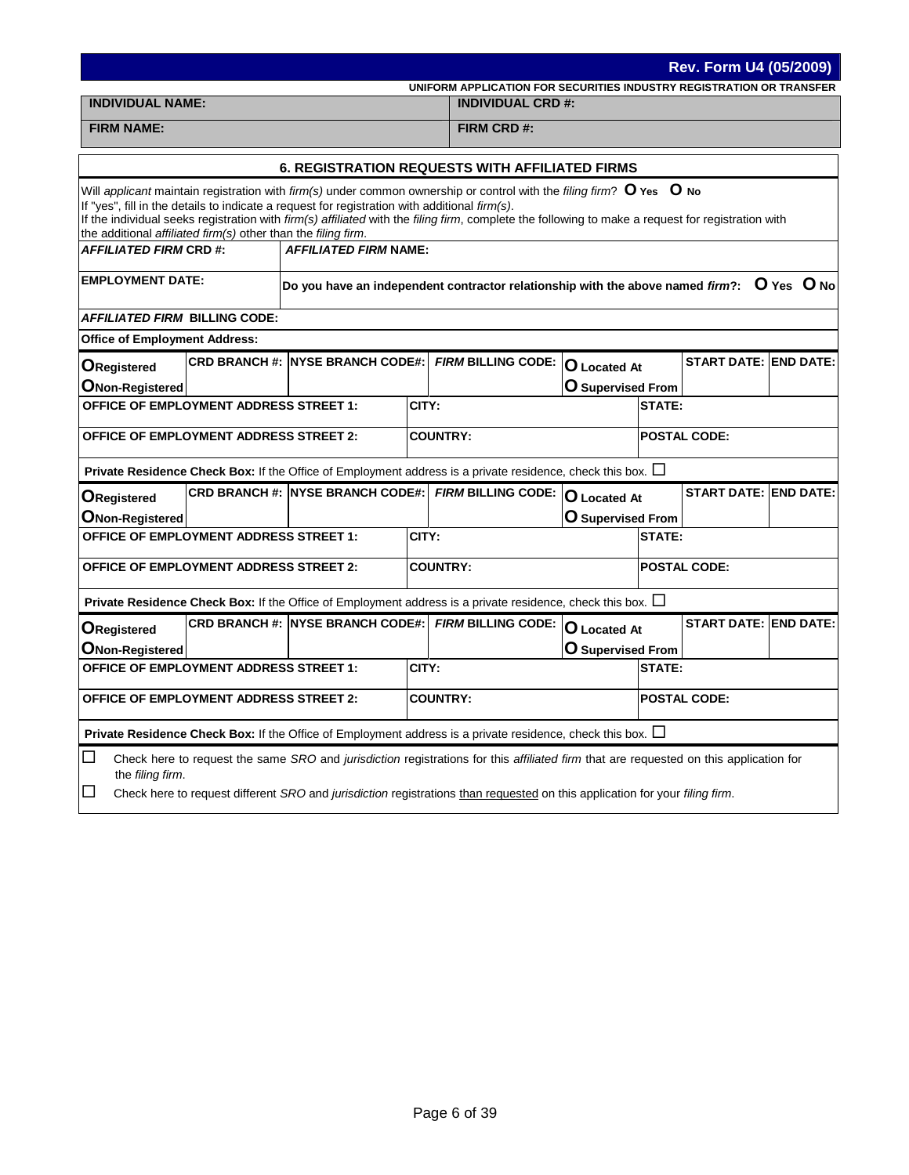|                                                                                                                                     |                                                                                                                                                                                                                                                                                                                                                                                                                                                           |                                            |       |                                                                                                                 |                          |        | <b>Rev. Form U4 (05/2009)</b> |  |  |  |  |  |  |
|-------------------------------------------------------------------------------------------------------------------------------------|-----------------------------------------------------------------------------------------------------------------------------------------------------------------------------------------------------------------------------------------------------------------------------------------------------------------------------------------------------------------------------------------------------------------------------------------------------------|--------------------------------------------|-------|-----------------------------------------------------------------------------------------------------------------|--------------------------|--------|-------------------------------|--|--|--|--|--|--|
|                                                                                                                                     |                                                                                                                                                                                                                                                                                                                                                                                                                                                           |                                            |       | UNIFORM APPLICATION FOR SECURITIES INDUSTRY REGISTRATION OR TRANSFER                                            |                          |        |                               |  |  |  |  |  |  |
| <b>INDIVIDUAL NAME:</b>                                                                                                             |                                                                                                                                                                                                                                                                                                                                                                                                                                                           |                                            |       | <b>INDIVIDUAL CRD #:</b>                                                                                        |                          |        |                               |  |  |  |  |  |  |
| <b>FIRM NAME:</b>                                                                                                                   |                                                                                                                                                                                                                                                                                                                                                                                                                                                           |                                            |       | FIRM CRD#:                                                                                                      |                          |        |                               |  |  |  |  |  |  |
|                                                                                                                                     |                                                                                                                                                                                                                                                                                                                                                                                                                                                           |                                            |       | <b>6. REGISTRATION REQUESTS WITH AFFILIATED FIRMS</b>                                                           |                          |        |                               |  |  |  |  |  |  |
|                                                                                                                                     | Will applicant maintain registration with firm(s) under common ownership or control with the filing firm? $\bullet$ Yes $\circ$ No<br>If "yes", fill in the details to indicate a request for registration with additional firm(s).<br>If the individual seeks registration with firm(s) affiliated with the filing firm, complete the following to make a request for registration with<br>the additional affiliated firm(s) other than the filing firm. |                                            |       |                                                                                                                 |                          |        |                               |  |  |  |  |  |  |
| <b>AFFILIATED FIRM CRD #:</b>                                                                                                       |                                                                                                                                                                                                                                                                                                                                                                                                                                                           | <b>AFFILIATED FIRM NAME:</b>               |       |                                                                                                                 |                          |        |                               |  |  |  |  |  |  |
| <b>EMPLOYMENT DATE:</b><br>Do you have an independent contractor relationship with the above named firm?: $\;$ O Yes $\;$ O No $\;$ |                                                                                                                                                                                                                                                                                                                                                                                                                                                           |                                            |       |                                                                                                                 |                          |        |                               |  |  |  |  |  |  |
| <b>AFFILIATED FIRM BILLING CODE:</b>                                                                                                |                                                                                                                                                                                                                                                                                                                                                                                                                                                           |                                            |       |                                                                                                                 |                          |        |                               |  |  |  |  |  |  |
| <b>Office of Employment Address:</b>                                                                                                |                                                                                                                                                                                                                                                                                                                                                                                                                                                           |                                            |       |                                                                                                                 |                          |        |                               |  |  |  |  |  |  |
| ORegistered                                                                                                                         |                                                                                                                                                                                                                                                                                                                                                                                                                                                           | <b>CRD BRANCH #: INYSE BRANCH CODE#: I</b> |       | FIRM BILLING CODE: O Located At                                                                                 |                          |        | <b>START DATE: END DATE:</b>  |  |  |  |  |  |  |
| <b>ONon-Registered</b>                                                                                                              |                                                                                                                                                                                                                                                                                                                                                                                                                                                           |                                            |       |                                                                                                                 | <b>O</b> Supervised From |        |                               |  |  |  |  |  |  |
| <b>OFFICE OF EMPLOYMENT ADDRESS STREET 1:</b>                                                                                       |                                                                                                                                                                                                                                                                                                                                                                                                                                                           |                                            | CITY: |                                                                                                                 |                          | STATE: |                               |  |  |  |  |  |  |
| <b>OFFICE OF EMPLOYMENT ADDRESS STREET 2:</b>                                                                                       |                                                                                                                                                                                                                                                                                                                                                                                                                                                           |                                            |       | <b>COUNTRY:</b>                                                                                                 |                          |        | <b>POSTAL CODE:</b>           |  |  |  |  |  |  |
|                                                                                                                                     |                                                                                                                                                                                                                                                                                                                                                                                                                                                           |                                            |       | Private Residence Check Box: If the Office of Employment address is a private residence, check this box. $\Box$ |                          |        |                               |  |  |  |  |  |  |
| <b>ORegistered</b>                                                                                                                  |                                                                                                                                                                                                                                                                                                                                                                                                                                                           |                                            |       | CRD BRANCH #: NYSE BRANCH CODE#: FIRM BILLING CODE:                                                             | <b>O</b> Located At      |        | <b>START DATE: END DATE:</b>  |  |  |  |  |  |  |
| <b>ONon-Registered</b>                                                                                                              |                                                                                                                                                                                                                                                                                                                                                                                                                                                           |                                            |       |                                                                                                                 | <b>O</b> Supervised From |        |                               |  |  |  |  |  |  |
| <b>OFFICE OF EMPLOYMENT ADDRESS STREET 1:</b>                                                                                       |                                                                                                                                                                                                                                                                                                                                                                                                                                                           |                                            | CITY: |                                                                                                                 |                          | STATE: |                               |  |  |  |  |  |  |
| <b>OFFICE OF EMPLOYMENT ADDRESS STREET 2:</b>                                                                                       |                                                                                                                                                                                                                                                                                                                                                                                                                                                           |                                            |       | <b>COUNTRY:</b>                                                                                                 |                          |        | <b>POSTAL CODE:</b>           |  |  |  |  |  |  |
|                                                                                                                                     |                                                                                                                                                                                                                                                                                                                                                                                                                                                           |                                            |       | Private Residence Check Box: If the Office of Employment address is a private residence, check this box. $\Box$ |                          |        |                               |  |  |  |  |  |  |
| <b>ORegistered</b>                                                                                                                  |                                                                                                                                                                                                                                                                                                                                                                                                                                                           | <b>CRD BRANCH #: INYSE BRANCH CODE#:</b>   |       | FIRM BILLING CODE: O Located At                                                                                 |                          |        | <b>START DATE: END DATE:</b>  |  |  |  |  |  |  |
| <b>ONon-Registered</b>                                                                                                              |                                                                                                                                                                                                                                                                                                                                                                                                                                                           |                                            |       |                                                                                                                 | <b>O</b> Supervised From |        |                               |  |  |  |  |  |  |
| <b>OFFICE OF EMPLOYMENT ADDRESS STREET 1:</b>                                                                                       |                                                                                                                                                                                                                                                                                                                                                                                                                                                           |                                            | CITY: |                                                                                                                 |                          | STATE: |                               |  |  |  |  |  |  |
| <b>OFFICE OF EMPLOYMENT ADDRESS STREET 2:</b>                                                                                       |                                                                                                                                                                                                                                                                                                                                                                                                                                                           |                                            |       | <b>COUNTRY:</b>                                                                                                 |                          |        | <b>POSTAL CODE:</b>           |  |  |  |  |  |  |
|                                                                                                                                     |                                                                                                                                                                                                                                                                                                                                                                                                                                                           |                                            |       |                                                                                                                 |                          |        |                               |  |  |  |  |  |  |
| □<br>ப                                                                                                                              | <b>Private Residence Check Box:</b> If the Office of Employment address is a private residence, check this box. $\Box$<br>Check here to request the same SRO and jurisdiction registrations for this affiliated firm that are requested on this application for<br>the filing firm.<br>Check here to request different SRO and jurisdiction registrations than requested on this application for your filing firm.                                        |                                            |       |                                                                                                                 |                          |        |                               |  |  |  |  |  |  |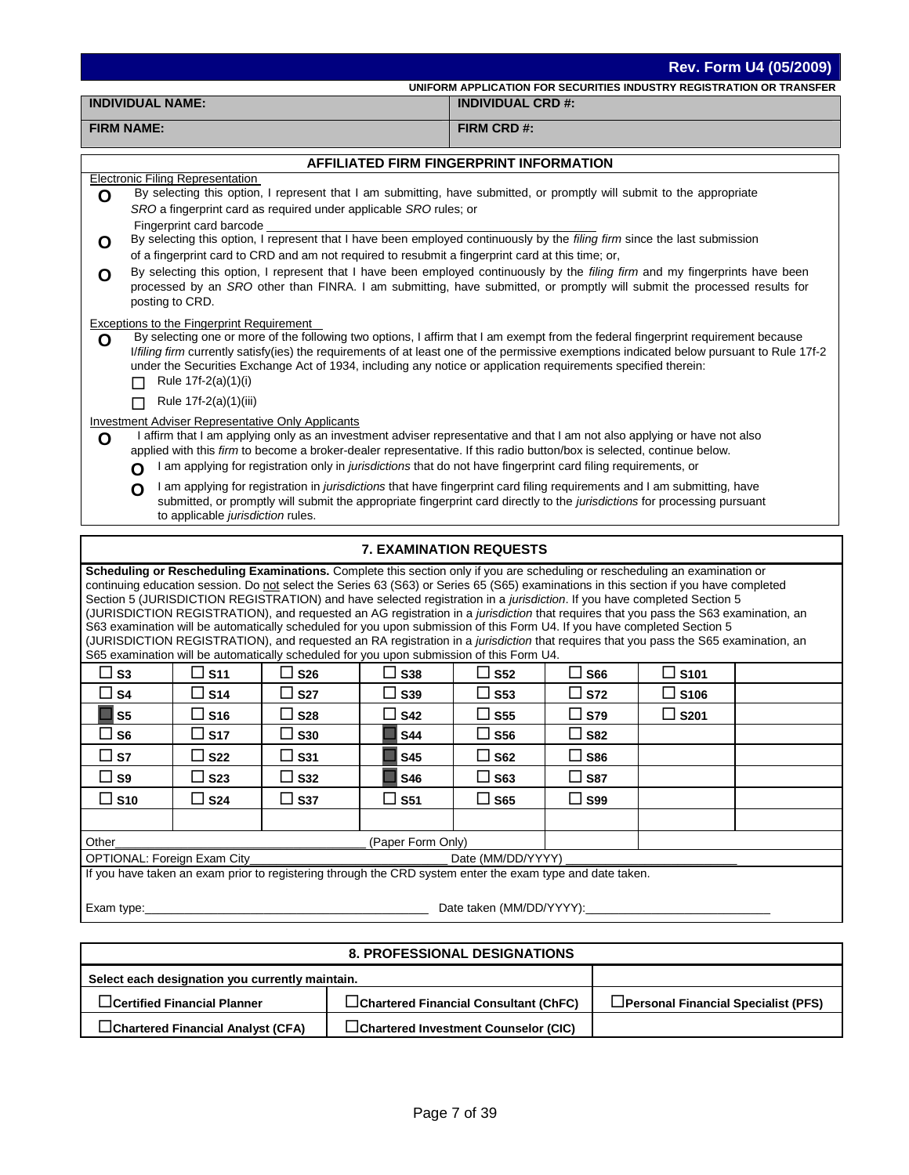| Rev. Form U4 (05/2009)<br>UNIFORM APPLICATION FOR SECURITIES INDUSTRY REGISTRATION OR TRANSFER                                                                                                                                                                                                                                                                                                                                                                                                                                                                                                                                                                                                                                                                                                                                                                                                               |                          |                                           |                          |               |                |  |  |  |  |  |  |  |
|--------------------------------------------------------------------------------------------------------------------------------------------------------------------------------------------------------------------------------------------------------------------------------------------------------------------------------------------------------------------------------------------------------------------------------------------------------------------------------------------------------------------------------------------------------------------------------------------------------------------------------------------------------------------------------------------------------------------------------------------------------------------------------------------------------------------------------------------------------------------------------------------------------------|--------------------------|-------------------------------------------|--------------------------|---------------|----------------|--|--|--|--|--|--|--|
| <b>INDIVIDUAL NAME:</b>                                                                                                                                                                                                                                                                                                                                                                                                                                                                                                                                                                                                                                                                                                                                                                                                                                                                                      |                          |                                           | <b>INDIVIDUAL CRD #:</b> |               |                |  |  |  |  |  |  |  |
| <b>FIRM NAME:</b>                                                                                                                                                                                                                                                                                                                                                                                                                                                                                                                                                                                                                                                                                                                                                                                                                                                                                            |                          |                                           | FIRM CRD #:              |               |                |  |  |  |  |  |  |  |
|                                                                                                                                                                                                                                                                                                                                                                                                                                                                                                                                                                                                                                                                                                                                                                                                                                                                                                              |                          |                                           |                          |               |                |  |  |  |  |  |  |  |
| AFFILIATED FIRM FINGERPRINT INFORMATION<br><b>Electronic Filing Representation</b>                                                                                                                                                                                                                                                                                                                                                                                                                                                                                                                                                                                                                                                                                                                                                                                                                           |                          |                                           |                          |               |                |  |  |  |  |  |  |  |
| By selecting this option, I represent that I am submitting, have submitted, or promptly will submit to the appropriate<br>O<br>SRO a fingerprint card as required under applicable SRO rules; or<br>Fingerprint card barcode                                                                                                                                                                                                                                                                                                                                                                                                                                                                                                                                                                                                                                                                                 |                          |                                           |                          |               |                |  |  |  |  |  |  |  |
| By selecting this option, I represent that I have been employed continuously by the filing firm since the last submission<br>O<br>of a fingerprint card to CRD and am not required to resubmit a fingerprint card at this time; or,                                                                                                                                                                                                                                                                                                                                                                                                                                                                                                                                                                                                                                                                          |                          |                                           |                          |               |                |  |  |  |  |  |  |  |
| By selecting this option, I represent that I have been employed continuously by the filing firm and my fingerprints have been<br>O<br>processed by an SRO other than FINRA. I am submitting, have submitted, or promptly will submit the processed results for<br>posting to CRD.                                                                                                                                                                                                                                                                                                                                                                                                                                                                                                                                                                                                                            |                          |                                           |                          |               |                |  |  |  |  |  |  |  |
| <b>Exceptions to the Fingerprint Requirement</b><br>By selecting one or more of the following two options, I affirm that I am exempt from the federal fingerprint requirement because<br>O<br>I/filing firm currently satisfy(ies) the requirements of at least one of the permissive exemptions indicated below pursuant to Rule 17f-2<br>under the Securities Exchange Act of 1934, including any notice or application requirements specified therein:<br>Rule 17f-2(a)(1)(i)                                                                                                                                                                                                                                                                                                                                                                                                                             |                          |                                           |                          |               |                |  |  |  |  |  |  |  |
| Rule 17f-2(a)(1)(iii)<br>П                                                                                                                                                                                                                                                                                                                                                                                                                                                                                                                                                                                                                                                                                                                                                                                                                                                                                   |                          |                                           |                          |               |                |  |  |  |  |  |  |  |
| <b>Investment Adviser Representative Only Applicants</b><br>I affirm that I am applying only as an investment adviser representative and that I am not also applying or have not also<br>O<br>applied with this firm to become a broker-dealer representative. If this radio button/box is selected, continue below.<br>I am applying for registration only in jurisdictions that do not have fingerprint card filing requirements, or<br>O<br>I am applying for registration in jurisdictions that have fingerprint card filing requirements and I am submitting, have<br>O<br>submitted, or promptly will submit the appropriate fingerprint card directly to the jurisdictions for processing pursuant<br>to applicable jurisdiction rules.                                                                                                                                                               |                          |                                           |                          |               |                |  |  |  |  |  |  |  |
|                                                                                                                                                                                                                                                                                                                                                                                                                                                                                                                                                                                                                                                                                                                                                                                                                                                                                                              |                          | <b>7. EXAMINATION REQUESTS</b>            |                          |               |                |  |  |  |  |  |  |  |
| Scheduling or Rescheduling Examinations. Complete this section only if you are scheduling or rescheduling an examination or<br>continuing education session. Do not select the Series 63 (S63) or Series 65 (S65) examinations in this section if you have completed<br>Section 5 (JURISDICTION REGISTRATION) and have selected registration in a jurisdiction. If you have completed Section 5<br>(JURISDICTION REGISTRATION), and requested an AG registration in a <i>jurisdiction</i> that requires that you pass the S63 examination, an<br>S63 examination will be automatically scheduled for you upon submission of this Form U4. If you have completed Section 5<br>(JURISDICTION REGISTRATION), and requested an RA registration in a jurisdiction that requires that you pass the S65 examination, an<br>S65 examination will be automatically scheduled for you upon submission of this Form U4. |                          |                                           |                          |               |                |  |  |  |  |  |  |  |
| $\square$ s <sub>3</sub><br>$\square$ S11                                                                                                                                                                                                                                                                                                                                                                                                                                                                                                                                                                                                                                                                                                                                                                                                                                                                    | $\square$ S26            | $\square$ S38                             | $\Box$ S52               | $\square$ S66 | $\Box$ S101    |  |  |  |  |  |  |  |
| □ s4<br>∐ S14                                                                                                                                                                                                                                                                                                                                                                                                                                                                                                                                                                                                                                                                                                                                                                                                                                                                                                | <b>S27</b>               | ⊔ S39                                     | $\sqcup$ S53             | $\square$ S72 | ∐ S106         |  |  |  |  |  |  |  |
| ø<br>S5  <br>$\square$ S16                                                                                                                                                                                                                                                                                                                                                                                                                                                                                                                                                                                                                                                                                                                                                                                                                                                                                   | $\square$ S28            | $\square$ S42                             | $\square$ s55            | $\square$ S79 | $\square$ S201 |  |  |  |  |  |  |  |
| $\square$ S17<br>$\square$ S6                                                                                                                                                                                                                                                                                                                                                                                                                                                                                                                                                                                                                                                                                                                                                                                                                                                                                | $\square$ S30            | <b>S44</b>                                | $\square$ S56            | $\Box$ S82    |                |  |  |  |  |  |  |  |
| □ s⁊<br>□ S22                                                                                                                                                                                                                                                                                                                                                                                                                                                                                                                                                                                                                                                                                                                                                                                                                                                                                                | $\square$ S31            | <b>S45</b>                                | $\square$ S62            | $\square$ S86 |                |  |  |  |  |  |  |  |
| $\square$ S9<br>$\square$ S23                                                                                                                                                                                                                                                                                                                                                                                                                                                                                                                                                                                                                                                                                                                                                                                                                                                                                | $\square$ S32            | <b>S46</b>                                | $\square$ S63            | $\square$ S87 |                |  |  |  |  |  |  |  |
| $\square$ S10<br>$\square$ S24                                                                                                                                                                                                                                                                                                                                                                                                                                                                                                                                                                                                                                                                                                                                                                                                                                                                               | $\square$ S37            | $\square$ S51                             | $\square$ S65            | $\square$ S99 |                |  |  |  |  |  |  |  |
|                                                                                                                                                                                                                                                                                                                                                                                                                                                                                                                                                                                                                                                                                                                                                                                                                                                                                                              |                          |                                           |                          |               |                |  |  |  |  |  |  |  |
| (Paper Form Only)<br>Other_                                                                                                                                                                                                                                                                                                                                                                                                                                                                                                                                                                                                                                                                                                                                                                                                                                                                                  |                          |                                           |                          |               |                |  |  |  |  |  |  |  |
| OPTIONAL: Foreign Exam City_                                                                                                                                                                                                                                                                                                                                                                                                                                                                                                                                                                                                                                                                                                                                                                                                                                                                                 |                          |                                           | Date (MM/DD/YYYY)        |               |                |  |  |  |  |  |  |  |
| If you have taken an exam prior to registering through the CRD system enter the exam type and date taken.                                                                                                                                                                                                                                                                                                                                                                                                                                                                                                                                                                                                                                                                                                                                                                                                    |                          |                                           |                          |               |                |  |  |  |  |  |  |  |
| Exam type: $\sqrt{2\pi}$                                                                                                                                                                                                                                                                                                                                                                                                                                                                                                                                                                                                                                                                                                                                                                                                                                                                                     | Date taken (MM/DD/YYYY): |                                           |                          |               |                |  |  |  |  |  |  |  |
|                                                                                                                                                                                                                                                                                                                                                                                                                                                                                                                                                                                                                                                                                                                                                                                                                                                                                                              |                          | <b><i>R DDOEESSIONAL DESIGNATIONS</i></b> |                          |               |                |  |  |  |  |  |  |  |

| 8. PROFESSIONAL DESIGNATIONS                    |                                              |                                            |  |  |  |  |  |  |  |  |  |
|-------------------------------------------------|----------------------------------------------|--------------------------------------------|--|--|--|--|--|--|--|--|--|
| Select each designation you currently maintain. |                                              |                                            |  |  |  |  |  |  |  |  |  |
| $\Box$ Certified Financial Planner              | $\Box$ Chartered Financial Consultant (ChFC) | $\Box$ Personal Financial Specialist (PFS) |  |  |  |  |  |  |  |  |  |
| $\Box$ Chartered Financial Analyst (CFA)        | □Chartered Investment Counselor (CIC)        |                                            |  |  |  |  |  |  |  |  |  |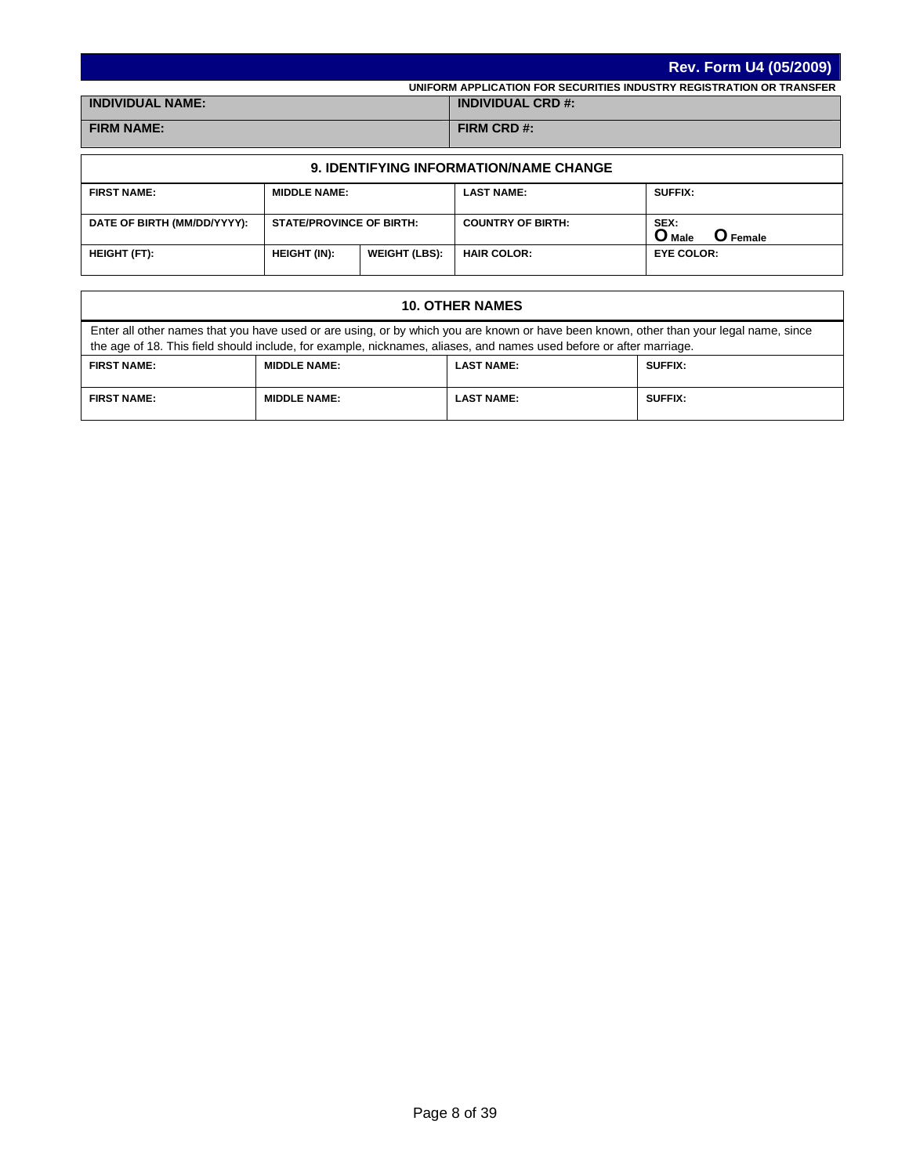|                         | Rev. Form U4 (05/2009)                                               |
|-------------------------|----------------------------------------------------------------------|
|                         | UNIFORM APPLICATION FOR SECURITIES INDUSTRY REGISTRATION OR TRANSFER |
| <b>INDIVIDUAL NAME:</b> | <b>INDIVIDUAL CRD #:</b>                                             |
| <b>FIRM NAME:</b>       | FIRM CRD #:                                                          |

| <b>9. IDENTIFYING INFORMATION/NAME CHANGE</b> |                                 |                      |                          |                                       |  |  |  |  |  |  |  |  |
|-----------------------------------------------|---------------------------------|----------------------|--------------------------|---------------------------------------|--|--|--|--|--|--|--|--|
| <b>FIRST NAME:</b>                            | <b>MIDDLE NAME:</b>             |                      | <b>LAST NAME:</b>        | <b>SUFFIX:</b>                        |  |  |  |  |  |  |  |  |
| DATE OF BIRTH (MM/DD/YYYY):                   | <b>STATE/PROVINCE OF BIRTH:</b> |                      | <b>COUNTRY OF BIRTH:</b> | SEX:<br>O Male<br>$\mathbf{O}$ Female |  |  |  |  |  |  |  |  |
| <b>HEIGHT (FT):</b>                           | <b>HEIGHT (IN):</b>             | <b>WEIGHT (LBS):</b> | <b>HAIR COLOR:</b>       | <b>EYE COLOR:</b>                     |  |  |  |  |  |  |  |  |

| <b>10. OTHER NAMES</b>                                                                                                                                                                                                                                        |                     |                   |                |  |  |
|---------------------------------------------------------------------------------------------------------------------------------------------------------------------------------------------------------------------------------------------------------------|---------------------|-------------------|----------------|--|--|
| Enter all other names that you have used or are using, or by which you are known or have been known, other than your legal name, since<br>the age of 18. This field should include, for example, nicknames, aliases, and names used before or after marriage. |                     |                   |                |  |  |
| <b>FIRST NAME:</b><br><b>MIDDLE NAME:</b><br><b>LAST NAME:</b><br><b>SUFFIX:</b>                                                                                                                                                                              |                     |                   |                |  |  |
| <b>FIRST NAME:</b>                                                                                                                                                                                                                                            | <b>MIDDLE NAME:</b> | <b>LAST NAME:</b> | <b>SUFFIX:</b> |  |  |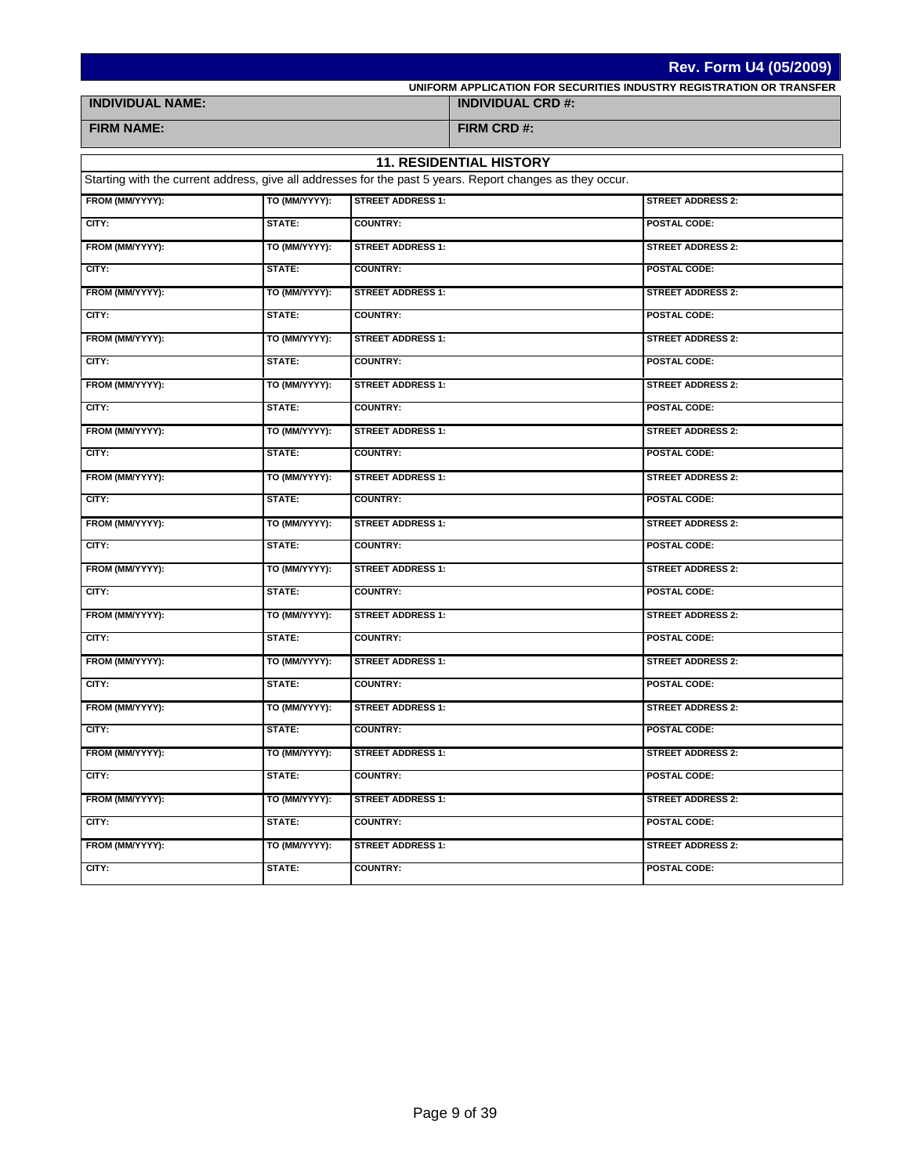|                         | <b>Rev. Form U4 (05/2009)</b> |                          |                                                                                                           |                                                                      |  |
|-------------------------|-------------------------------|--------------------------|-----------------------------------------------------------------------------------------------------------|----------------------------------------------------------------------|--|
|                         |                               |                          |                                                                                                           | UNIFORM APPLICATION FOR SECURITIES INDUSTRY REGISTRATION OR TRANSFER |  |
| <b>INDIVIDUAL NAME:</b> |                               |                          | <b>INDIVIDUAL CRD #:</b>                                                                                  |                                                                      |  |
| <b>FIRM NAME:</b>       |                               |                          | FIRM CRD #:                                                                                               |                                                                      |  |
|                         |                               |                          | <b>11. RESIDENTIAL HISTORY</b>                                                                            |                                                                      |  |
|                         |                               |                          | Starting with the current address, give all addresses for the past 5 years. Report changes as they occur. |                                                                      |  |
| FROM (MM/YYYY):         | TO (MM/YYYY):                 | <b>STREET ADDRESS 1:</b> |                                                                                                           | <b>STREET ADDRESS 2:</b>                                             |  |
| CITY:                   | STATE:                        | <b>COUNTRY:</b>          |                                                                                                           | POSTAL CODE:                                                         |  |
| FROM (MM/YYYY):         | TO (MM/YYYY):                 | <b>STREET ADDRESS 1:</b> |                                                                                                           | <b>STREET ADDRESS 2:</b>                                             |  |
| CITY:                   | STATE:                        | <b>COUNTRY:</b>          |                                                                                                           | POSTAL CODE:                                                         |  |
| FROM (MM/YYYY):         | TO (MM/YYYY):                 | <b>STREET ADDRESS 1:</b> |                                                                                                           | <b>STREET ADDRESS 2:</b>                                             |  |
| CITY:                   | STATE:                        | <b>COUNTRY:</b>          |                                                                                                           | <b>POSTAL CODE:</b>                                                  |  |
| FROM (MM/YYYY):         | TO (MM/YYYY):                 | <b>STREET ADDRESS 1:</b> |                                                                                                           | <b>STREET ADDRESS 2:</b>                                             |  |
| CITY:                   | STATE:                        | <b>COUNTRY:</b>          |                                                                                                           | <b>POSTAL CODE:</b>                                                  |  |
| FROM (MM/YYYY):         | TO (MM/YYYY):                 | <b>STREET ADDRESS 1:</b> |                                                                                                           | <b>STREET ADDRESS 2:</b>                                             |  |
| CITY:                   | STATE:                        | <b>COUNTRY:</b>          |                                                                                                           | <b>POSTAL CODE:</b>                                                  |  |
| FROM (MM/YYYY):         | TO (MM/YYYY):                 | <b>STREET ADDRESS 1:</b> |                                                                                                           | <b>STREET ADDRESS 2:</b>                                             |  |
| CITY:                   | STATE:                        | <b>COUNTRY:</b>          |                                                                                                           | POSTAL CODE:                                                         |  |
| FROM (MM/YYYY):         | TO (MM/YYYY):                 | <b>STREET ADDRESS 1:</b> |                                                                                                           | <b>STREET ADDRESS 2:</b>                                             |  |
| CITY:                   | STATE:                        | <b>COUNTRY:</b>          |                                                                                                           | <b>POSTAL CODE:</b>                                                  |  |
| FROM (MM/YYYY):         | TO (MM/YYYY):                 | <b>STREET ADDRESS 1:</b> |                                                                                                           | <b>STREET ADDRESS 2:</b>                                             |  |
| CITY:                   | STATE:                        | <b>COUNTRY:</b>          |                                                                                                           | POSTAL CODE:                                                         |  |
| FROM (MM/YYYY):         | TO (MM/YYYY):                 | <b>STREET ADDRESS 1:</b> |                                                                                                           | <b>STREET ADDRESS 2:</b>                                             |  |
| CITY:                   | STATE:                        | <b>COUNTRY:</b>          |                                                                                                           | <b>POSTAL CODE:</b>                                                  |  |
| FROM (MM/YYYY):         | TO (MM/YYYY):                 | <b>STREET ADDRESS 1:</b> |                                                                                                           | <b>STREET ADDRESS 2:</b>                                             |  |
| CITY:                   | STATE:                        | <b>COUNTRY:</b>          |                                                                                                           | <b>POSTAL CODE:</b>                                                  |  |
| FROM (MM/YYYY):         | TO (MM/YYYY):                 | <b>STREET ADDRESS 1:</b> |                                                                                                           | <b>STREET ADDRESS 2:</b>                                             |  |
| CITY:                   | STATE:                        | <b>COUNTRY:</b>          |                                                                                                           | POSTAL CODE:                                                         |  |
| FROM (MM/YYYY):         | TO (MM/YYYY):                 | <b>STREET ADDRESS 1:</b> |                                                                                                           | <b>STREET ADDRESS 2:</b>                                             |  |
| CITY:                   | STATE:                        | <b>COUNTRY:</b>          |                                                                                                           | POSTAL CODE:                                                         |  |
| FROM (MM/YYYY):         | TO (MM/YYYY):                 | <b>STREET ADDRESS 1:</b> |                                                                                                           | <b>STREET ADDRESS 2:</b>                                             |  |
| CITY:                   | STATE:                        | <b>COUNTRY:</b>          |                                                                                                           | POSTAL CODE:                                                         |  |
| FROM (MM/YYYY):         | TO (MM/YYYY):                 | <b>STREET ADDRESS 1:</b> |                                                                                                           | <b>STREET ADDRESS 2:</b>                                             |  |
| CITY:                   | STATE:                        | <b>COUNTRY:</b>          |                                                                                                           | POSTAL CODE:                                                         |  |
| FROM (MM/YYYY):         | TO (MM/YYYY):                 | <b>STREET ADDRESS 1:</b> |                                                                                                           | <b>STREET ADDRESS 2:</b>                                             |  |
| CITY:                   | STATE:                        | <b>COUNTRY:</b>          |                                                                                                           | POSTAL CODE:                                                         |  |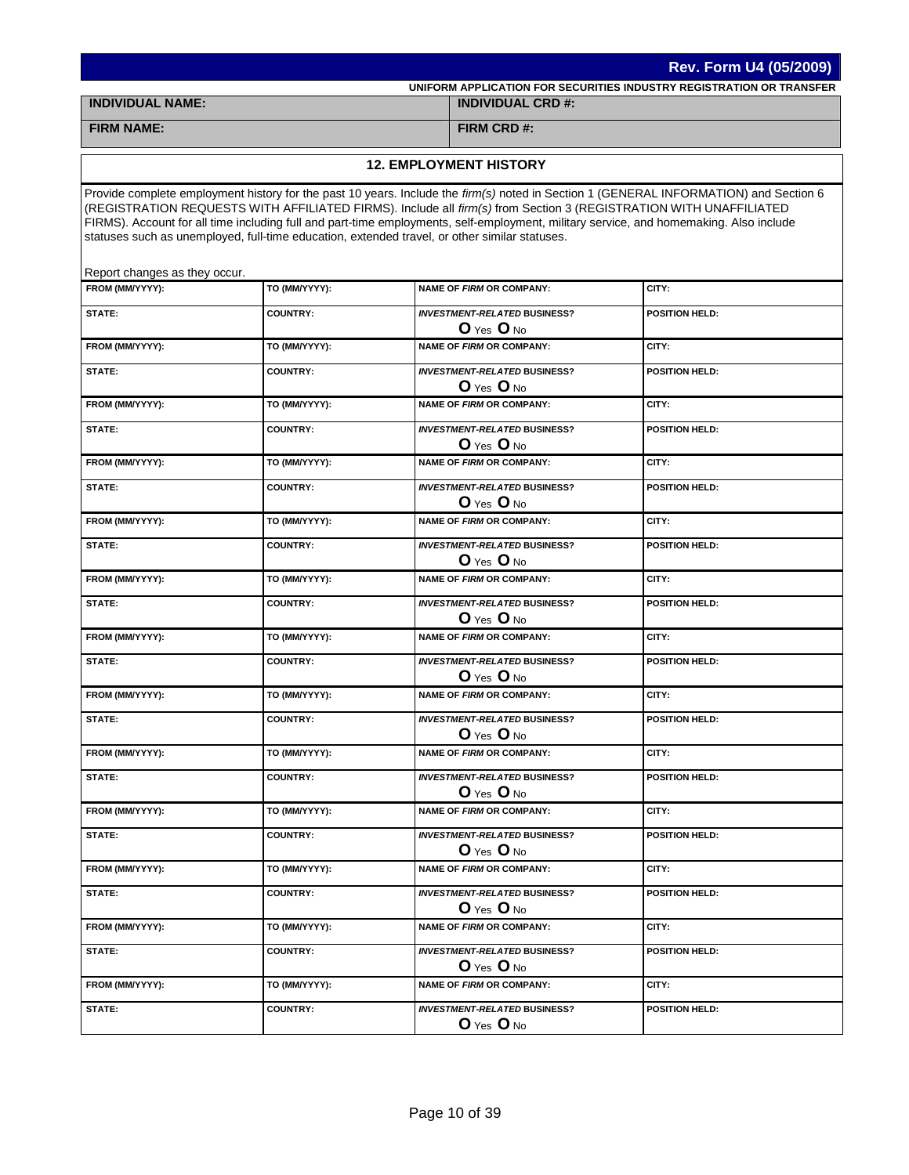|                                                  | Rev. Form U4 (05/2009)                                                                        |  |                                                       |                                                                                                                                                                                                                                                                                                                                                                                                      |  |
|--------------------------------------------------|-----------------------------------------------------------------------------------------------|--|-------------------------------------------------------|------------------------------------------------------------------------------------------------------------------------------------------------------------------------------------------------------------------------------------------------------------------------------------------------------------------------------------------------------------------------------------------------------|--|
|                                                  |                                                                                               |  |                                                       | UNIFORM APPLICATION FOR SECURITIES INDUSTRY REGISTRATION OR TRANSFER                                                                                                                                                                                                                                                                                                                                 |  |
| <b>INDIVIDUAL NAME:</b>                          |                                                                                               |  | <b>INDIVIDUAL CRD #:</b>                              |                                                                                                                                                                                                                                                                                                                                                                                                      |  |
| <b>FIRM NAME:</b>                                |                                                                                               |  | FIRM CRD#:                                            |                                                                                                                                                                                                                                                                                                                                                                                                      |  |
|                                                  |                                                                                               |  | <b>12. EMPLOYMENT HISTORY</b>                         |                                                                                                                                                                                                                                                                                                                                                                                                      |  |
|                                                  |                                                                                               |  |                                                       |                                                                                                                                                                                                                                                                                                                                                                                                      |  |
|                                                  | statuses such as unemployed, full-time education, extended travel, or other similar statuses. |  |                                                       | Provide complete employment history for the past 10 years. Include the firm(s) noted in Section 1 (GENERAL INFORMATION) and Section 6<br>(REGISTRATION REQUESTS WITH AFFILIATED FIRMS). Include all firm(s) from Section 3 (REGISTRATION WITH UNAFFILIATED<br>FIRMS). Account for all time including full and part-time employments, self-employment, military service, and homemaking. Also include |  |
| Report changes as they occur.<br>FROM (MM/YYYY): | TO (MM/YYYY):                                                                                 |  | NAME OF FIRM OR COMPANY:                              | CITY:                                                                                                                                                                                                                                                                                                                                                                                                |  |
|                                                  |                                                                                               |  |                                                       |                                                                                                                                                                                                                                                                                                                                                                                                      |  |
| STATE:                                           | <b>COUNTRY:</b>                                                                               |  | <b>INVESTMENT-RELATED BUSINESS?</b><br>O Yes O No     | POSITION HELD:                                                                                                                                                                                                                                                                                                                                                                                       |  |
| FROM (MM/YYYY):                                  | TO (MM/YYYY):                                                                                 |  | <b>NAME OF FIRM OR COMPANY:</b>                       | CITY:                                                                                                                                                                                                                                                                                                                                                                                                |  |
| STATE:                                           | <b>COUNTRY:</b>                                                                               |  | <b>INVESTMENT-RELATED BUSINESS?</b><br>$O$ Yes $O$ No | <b>POSITION HELD:</b>                                                                                                                                                                                                                                                                                                                                                                                |  |
| FROM (MM/YYYY):                                  | TO (MM/YYYY):                                                                                 |  | <b>NAME OF FIRM OR COMPANY:</b>                       | CITY:                                                                                                                                                                                                                                                                                                                                                                                                |  |
| STATE:                                           | <b>COUNTRY:</b>                                                                               |  | <b>INVESTMENT-RELATED BUSINESS?</b><br>O Yes O No     | <b>POSITION HELD:</b>                                                                                                                                                                                                                                                                                                                                                                                |  |
| FROM (MM/YYYY):                                  | TO (MM/YYYY):                                                                                 |  | <b>NAME OF FIRM OR COMPANY:</b>                       | CITY:                                                                                                                                                                                                                                                                                                                                                                                                |  |
| STATE:                                           | <b>COUNTRY:</b>                                                                               |  | <b>INVESTMENT-RELATED BUSINESS?</b>                   | <b>POSITION HELD:</b>                                                                                                                                                                                                                                                                                                                                                                                |  |
| FROM (MM/YYYY):                                  | TO (MM/YYYY):                                                                                 |  | O Yes O No<br><b>NAME OF FIRM OR COMPANY:</b>         | CITY:                                                                                                                                                                                                                                                                                                                                                                                                |  |
| STATE:                                           | <b>COUNTRY:</b>                                                                               |  | <b>INVESTMENT-RELATED BUSINESS?</b><br>$O$ Yes $O$ No | <b>POSITION HELD:</b>                                                                                                                                                                                                                                                                                                                                                                                |  |
| FROM (MM/YYYY):                                  | TO (MM/YYYY):                                                                                 |  | <b>NAME OF FIRM OR COMPANY:</b>                       | CITY:                                                                                                                                                                                                                                                                                                                                                                                                |  |
| STATE:                                           | <b>COUNTRY:</b>                                                                               |  | <b>INVESTMENT-RELATED BUSINESS?</b>                   | <b>POSITION HELD:</b>                                                                                                                                                                                                                                                                                                                                                                                |  |
| FROM (MM/YYYY):                                  | TO (MM/YYYY):                                                                                 |  | $O$ Yes $O$ No<br><b>NAME OF FIRM OR COMPANY:</b>     | CITY:                                                                                                                                                                                                                                                                                                                                                                                                |  |
| STATE:                                           | <b>COUNTRY:</b>                                                                               |  | <b>INVESTMENT-RELATED BUSINESS?</b>                   | POSITION HELD:                                                                                                                                                                                                                                                                                                                                                                                       |  |
|                                                  |                                                                                               |  | $O$ Yes $O$ No                                        |                                                                                                                                                                                                                                                                                                                                                                                                      |  |
| FROM (MM/YYYY):                                  | TO (MM/YYYY):                                                                                 |  | <b>NAME OF FIRM OR COMPANY:</b>                       | CITY:                                                                                                                                                                                                                                                                                                                                                                                                |  |
| STATE:                                           | <b>COUNTRY:</b>                                                                               |  | <b>INVESTMENT-RELATED BUSINESS?</b><br>O Yes O No     | <b>POSITION HELD:</b>                                                                                                                                                                                                                                                                                                                                                                                |  |
| FROM (MM/YYYY):                                  | TO (MM/YYYY):                                                                                 |  | NAME OF FIRM OR COMPANY:                              | CITY:                                                                                                                                                                                                                                                                                                                                                                                                |  |
| STATE:                                           | <b>COUNTRY:</b>                                                                               |  | <b>INVESTMENT-RELATED BUSINESS?</b>                   | POSITION HELD:                                                                                                                                                                                                                                                                                                                                                                                       |  |
|                                                  |                                                                                               |  | O Yes O No                                            |                                                                                                                                                                                                                                                                                                                                                                                                      |  |
| FROM (MM/YYYY):                                  | TO (MM/YYYY):                                                                                 |  | <b>NAME OF FIRM OR COMPANY:</b>                       | CITY:                                                                                                                                                                                                                                                                                                                                                                                                |  |
| STATE:                                           | <b>COUNTRY:</b>                                                                               |  | <b>INVESTMENT-RELATED BUSINESS?</b><br>$O$ Yes $O$ No | <b>POSITION HELD:</b>                                                                                                                                                                                                                                                                                                                                                                                |  |
| FROM (MM/YYYY):                                  | TO (MM/YYYY):                                                                                 |  | <b>NAME OF FIRM OR COMPANY:</b>                       | CITY:                                                                                                                                                                                                                                                                                                                                                                                                |  |
| STATE:                                           | <b>COUNTRY:</b>                                                                               |  | <b>INVESTMENT-RELATED BUSINESS?</b><br>$O$ Yes $O$ No | <b>POSITION HELD:</b>                                                                                                                                                                                                                                                                                                                                                                                |  |
| FROM (MM/YYYY):                                  | TO (MM/YYYY):                                                                                 |  | NAME OF FIRM OR COMPANY:                              | CITY:                                                                                                                                                                                                                                                                                                                                                                                                |  |
| STATE:                                           | <b>COUNTRY:</b>                                                                               |  | <b>INVESTMENT-RELATED BUSINESS?</b><br>O Yes O No     | <b>POSITION HELD:</b>                                                                                                                                                                                                                                                                                                                                                                                |  |
| FROM (MM/YYYY):                                  | TO (MM/YYYY):                                                                                 |  | <b>NAME OF FIRM OR COMPANY:</b>                       | CITY:                                                                                                                                                                                                                                                                                                                                                                                                |  |
| STATE:                                           | <b>COUNTRY:</b>                                                                               |  | <b>INVESTMENT-RELATED BUSINESS?</b><br>O Yes O No     | <b>POSITION HELD:</b>                                                                                                                                                                                                                                                                                                                                                                                |  |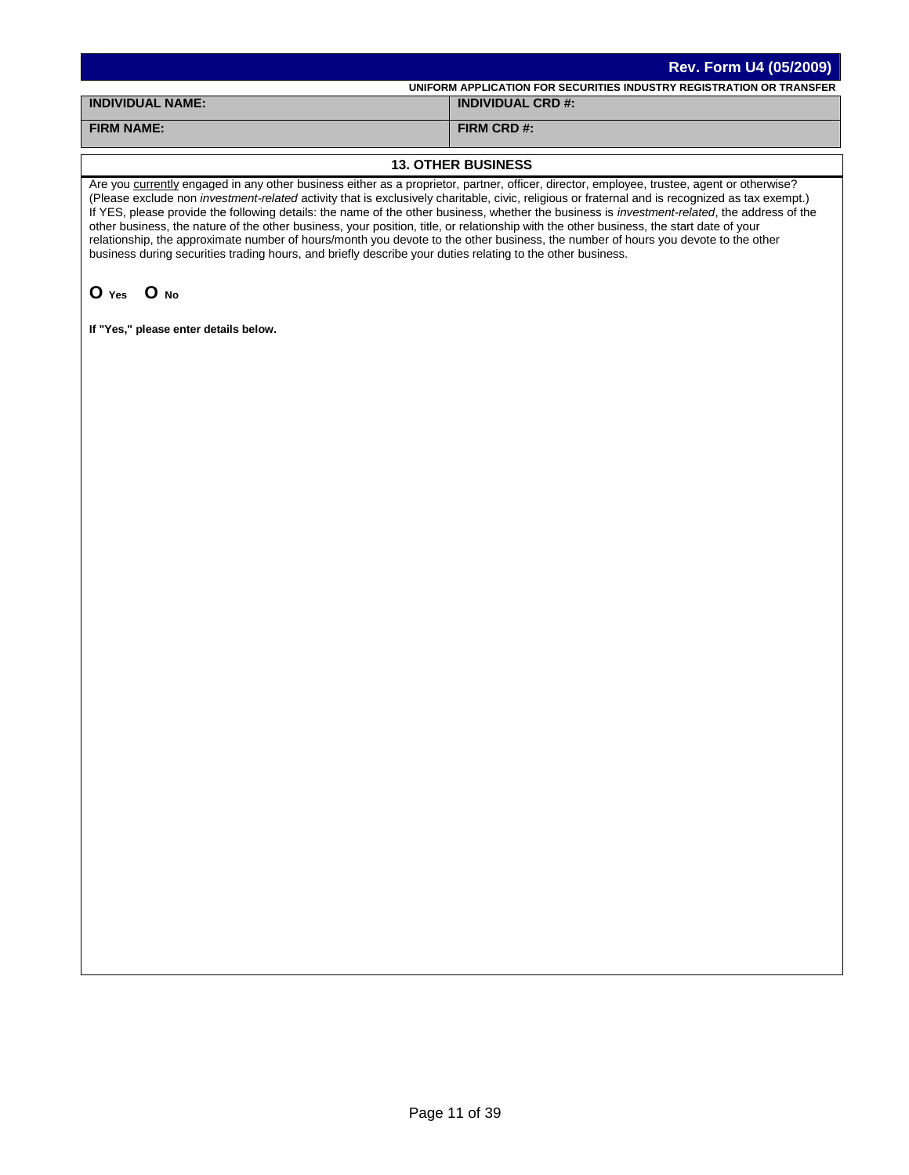| <b>Rev. Form U4 (05/2009)</b>                                        |
|----------------------------------------------------------------------|
| UNIFORM APPLICATION FOR SECURITIES INDUSTRY REGISTRATION OR TRANSFER |
| <b>INDIVIDUAL CRD #:</b>                                             |
| FIRM CRD #:                                                          |
|                                                                      |

### **13. OTHER BUSINESS**

Are you currently engaged in any other business either as a proprietor, partner, officer, director, employee, trustee, agent or otherwise? (Please exclude non *investment-related* activity that is exclusively charitable, civic, religious or fraternal and is recognized as tax exempt.) If YES, please provide the following details: the name of the other business, whether the business is *investment-related*, the address of the other business, the nature of the other business, your position, title, or relationship with the other business, the start date of your relationship, the approximate number of hours/month you devote to the other business, the number of hours you devote to the other business during securities trading hours, and briefly describe your duties relating to the other business.

# **O Yes O No**

**If "Yes," please enter details below.**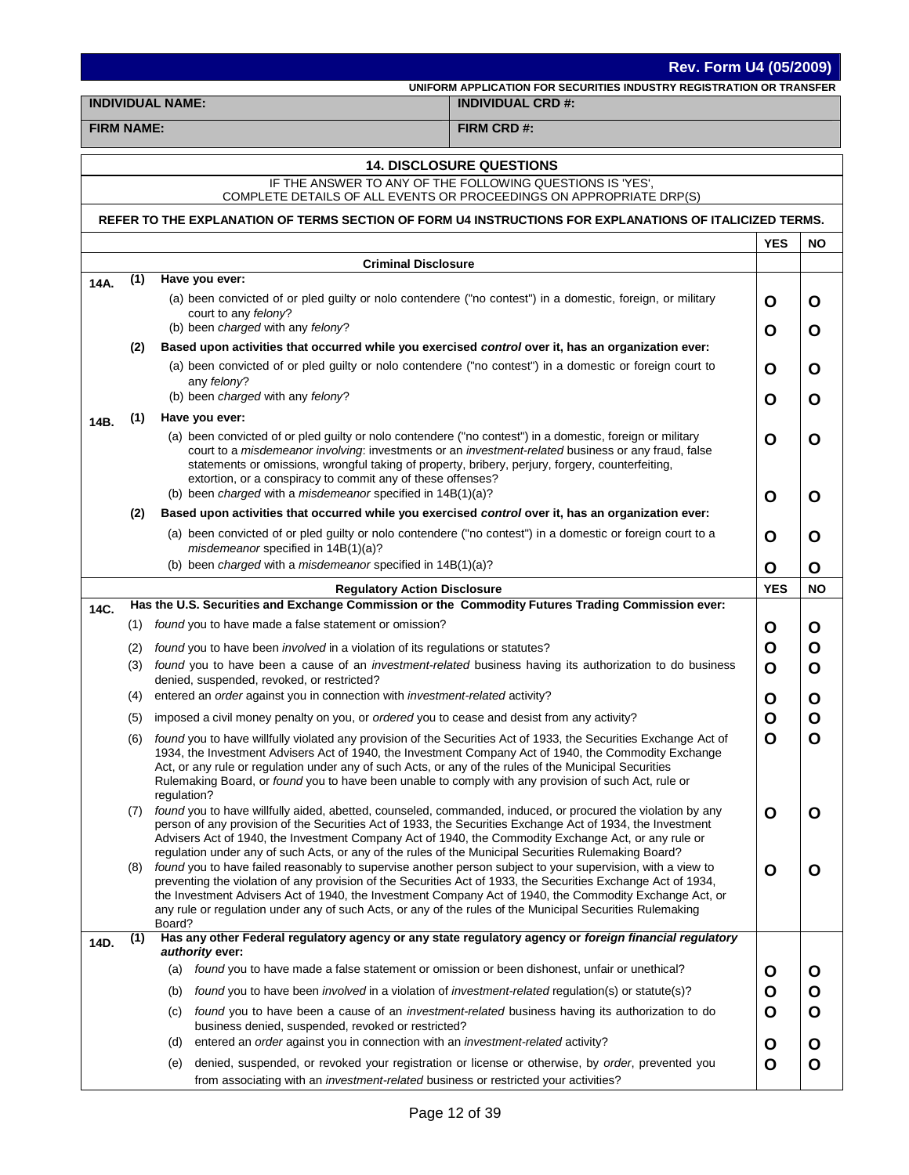|                   | <b>Rev. Form U4 (05/2009)</b> |                                                                                                                                                                                                                                                                                                                                                                                                                                                                                                                                                                        |                                                                                                                                  |             |           |
|-------------------|-------------------------------|------------------------------------------------------------------------------------------------------------------------------------------------------------------------------------------------------------------------------------------------------------------------------------------------------------------------------------------------------------------------------------------------------------------------------------------------------------------------------------------------------------------------------------------------------------------------|----------------------------------------------------------------------------------------------------------------------------------|-------------|-----------|
|                   |                               | <b>INDIVIDUAL NAME:</b>                                                                                                                                                                                                                                                                                                                                                                                                                                                                                                                                                | UNIFORM APPLICATION FOR SECURITIES INDUSTRY REGISTRATION OR TRANSFER<br><b>INDIVIDUAL CRD #:</b>                                 |             |           |
| <b>FIRM NAME:</b> |                               |                                                                                                                                                                                                                                                                                                                                                                                                                                                                                                                                                                        | FIRM CRD #:                                                                                                                      |             |           |
|                   |                               |                                                                                                                                                                                                                                                                                                                                                                                                                                                                                                                                                                        |                                                                                                                                  |             |           |
|                   |                               |                                                                                                                                                                                                                                                                                                                                                                                                                                                                                                                                                                        | <b>14. DISCLOSURE QUESTIONS</b>                                                                                                  |             |           |
|                   |                               |                                                                                                                                                                                                                                                                                                                                                                                                                                                                                                                                                                        | IF THE ANSWER TO ANY OF THE FOLLOWING QUESTIONS IS 'YES',<br>COMPLETE DETAILS OF ALL EVENTS OR PROCEEDINGS ON APPROPRIATE DRP(S) |             |           |
|                   |                               |                                                                                                                                                                                                                                                                                                                                                                                                                                                                                                                                                                        | REFER TO THE EXPLANATION OF TERMS SECTION OF FORM U4 INSTRUCTIONS FOR EXPLANATIONS OF ITALICIZED TERMS.                          |             |           |
|                   |                               |                                                                                                                                                                                                                                                                                                                                                                                                                                                                                                                                                                        |                                                                                                                                  | <b>YES</b>  | <b>NO</b> |
|                   |                               | <b>Criminal Disclosure</b>                                                                                                                                                                                                                                                                                                                                                                                                                                                                                                                                             |                                                                                                                                  |             |           |
| 14A.              | (1)                           | Have you ever:                                                                                                                                                                                                                                                                                                                                                                                                                                                                                                                                                         |                                                                                                                                  |             |           |
|                   |                               | (a) been convicted of or pled guilty or nolo contendere ("no contest") in a domestic, foreign, or military<br>court to any felony?                                                                                                                                                                                                                                                                                                                                                                                                                                     |                                                                                                                                  | O           | O         |
|                   | (2)                           | (b) been charged with any felony?<br>Based upon activities that occurred while you exercised control over it, has an organization ever:                                                                                                                                                                                                                                                                                                                                                                                                                                |                                                                                                                                  | O           | O         |
|                   |                               | (a) been convicted of or pled guilty or nolo contendere ("no contest") in a domestic or foreign court to                                                                                                                                                                                                                                                                                                                                                                                                                                                               |                                                                                                                                  | O           | О         |
|                   |                               | any felony?<br>(b) been charged with any felony?                                                                                                                                                                                                                                                                                                                                                                                                                                                                                                                       |                                                                                                                                  | O           | O         |
| 14B.              | (1)                           | Have you ever:                                                                                                                                                                                                                                                                                                                                                                                                                                                                                                                                                         |                                                                                                                                  |             |           |
|                   |                               | (a) been convicted of or pled guilty or nolo contendere ("no contest") in a domestic, foreign or military<br>court to a misdemeanor involving: investments or an investment-related business or any fraud, false<br>statements or omissions, wrongful taking of property, bribery, perjury, forgery, counterfeiting,<br>extortion, or a conspiracy to commit any of these offenses?                                                                                                                                                                                    |                                                                                                                                  | O           | O         |
|                   |                               | (b) been charged with a misdemeanor specified in $14B(1)(a)?$                                                                                                                                                                                                                                                                                                                                                                                                                                                                                                          |                                                                                                                                  | O           | O         |
|                   | (2)                           | Based upon activities that occurred while you exercised control over it, has an organization ever:<br>(a) been convicted of or pled guilty or nolo contendere ("no contest") in a domestic or foreign court to a                                                                                                                                                                                                                                                                                                                                                       |                                                                                                                                  |             |           |
|                   |                               | misdemeanor specified in 14B(1)(a)?                                                                                                                                                                                                                                                                                                                                                                                                                                                                                                                                    |                                                                                                                                  | O           | O         |
|                   |                               | (b) been charged with a misdemeanor specified in 14B(1)(a)?                                                                                                                                                                                                                                                                                                                                                                                                                                                                                                            |                                                                                                                                  | O           | O         |
| 14C.              |                               | <b>Regulatory Action Disclosure</b><br>Has the U.S. Securities and Exchange Commission or the Commodity Futures Trading Commission ever:                                                                                                                                                                                                                                                                                                                                                                                                                               |                                                                                                                                  | <b>YES</b>  | <b>NO</b> |
|                   | (1)                           | found you to have made a false statement or omission?                                                                                                                                                                                                                                                                                                                                                                                                                                                                                                                  |                                                                                                                                  | O           | O         |
|                   | (2)                           | found you to have been <i>involved</i> in a violation of its regulations or statutes?                                                                                                                                                                                                                                                                                                                                                                                                                                                                                  |                                                                                                                                  | O           | Ο         |
|                   | (3)                           | found you to have been a cause of an <i>investment-related</i> business having its authorization to do business<br>denied, suspended, revoked, or restricted?                                                                                                                                                                                                                                                                                                                                                                                                          |                                                                                                                                  | O           | O         |
|                   | (4)                           | entered an order against you in connection with <i>investment-related</i> activity?                                                                                                                                                                                                                                                                                                                                                                                                                                                                                    |                                                                                                                                  | O           | Ő         |
|                   | (5)                           | imposed a civil money penalty on you, or <i>ordered</i> you to cease and desist from any activity?                                                                                                                                                                                                                                                                                                                                                                                                                                                                     |                                                                                                                                  | O           | O         |
|                   | (6)                           | found you to have willfully violated any provision of the Securities Act of 1933, the Securities Exchange Act of<br>1934, the Investment Advisers Act of 1940, the Investment Company Act of 1940, the Commodity Exchange<br>Act, or any rule or regulation under any of such Acts, or any of the rules of the Municipal Securities<br>Rulemaking Board, or found you to have been unable to comply with any provision of such Act, rule or<br>regulation?                                                                                                             |                                                                                                                                  | $\mathbf O$ | O         |
|                   | (7)                           | found you to have willfully aided, abetted, counseled, commanded, induced, or procured the violation by any<br>person of any provision of the Securities Act of 1933, the Securities Exchange Act of 1934, the Investment<br>Advisers Act of 1940, the Investment Company Act of 1940, the Commodity Exchange Act, or any rule or                                                                                                                                                                                                                                      |                                                                                                                                  | O           | O         |
|                   | (8)                           | regulation under any of such Acts, or any of the rules of the Municipal Securities Rulemaking Board?<br>found you to have failed reasonably to supervise another person subject to your supervision, with a view to<br>preventing the violation of any provision of the Securities Act of 1933, the Securities Exchange Act of 1934,<br>the Investment Advisers Act of 1940, the Investment Company Act of 1940, the Commodity Exchange Act, or<br>any rule or regulation under any of such Acts, or any of the rules of the Municipal Securities Rulemaking<br>Board? |                                                                                                                                  | $\mathbf O$ | O         |
| 14D.              | (1)                           | Has any other Federal regulatory agency or any state regulatory agency or foreign financial regulatory<br>authority ever:                                                                                                                                                                                                                                                                                                                                                                                                                                              |                                                                                                                                  |             |           |
|                   |                               | (a) found you to have made a false statement or omission or been dishonest, unfair or unethical?                                                                                                                                                                                                                                                                                                                                                                                                                                                                       |                                                                                                                                  | O           | O         |
|                   |                               | found you to have been <i>involved</i> in a violation of <i>investment-related</i> regulation(s) or statute(s)?<br>(b)                                                                                                                                                                                                                                                                                                                                                                                                                                                 |                                                                                                                                  | $\mathbf O$ | O         |
|                   |                               | (c)<br>business denied, suspended, revoked or restricted?                                                                                                                                                                                                                                                                                                                                                                                                                                                                                                              | found you to have been a cause of an <i>investment-related</i> business having its authorization to do                           | O           | O         |
|                   |                               | entered an order against you in connection with an <i>investment-related</i> activity?<br>(d)                                                                                                                                                                                                                                                                                                                                                                                                                                                                          |                                                                                                                                  | O           | O         |
|                   |                               | (e)<br>from associating with an investment-related business or restricted your activities?                                                                                                                                                                                                                                                                                                                                                                                                                                                                             | denied, suspended, or revoked your registration or license or otherwise, by order, prevented you                                 | O           | O         |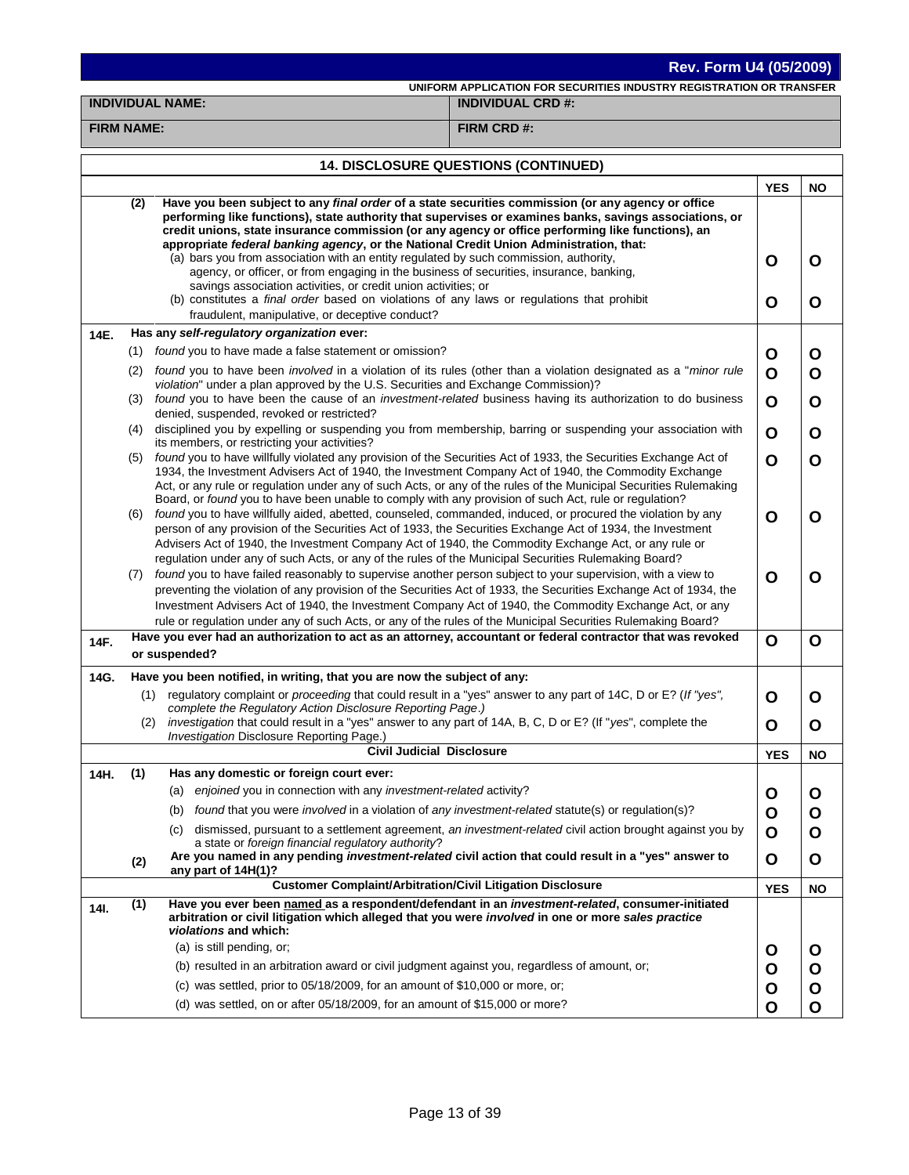# **Rev. Form U4 (05/2009)**

**UNIFORM APPLICATION FOR SECURITIES INDUSTRY REGISTRATION OR TRANSFER**

**INDIVIDUAL NAME: INDIVIDUAL CRD #:**

**FIRM NAME: FIRM CRD #:**

|      |     | <b>14. DISCLOSURE QUESTIONS (CONTINUED)</b>                                                                                                                                                                                                                                                                                                                                                                                                                                                                                                                                                      |              |              |
|------|-----|--------------------------------------------------------------------------------------------------------------------------------------------------------------------------------------------------------------------------------------------------------------------------------------------------------------------------------------------------------------------------------------------------------------------------------------------------------------------------------------------------------------------------------------------------------------------------------------------------|--------------|--------------|
|      |     |                                                                                                                                                                                                                                                                                                                                                                                                                                                                                                                                                                                                  | <b>YES</b>   | <b>NO</b>    |
|      | (2) | Have you been subject to any final order of a state securities commission (or any agency or office<br>performing like functions), state authority that supervises or examines banks, savings associations, or<br>credit unions, state insurance commission (or any agency or office performing like functions), an<br>appropriate federal banking agency, or the National Credit Union Administration, that:<br>(a) bars you from association with an entity regulated by such commission, authority,<br>agency, or officer, or from engaging in the business of securities, insurance, banking, | O            | O            |
|      |     | savings association activities, or credit union activities; or<br>(b) constitutes a <i>final order</i> based on violations of any laws or regulations that prohibit<br>fraudulent, manipulative, or deceptive conduct?                                                                                                                                                                                                                                                                                                                                                                           | O            | O            |
| 14E. |     | Has any self-regulatory organization ever:                                                                                                                                                                                                                                                                                                                                                                                                                                                                                                                                                       |              |              |
|      |     | (1) found you to have made a false statement or omission?                                                                                                                                                                                                                                                                                                                                                                                                                                                                                                                                        | Ο            | O            |
|      | (2) | found you to have been <i>involved</i> in a violation of its rules (other than a violation designated as a " <i>minor rule</i><br>violation" under a plan approved by the U.S. Securities and Exchange Commission)?                                                                                                                                                                                                                                                                                                                                                                              | O            | O            |
|      | (3) | found you to have been the cause of an investment-related business having its authorization to do business<br>denied, suspended, revoked or restricted?                                                                                                                                                                                                                                                                                                                                                                                                                                          | O            | O            |
|      | (4) | disciplined you by expelling or suspending you from membership, barring or suspending your association with<br>its members, or restricting your activities?                                                                                                                                                                                                                                                                                                                                                                                                                                      | O            | O            |
|      | (5) | found you to have willfully violated any provision of the Securities Act of 1933, the Securities Exchange Act of<br>1934, the Investment Advisers Act of 1940, the Investment Company Act of 1940, the Commodity Exchange<br>Act, or any rule or regulation under any of such Acts, or any of the rules of the Municipal Securities Rulemaking<br>Board, or found you to have been unable to comply with any provision of such Act, rule or regulation?                                                                                                                                          | O            | Ο            |
|      | (6) | found you to have willfully aided, abetted, counseled, commanded, induced, or procured the violation by any<br>person of any provision of the Securities Act of 1933, the Securities Exchange Act of 1934, the Investment<br>Advisers Act of 1940, the Investment Company Act of 1940, the Commodity Exchange Act, or any rule or<br>regulation under any of such Acts, or any of the rules of the Municipal Securities Rulemaking Board?                                                                                                                                                        | $\mathbf{o}$ | O            |
|      | (7) | found you to have failed reasonably to supervise another person subject to your supervision, with a view to<br>preventing the violation of any provision of the Securities Act of 1933, the Securities Exchange Act of 1934, the<br>Investment Advisers Act of 1940, the Investment Company Act of 1940, the Commodity Exchange Act, or any<br>rule or regulation under any of such Acts, or any of the rules of the Municipal Securities Rulemaking Board?                                                                                                                                      | O            | O            |
| 14F. |     | Have you ever had an authorization to act as an attorney, accountant or federal contractor that was revoked<br>or suspended?                                                                                                                                                                                                                                                                                                                                                                                                                                                                     | O            | O            |
| 14G. |     | Have you been notified, in writing, that you are now the subject of any:                                                                                                                                                                                                                                                                                                                                                                                                                                                                                                                         |              |              |
|      | (1) | regulatory complaint or proceeding that could result in a "yes" answer to any part of 14C, D or E? (If "yes",<br>complete the Regulatory Action Disclosure Reporting Page.)                                                                                                                                                                                                                                                                                                                                                                                                                      | O            | O            |
|      | (2) | investigation that could result in a "yes" answer to any part of 14A, B, C, D or E? (If "yes", complete the<br>Investigation Disclosure Reporting Page.)                                                                                                                                                                                                                                                                                                                                                                                                                                         | O            | O            |
|      |     | <b>Civil Judicial Disclosure</b>                                                                                                                                                                                                                                                                                                                                                                                                                                                                                                                                                                 | <b>YES</b>   | <b>NO</b>    |
| 14H. | (1) | Has any domestic or foreign court ever:                                                                                                                                                                                                                                                                                                                                                                                                                                                                                                                                                          |              |              |
|      |     | (a) enjoined you in connection with any investment-related activity?                                                                                                                                                                                                                                                                                                                                                                                                                                                                                                                             | O            | O            |
|      |     | (b) found that you were involved in a violation of any investment-related statute(s) or regulation(s)?                                                                                                                                                                                                                                                                                                                                                                                                                                                                                           | O            | O            |
|      |     | (c) dismissed, pursuant to a settlement agreement, an investment-related civil action brought against you by<br>a state or foreign financial regulatory authority?                                                                                                                                                                                                                                                                                                                                                                                                                               | O            | O            |
|      | (2) | Are you named in any pending investment-related civil action that could result in a "yes" answer to<br>any part of 14H(1)?                                                                                                                                                                                                                                                                                                                                                                                                                                                                       | O            | O            |
|      |     | <b>Customer Complaint/Arbitration/Civil Litigation Disclosure</b>                                                                                                                                                                                                                                                                                                                                                                                                                                                                                                                                | <b>YES</b>   | <b>NO</b>    |
| 14I. | (1) | Have you ever been named as a respondent/defendant in an <i>investment-related</i> , consumer-initiated<br>arbitration or civil litigation which alleged that you were involved in one or more sales practice<br>violations and which:                                                                                                                                                                                                                                                                                                                                                           |              |              |
|      |     | (a) is still pending, or;                                                                                                                                                                                                                                                                                                                                                                                                                                                                                                                                                                        | O            | O            |
|      |     | (b) resulted in an arbitration award or civil judgment against you, regardless of amount, or;                                                                                                                                                                                                                                                                                                                                                                                                                                                                                                    | O            | O            |
|      |     | (c) was settled, prior to 05/18/2009, for an amount of \$10,000 or more, or;                                                                                                                                                                                                                                                                                                                                                                                                                                                                                                                     | O            | O            |
|      |     | (d) was settled, on or after 05/18/2009, for an amount of \$15,000 or more?                                                                                                                                                                                                                                                                                                                                                                                                                                                                                                                      | O            | $\mathbf{o}$ |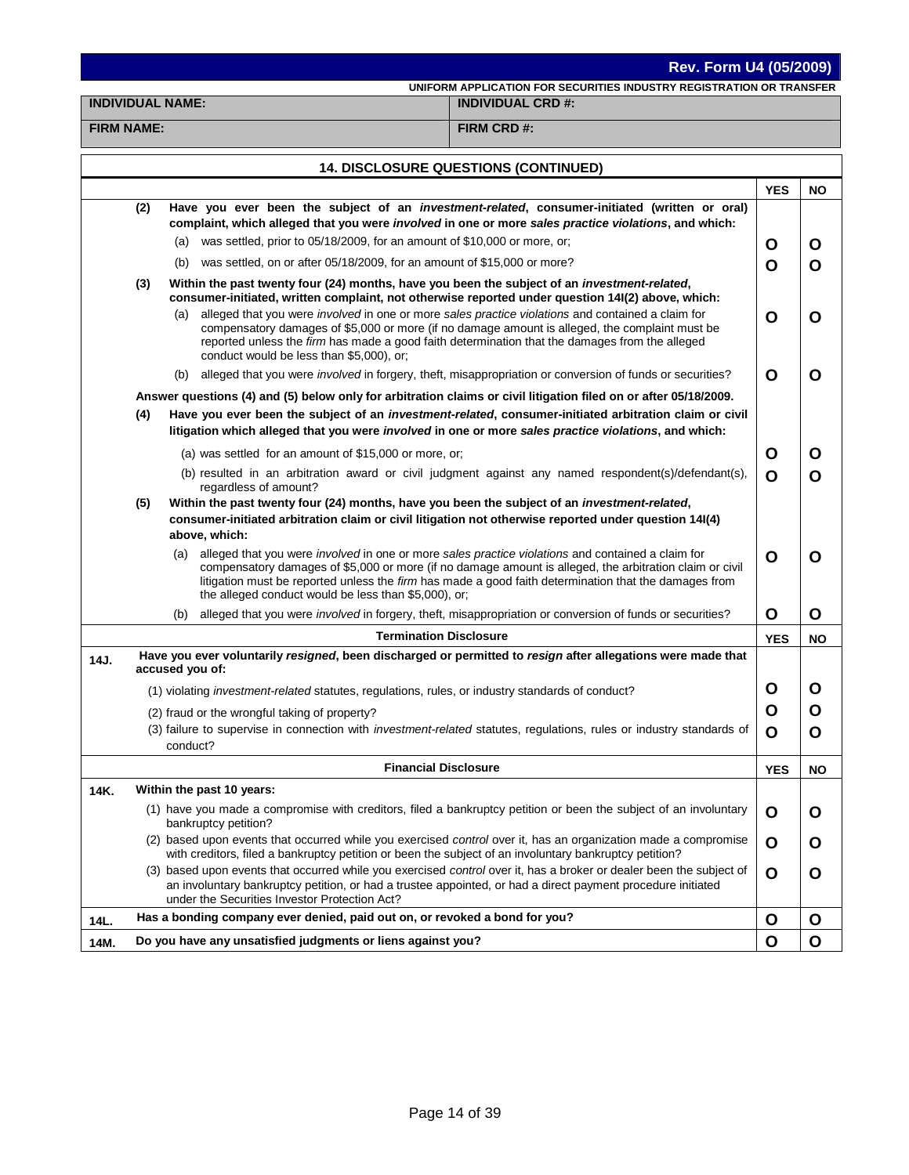**UNIFORM APPLICATION FOR SECURITIES INDUSTRY REGISTRATION OR TRANSFER**

**INDIVIDUAL NAME: INDIVIDUAL CRD #:**

**FIRM NAME: FIRM CRD #:**

|      |     | 14. DISCLOSURE QUESTIONS (CONTINUED)                                                                                                                                                                                                                                                                                                                                                               |             |              |
|------|-----|----------------------------------------------------------------------------------------------------------------------------------------------------------------------------------------------------------------------------------------------------------------------------------------------------------------------------------------------------------------------------------------------------|-------------|--------------|
|      |     |                                                                                                                                                                                                                                                                                                                                                                                                    | <b>YES</b>  | <b>NO</b>    |
|      | (2) | Have you ever been the subject of an investment-related, consumer-initiated (written or oral)<br>complaint, which alleged that you were involved in one or more sales practice violations, and which:                                                                                                                                                                                              |             |              |
|      |     | (a) was settled, prior to 05/18/2009, for an amount of \$10,000 or more, or;                                                                                                                                                                                                                                                                                                                       | O           | O            |
|      |     | (b) was settled, on or after 05/18/2009, for an amount of \$15,000 or more?                                                                                                                                                                                                                                                                                                                        | O           | O            |
|      | (3) | Within the past twenty four (24) months, have you been the subject of an <i>investment-related</i> ,<br>consumer-initiated, written complaint, not otherwise reported under question 14I(2) above, which:                                                                                                                                                                                          |             |              |
|      |     | alleged that you were involved in one or more sales practice violations and contained a claim for<br>(a)<br>compensatory damages of \$5,000 or more (if no damage amount is alleged, the complaint must be<br>reported unless the firm has made a good faith determination that the damages from the alleged<br>conduct would be less than \$5,000), or;                                           | O           | O            |
|      |     | alleged that you were <i>involved</i> in forgery, theft, misappropriation or conversion of funds or securities?<br>(b)                                                                                                                                                                                                                                                                             | O           | O            |
|      |     | Answer questions (4) and (5) below only for arbitration claims or civil litigation filed on or after 05/18/2009.                                                                                                                                                                                                                                                                                   |             |              |
|      | (4) | Have you ever been the subject of an investment-related, consumer-initiated arbitration claim or civil<br>litigation which alleged that you were involved in one or more sales practice violations, and which:                                                                                                                                                                                     |             |              |
|      |     | (a) was settled for an amount of \$15,000 or more, or;                                                                                                                                                                                                                                                                                                                                             | O           | O            |
|      |     | (b) resulted in an arbitration award or civil judgment against any named respondent(s)/defendant(s),<br>regardless of amount?                                                                                                                                                                                                                                                                      | O           | O            |
|      | (5) | Within the past twenty four (24) months, have you been the subject of an investment-related,<br>consumer-initiated arbitration claim or civil litigation not otherwise reported under question 14(4)<br>above, which:                                                                                                                                                                              |             |              |
|      |     | alleged that you were <i>involved</i> in one or more sales practice violations and contained a claim for<br>(a)<br>compensatory damages of \$5,000 or more (if no damage amount is alleged, the arbitration claim or civil<br>litigation must be reported unless the <i>firm</i> has made a good faith determination that the damages from<br>the alleged conduct would be less than \$5,000), or; | $\mathbf O$ | O            |
|      |     | alleged that you were involved in forgery, theft, misappropriation or conversion of funds or securities?<br>(b)                                                                                                                                                                                                                                                                                    | O           | O            |
|      |     | <b>Termination Disclosure</b>                                                                                                                                                                                                                                                                                                                                                                      | <b>YES</b>  | <b>NO</b>    |
| 14J. |     | Have you ever voluntarily resigned, been discharged or permitted to resign after allegations were made that<br>accused you of:                                                                                                                                                                                                                                                                     |             |              |
|      |     | (1) violating investment-related statutes, regulations, rules, or industry standards of conduct?                                                                                                                                                                                                                                                                                                   | O           | O            |
|      |     | (2) fraud or the wrongful taking of property?                                                                                                                                                                                                                                                                                                                                                      | O           | O            |
|      |     | (3) failure to supervise in connection with investment-related statutes, regulations, rules or industry standards of<br>conduct?                                                                                                                                                                                                                                                                   | O           | O            |
|      |     | <b>Financial Disclosure</b>                                                                                                                                                                                                                                                                                                                                                                        | <b>YES</b>  | <b>NO</b>    |
| 14K. |     | Within the past 10 years:                                                                                                                                                                                                                                                                                                                                                                          |             |              |
|      |     | (1) have you made a compromise with creditors, filed a bankruptcy petition or been the subject of an involuntary<br>bankruptcy petition?                                                                                                                                                                                                                                                           | O           | O            |
|      |     | (2) based upon events that occurred while you exercised control over it, has an organization made a compromise<br>with creditors, filed a bankruptcy petition or been the subject of an involuntary bankruptcy petition?                                                                                                                                                                           | O           | O            |
|      |     | (3) based upon events that occurred while you exercised control over it, has a broker or dealer been the subject of<br>an involuntary bankruptcy petition, or had a trustee appointed, or had a direct payment procedure initiated<br>under the Securities Investor Protection Act?                                                                                                                | O           | O            |
| 14L. |     | Has a bonding company ever denied, paid out on, or revoked a bond for you?                                                                                                                                                                                                                                                                                                                         | O           | O            |
| 14M. |     | Do you have any unsatisfied judgments or liens against you?                                                                                                                                                                                                                                                                                                                                        | O           | $\mathbf{o}$ |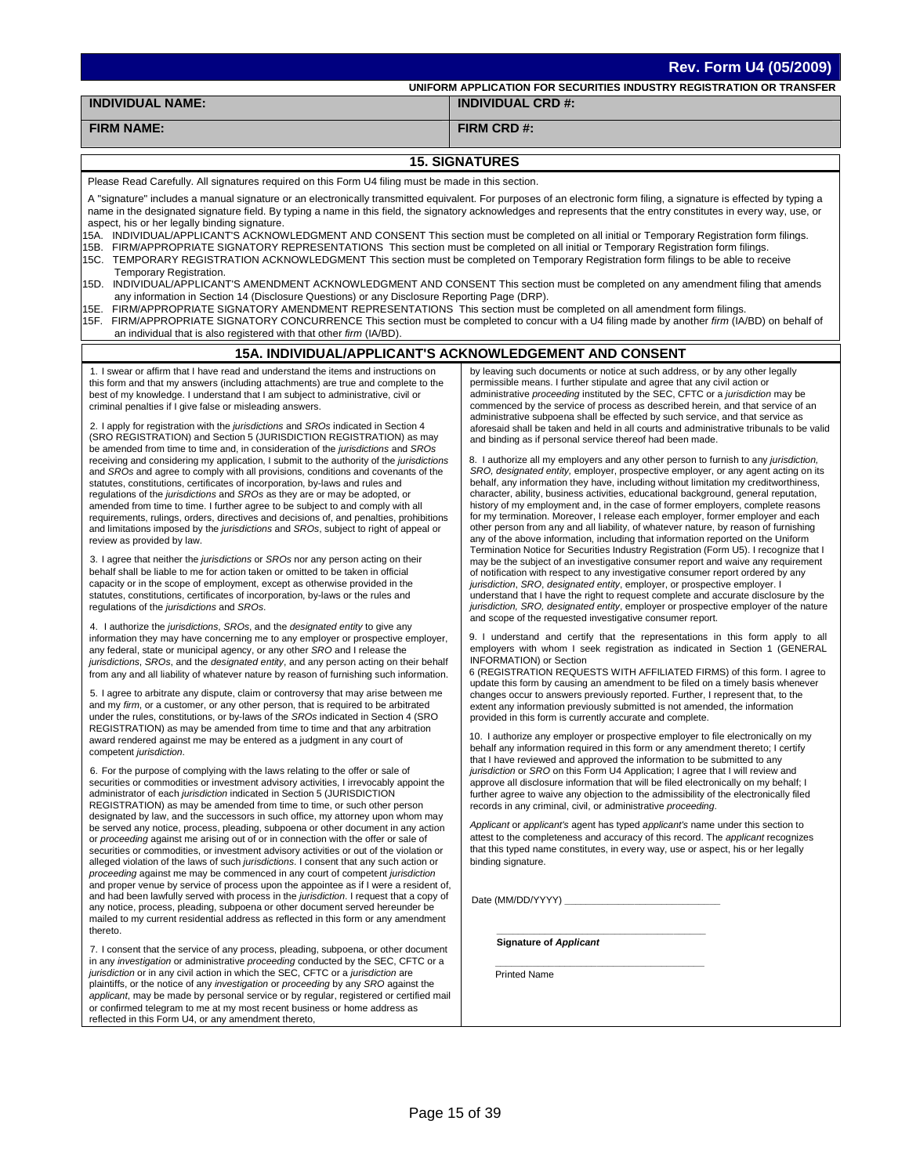| <b>INDIVIDUAL NAME:</b>                                                                                                                                                                                                                                                                                                                                                                                                                                                                                                                                                                                                                                                                                                                                                                                                                                                                                                                                                                                                                                                                                                                                                                                                                                                                                                                                                                                                                                                                                                                                                                                                                                                                                                                                                                                                                                                                                                                                                                                                                                                                                                                                                                                                                                                                                                                                                                                                                                                                                                                                                                                                                                                                                                                                                                                                                                                                                                                                                                                                                                                                                                                                                                                                                                                                                                                                                                                                                                                                                                                                                                                                                                                                                                                                                                                                                                                                                                                                                                                                                                                                                                                                                                                                                                                                                                       | UNIFORM APPLICATION FOR SECURITIES INDUSTRY REGISTRATION OR TRANSFER                                                                                                                                                                                                                                                                                                                                                                                                                                                                                                                                                                                                                                                                                                                                                                                                                                                                                                                                                                                                                                                                                                                                                                                                                                                                                                                                                                                                                                                                                                                                                                                                                                                                                                                                                                                                                                                                                                                                                                                                                                                                                                                                                                                                                                                                                                                                                                                                                                                                                                                                                                                                                                                                                                                                                                                                                                                                                                                                                                                                                                                                                                                                                                                                                                                                                                                                                                          |
|-------------------------------------------------------------------------------------------------------------------------------------------------------------------------------------------------------------------------------------------------------------------------------------------------------------------------------------------------------------------------------------------------------------------------------------------------------------------------------------------------------------------------------------------------------------------------------------------------------------------------------------------------------------------------------------------------------------------------------------------------------------------------------------------------------------------------------------------------------------------------------------------------------------------------------------------------------------------------------------------------------------------------------------------------------------------------------------------------------------------------------------------------------------------------------------------------------------------------------------------------------------------------------------------------------------------------------------------------------------------------------------------------------------------------------------------------------------------------------------------------------------------------------------------------------------------------------------------------------------------------------------------------------------------------------------------------------------------------------------------------------------------------------------------------------------------------------------------------------------------------------------------------------------------------------------------------------------------------------------------------------------------------------------------------------------------------------------------------------------------------------------------------------------------------------------------------------------------------------------------------------------------------------------------------------------------------------------------------------------------------------------------------------------------------------------------------------------------------------------------------------------------------------------------------------------------------------------------------------------------------------------------------------------------------------------------------------------------------------------------------------------------------------------------------------------------------------------------------------------------------------------------------------------------------------------------------------------------------------------------------------------------------------------------------------------------------------------------------------------------------------------------------------------------------------------------------------------------------------------------------------------------------------------------------------------------------------------------------------------------------------------------------------------------------------------------------------------------------------------------------------------------------------------------------------------------------------------------------------------------------------------------------------------------------------------------------------------------------------------------------------------------------------------------------------------------------------------------------------------------------------------------------------------------------------------------------------------------------------------------------------------------------------------------------------------------------------------------------------------------------------------------------------------------------------------------------------------------------------------------------------------------------------------------------------------------------------|-----------------------------------------------------------------------------------------------------------------------------------------------------------------------------------------------------------------------------------------------------------------------------------------------------------------------------------------------------------------------------------------------------------------------------------------------------------------------------------------------------------------------------------------------------------------------------------------------------------------------------------------------------------------------------------------------------------------------------------------------------------------------------------------------------------------------------------------------------------------------------------------------------------------------------------------------------------------------------------------------------------------------------------------------------------------------------------------------------------------------------------------------------------------------------------------------------------------------------------------------------------------------------------------------------------------------------------------------------------------------------------------------------------------------------------------------------------------------------------------------------------------------------------------------------------------------------------------------------------------------------------------------------------------------------------------------------------------------------------------------------------------------------------------------------------------------------------------------------------------------------------------------------------------------------------------------------------------------------------------------------------------------------------------------------------------------------------------------------------------------------------------------------------------------------------------------------------------------------------------------------------------------------------------------------------------------------------------------------------------------------------------------------------------------------------------------------------------------------------------------------------------------------------------------------------------------------------------------------------------------------------------------------------------------------------------------------------------------------------------------------------------------------------------------------------------------------------------------------------------------------------------------------------------------------------------------------------------------------------------------------------------------------------------------------------------------------------------------------------------------------------------------------------------------------------------------------------------------------------------------------------------------------------------------------------------------------------------------------------------------------------------------------------------------------------------------|
|                                                                                                                                                                                                                                                                                                                                                                                                                                                                                                                                                                                                                                                                                                                                                                                                                                                                                                                                                                                                                                                                                                                                                                                                                                                                                                                                                                                                                                                                                                                                                                                                                                                                                                                                                                                                                                                                                                                                                                                                                                                                                                                                                                                                                                                                                                                                                                                                                                                                                                                                                                                                                                                                                                                                                                                                                                                                                                                                                                                                                                                                                                                                                                                                                                                                                                                                                                                                                                                                                                                                                                                                                                                                                                                                                                                                                                                                                                                                                                                                                                                                                                                                                                                                                                                                                                                               | <b>INDIVIDUAL CRD #:</b>                                                                                                                                                                                                                                                                                                                                                                                                                                                                                                                                                                                                                                                                                                                                                                                                                                                                                                                                                                                                                                                                                                                                                                                                                                                                                                                                                                                                                                                                                                                                                                                                                                                                                                                                                                                                                                                                                                                                                                                                                                                                                                                                                                                                                                                                                                                                                                                                                                                                                                                                                                                                                                                                                                                                                                                                                                                                                                                                                                                                                                                                                                                                                                                                                                                                                                                                                                                                                      |
| <b>FIRM NAME:</b>                                                                                                                                                                                                                                                                                                                                                                                                                                                                                                                                                                                                                                                                                                                                                                                                                                                                                                                                                                                                                                                                                                                                                                                                                                                                                                                                                                                                                                                                                                                                                                                                                                                                                                                                                                                                                                                                                                                                                                                                                                                                                                                                                                                                                                                                                                                                                                                                                                                                                                                                                                                                                                                                                                                                                                                                                                                                                                                                                                                                                                                                                                                                                                                                                                                                                                                                                                                                                                                                                                                                                                                                                                                                                                                                                                                                                                                                                                                                                                                                                                                                                                                                                                                                                                                                                                             | FIRM CRD #:                                                                                                                                                                                                                                                                                                                                                                                                                                                                                                                                                                                                                                                                                                                                                                                                                                                                                                                                                                                                                                                                                                                                                                                                                                                                                                                                                                                                                                                                                                                                                                                                                                                                                                                                                                                                                                                                                                                                                                                                                                                                                                                                                                                                                                                                                                                                                                                                                                                                                                                                                                                                                                                                                                                                                                                                                                                                                                                                                                                                                                                                                                                                                                                                                                                                                                                                                                                                                                   |
|                                                                                                                                                                                                                                                                                                                                                                                                                                                                                                                                                                                                                                                                                                                                                                                                                                                                                                                                                                                                                                                                                                                                                                                                                                                                                                                                                                                                                                                                                                                                                                                                                                                                                                                                                                                                                                                                                                                                                                                                                                                                                                                                                                                                                                                                                                                                                                                                                                                                                                                                                                                                                                                                                                                                                                                                                                                                                                                                                                                                                                                                                                                                                                                                                                                                                                                                                                                                                                                                                                                                                                                                                                                                                                                                                                                                                                                                                                                                                                                                                                                                                                                                                                                                                                                                                                                               | <b>15. SIGNATURES</b>                                                                                                                                                                                                                                                                                                                                                                                                                                                                                                                                                                                                                                                                                                                                                                                                                                                                                                                                                                                                                                                                                                                                                                                                                                                                                                                                                                                                                                                                                                                                                                                                                                                                                                                                                                                                                                                                                                                                                                                                                                                                                                                                                                                                                                                                                                                                                                                                                                                                                                                                                                                                                                                                                                                                                                                                                                                                                                                                                                                                                                                                                                                                                                                                                                                                                                                                                                                                                         |
| Please Read Carefully. All signatures required on this Form U4 filing must be made in this section.                                                                                                                                                                                                                                                                                                                                                                                                                                                                                                                                                                                                                                                                                                                                                                                                                                                                                                                                                                                                                                                                                                                                                                                                                                                                                                                                                                                                                                                                                                                                                                                                                                                                                                                                                                                                                                                                                                                                                                                                                                                                                                                                                                                                                                                                                                                                                                                                                                                                                                                                                                                                                                                                                                                                                                                                                                                                                                                                                                                                                                                                                                                                                                                                                                                                                                                                                                                                                                                                                                                                                                                                                                                                                                                                                                                                                                                                                                                                                                                                                                                                                                                                                                                                                           |                                                                                                                                                                                                                                                                                                                                                                                                                                                                                                                                                                                                                                                                                                                                                                                                                                                                                                                                                                                                                                                                                                                                                                                                                                                                                                                                                                                                                                                                                                                                                                                                                                                                                                                                                                                                                                                                                                                                                                                                                                                                                                                                                                                                                                                                                                                                                                                                                                                                                                                                                                                                                                                                                                                                                                                                                                                                                                                                                                                                                                                                                                                                                                                                                                                                                                                                                                                                                                               |
| A "signature" includes a manual signature or an electronically transmitted equivalent. For purposes of an electronic form filing, a signature is effected by typing a<br>name in the designated signature field. By typing a name in this field, the signatory acknowledges and represents that the entry constitutes in every way, use, or<br>aspect, his or her legally binding signature.<br>15A. INDIVIDUAL/APPLICANT'S ACKNOWLEDGMENT AND CONSENT This section must be completed on all initial or Temporary Registration form filings.<br>15B. FIRM/APPROPRIATE SIGNATORY REPRESENTATIONS This section must be completed on all initial or Temporary Registration form filings.<br>15C. TEMPORARY REGISTRATION ACKNOWLEDGMENT This section must be completed on Temporary Registration form filings to be able to receive<br>Temporary Registration.<br>15D. INDIVIDUAL/APPLICANT'S AMENDMENT ACKNOWLEDGMENT AND CONSENT This section must be completed on any amendment filing that amends<br>any information in Section 14 (Disclosure Questions) or any Disclosure Reporting Page (DRP).<br>15E. FIRM/APPROPRIATE SIGNATORY AMENDMENT REPRESENTATIONS This section must be completed on all amendment form filings.<br>15F. FIRM/APPROPRIATE SIGNATORY CONCURRENCE This section must be completed to concur with a U4 filing made by another firm (IA/BD) on behalf of<br>an individual that is also registered with that other firm (IA/BD).                                                                                                                                                                                                                                                                                                                                                                                                                                                                                                                                                                                                                                                                                                                                                                                                                                                                                                                                                                                                                                                                                                                                                                                                                                                                                                                                                                                                                                                                                                                                                                                                                                                                                                                                                                                                                                                                                                                                                                                                                                                                                                                                                                                                                                                                                                                                                                                                                                                                                                                                                                                                                                                                                                                                                                                                                                                                        |                                                                                                                                                                                                                                                                                                                                                                                                                                                                                                                                                                                                                                                                                                                                                                                                                                                                                                                                                                                                                                                                                                                                                                                                                                                                                                                                                                                                                                                                                                                                                                                                                                                                                                                                                                                                                                                                                                                                                                                                                                                                                                                                                                                                                                                                                                                                                                                                                                                                                                                                                                                                                                                                                                                                                                                                                                                                                                                                                                                                                                                                                                                                                                                                                                                                                                                                                                                                                                               |
|                                                                                                                                                                                                                                                                                                                                                                                                                                                                                                                                                                                                                                                                                                                                                                                                                                                                                                                                                                                                                                                                                                                                                                                                                                                                                                                                                                                                                                                                                                                                                                                                                                                                                                                                                                                                                                                                                                                                                                                                                                                                                                                                                                                                                                                                                                                                                                                                                                                                                                                                                                                                                                                                                                                                                                                                                                                                                                                                                                                                                                                                                                                                                                                                                                                                                                                                                                                                                                                                                                                                                                                                                                                                                                                                                                                                                                                                                                                                                                                                                                                                                                                                                                                                                                                                                                                               | <b>15A. INDIVIDUAL/APPLICANT'S ACKNOWLEDGEMENT AND CONSENT</b>                                                                                                                                                                                                                                                                                                                                                                                                                                                                                                                                                                                                                                                                                                                                                                                                                                                                                                                                                                                                                                                                                                                                                                                                                                                                                                                                                                                                                                                                                                                                                                                                                                                                                                                                                                                                                                                                                                                                                                                                                                                                                                                                                                                                                                                                                                                                                                                                                                                                                                                                                                                                                                                                                                                                                                                                                                                                                                                                                                                                                                                                                                                                                                                                                                                                                                                                                                                |
| 1. I swear or affirm that I have read and understand the items and instructions on<br>this form and that my answers (including attachments) are true and complete to the<br>best of my knowledge. I understand that I am subject to administrative, civil or<br>criminal penalties if I give false or misleading answers.<br>2. I apply for registration with the jurisdictions and SROs indicated in Section 4<br>(SRO REGISTRATION) and Section 5 (JURISDICTION REGISTRATION) as may<br>be amended from time to time and, in consideration of the jurisdictions and SROs<br>receiving and considering my application, I submit to the authority of the jurisdictions<br>and SROs and agree to comply with all provisions, conditions and covenants of the<br>statutes, constitutions, certificates of incorporation, by-laws and rules and<br>regulations of the jurisdictions and SROs as they are or may be adopted, or<br>amended from time to time. I further agree to be subject to and comply with all<br>requirements, rulings, orders, directives and decisions of, and penalties, prohibitions<br>and limitations imposed by the jurisdictions and SROs, subject to right of appeal or<br>review as provided by law.<br>3. I agree that neither the <i>jurisdictions</i> or <i>SROs</i> nor any person acting on their<br>behalf shall be liable to me for action taken or omitted to be taken in official<br>capacity or in the scope of employment, except as otherwise provided in the<br>statutes, constitutions, certificates of incorporation, by-laws or the rules and<br>regulations of the jurisdictions and SROs.<br>4. I authorize the jurisdictions, SROs, and the designated entity to give any<br>information they may have concerning me to any employer or prospective employer,<br>any federal, state or municipal agency, or any other SRO and I release the<br>jurisdictions, SROs, and the designated entity, and any person acting on their behalf<br>from any and all liability of whatever nature by reason of furnishing such information.<br>5. I agree to arbitrate any dispute, claim or controversy that may arise between me<br>and my firm, or a customer, or any other person, that is required to be arbitrated<br>under the rules, constitutions, or by-laws of the SROs indicated in Section 4 (SRO<br>REGISTRATION) as may be amended from time to time and that any arbitration<br>award rendered against me may be entered as a judgment in any court of<br>competent jurisdiction.<br>6. For the purpose of complying with the laws relating to the offer or sale of<br>securities or commodities or investment advisory activities, I irrevocably appoint the<br>administrator of each jurisdiction indicated in Section 5 (JURISDICTION<br>REGISTRATION) as may be amended from time to time, or such other person<br>designated by law, and the successors in such office, my attorney upon whom may<br>be served any notice, process, pleading, subpoena or other document in any action<br>or proceeding against me arising out of or in connection with the offer or sale of<br>securities or commodities, or investment advisory activities or out of the violation or<br>alleged violation of the laws of such jurisdictions. I consent that any such action or<br>proceeding against me may be commenced in any court of competent jurisdiction<br>and proper venue by service of process upon the appointee as if I were a resident of,<br>and had been lawfully served with process in the jurisdiction. I request that a copy of<br>any notice, process, pleading, subpoena or other document served hereunder be<br>mailed to my current residential address as reflected in this form or any amendment<br>thereto.<br>7. I consent that the service of any process, pleading, subpoena, or other document<br>in any investigation or administrative proceeding conducted by the SEC, CFTC or a<br>jurisdiction or in any civil action in which the SEC, CFTC or a jurisdiction are<br>plaintiffs, or the notice of any <i>investigation</i> or <i>proceeding</i> by any SRO against the<br>applicant, may be made by personal service or by regular, registered or certified mail<br>or confirmed telegram to me at my most recent business or home address as | by leaving such documents or notice at such address, or by any other legally<br>permissible means. I further stipulate and agree that any civil action or<br>administrative proceeding instituted by the SEC, CFTC or a jurisdiction may be<br>commenced by the service of process as described herein, and that service of an<br>administrative subpoena shall be effected by such service, and that service as<br>aforesaid shall be taken and held in all courts and administrative tribunals to be valid<br>and binding as if personal service thereof had been made.<br>8. I authorize all my employers and any other person to furnish to any jurisdiction,<br>SRO, designated entity, employer, prospective employer, or any agent acting on its<br>behalf, any information they have, including without limitation my creditworthiness,<br>character, ability, business activities, educational background, general reputation,<br>history of my employment and, in the case of former employers, complete reasons<br>for my termination. Moreover, I release each employer, former employer and each<br>other person from any and all liability, of whatever nature, by reason of furnishing<br>any of the above information, including that information reported on the Uniform<br>Termination Notice for Securities Industry Registration (Form U5). I recognize that I<br>may be the subject of an investigative consumer report and waive any requirement<br>of notification with respect to any investigative consumer report ordered by any<br>jurisdiction, SRO, designated entity, employer, or prospective employer. I<br>understand that I have the right to request complete and accurate disclosure by the<br>jurisdiction, SRO, designated entity, employer or prospective employer of the nature<br>and scope of the requested investigative consumer report.<br>9. I understand and certify that the representations in this form apply to all<br>employers with whom I seek registration as indicated in Section 1 (GENERAL<br>INFORMATION) or Section<br>6 (REGISTRATION REQUESTS WITH AFFILIATED FIRMS) of this form. I agree to<br>update this form by causing an amendment to be filed on a timely basis whenever<br>changes occur to answers previously reported. Further, I represent that, to the<br>extent any information previously submitted is not amended, the information<br>provided in this form is currently accurate and complete.<br>10. I authorize any employer or prospective employer to file electronically on my<br>behalf any information required in this form or any amendment thereto; I certify<br>that I have reviewed and approved the information to be submitted to any<br>jurisdiction or SRO on this Form U4 Application; I agree that I will review and<br>approve all disclosure information that will be filed electronically on my behalf; I<br>further agree to waive any objection to the admissibility of the electronically filed<br>records in any criminal, civil, or administrative proceeding.<br>Applicant or applicant's agent has typed applicant's name under this section to<br>attest to the completeness and accuracy of this record. The <i>applicant</i> recognizes<br>that this typed name constitutes, in every way, use or aspect, his or her legally<br>binding signature.<br>Date (MM/DD/YYYY)<br><b>Signature of Applicant</b><br><b>Printed Name</b> |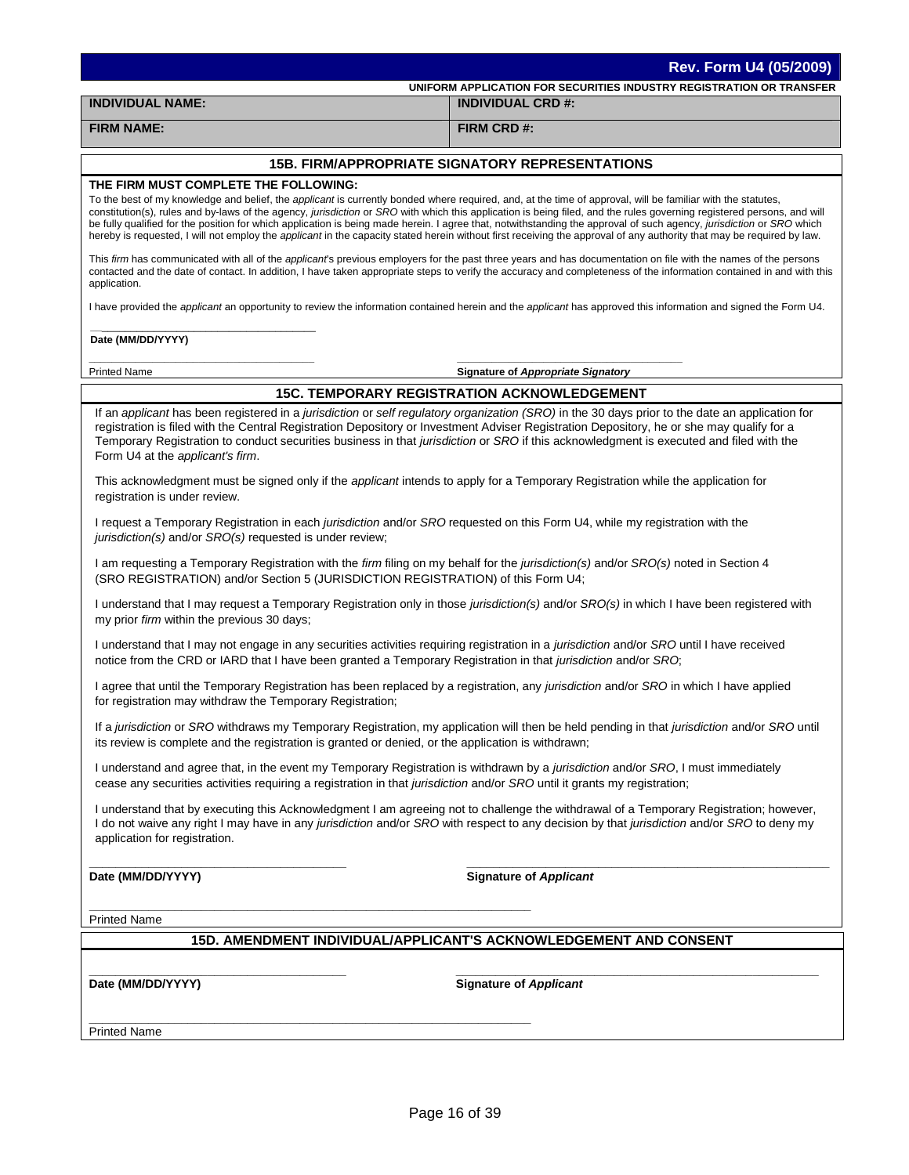| Rev. Form U4 (05/2009)                                                                                                                                                                                                                                                                                                   |                                                                                                                                                                                                                                                                                                                                                                                                                                                                                                                                |  |  |
|--------------------------------------------------------------------------------------------------------------------------------------------------------------------------------------------------------------------------------------------------------------------------------------------------------------------------|--------------------------------------------------------------------------------------------------------------------------------------------------------------------------------------------------------------------------------------------------------------------------------------------------------------------------------------------------------------------------------------------------------------------------------------------------------------------------------------------------------------------------------|--|--|
|                                                                                                                                                                                                                                                                                                                          | UNIFORM APPLICATION FOR SECURITIES INDUSTRY REGISTRATION OR TRANSFER                                                                                                                                                                                                                                                                                                                                                                                                                                                           |  |  |
| <b>INDIVIDUAL NAME:</b>                                                                                                                                                                                                                                                                                                  | <b>INDIVIDUAL CRD #:</b>                                                                                                                                                                                                                                                                                                                                                                                                                                                                                                       |  |  |
| <b>FIRM NAME:</b>                                                                                                                                                                                                                                                                                                        | FIRM CRD #:                                                                                                                                                                                                                                                                                                                                                                                                                                                                                                                    |  |  |
|                                                                                                                                                                                                                                                                                                                          | <b>15B. FIRM/APPROPRIATE SIGNATORY REPRESENTATIONS</b>                                                                                                                                                                                                                                                                                                                                                                                                                                                                         |  |  |
| THE FIRM MUST COMPLETE THE FOLLOWING:                                                                                                                                                                                                                                                                                    |                                                                                                                                                                                                                                                                                                                                                                                                                                                                                                                                |  |  |
| To the best of my knowledge and belief, the applicant is currently bonded where required, and, at the time of approval, will be familiar with the statutes,                                                                                                                                                              | constitution(s), rules and by-laws of the agency, jurisdiction or SRO with which this application is being filed, and the rules governing registered persons, and will<br>be fully qualified for the position for which application is being made herein. I agree that, notwithstanding the approval of such agency, jurisdiction or SRO which<br>hereby is requested, I will not employ the <i>applicant</i> in the capacity stated herein without first receiving the approval of any authority that may be required by law. |  |  |
| application.                                                                                                                                                                                                                                                                                                             | This firm has communicated with all of the applicant's previous employers for the past three years and has documentation on file with the names of the persons<br>contacted and the date of contact. In addition, I have taken appropriate steps to verify the accuracy and completeness of the information contained in and with this                                                                                                                                                                                         |  |  |
|                                                                                                                                                                                                                                                                                                                          | I have provided the applicant an opportunity to review the information contained herein and the applicant has approved this information and signed the Form U4.                                                                                                                                                                                                                                                                                                                                                                |  |  |
| Date (MM/DD/YYYY)                                                                                                                                                                                                                                                                                                        |                                                                                                                                                                                                                                                                                                                                                                                                                                                                                                                                |  |  |
| <b>Printed Name</b>                                                                                                                                                                                                                                                                                                      | <b>Signature of Appropriate Signatory</b>                                                                                                                                                                                                                                                                                                                                                                                                                                                                                      |  |  |
|                                                                                                                                                                                                                                                                                                                          | <b>15C. TEMPORARY REGISTRATION ACKNOWLEDGEMENT</b>                                                                                                                                                                                                                                                                                                                                                                                                                                                                             |  |  |
| registration is filed with the Central Registration Depository or Investment Adviser Registration Depository, he or she may qualify for a<br>Temporary Registration to conduct securities business in that jurisdiction or SRO if this acknowledgment is executed and filed with the<br>Form U4 at the applicant's firm. | If an applicant has been registered in a jurisdiction or self regulatory organization (SRO) in the 30 days prior to the date an application for                                                                                                                                                                                                                                                                                                                                                                                |  |  |
| This acknowledgment must be signed only if the <i>applicant</i> intends to apply for a Temporary Registration while the application for<br>registration is under review.                                                                                                                                                 |                                                                                                                                                                                                                                                                                                                                                                                                                                                                                                                                |  |  |
| I request a Temporary Registration in each jurisdiction and/or SRO requested on this Form U4, while my registration with the<br>jurisdiction(s) and/or SRO(s) requested is under review;                                                                                                                                 |                                                                                                                                                                                                                                                                                                                                                                                                                                                                                                                                |  |  |
| I am requesting a Temporary Registration with the firm filing on my behalf for the jurisdiction(s) and/or SRO(s) noted in Section 4<br>(SRO REGISTRATION) and/or Section 5 (JURISDICTION REGISTRATION) of this Form U4;                                                                                                  |                                                                                                                                                                                                                                                                                                                                                                                                                                                                                                                                |  |  |
| my prior firm within the previous 30 days;                                                                                                                                                                                                                                                                               | I understand that I may request a Temporary Registration only in those jurisdiction(s) and/or SRO(s) in which I have been registered with                                                                                                                                                                                                                                                                                                                                                                                      |  |  |
| I understand that I may not engage in any securities activities requiring registration in a jurisdiction and/or SRO until I have received<br>notice from the CRD or IARD that I have been granted a Temporary Registration in that jurisdiction and/or SRO;                                                              |                                                                                                                                                                                                                                                                                                                                                                                                                                                                                                                                |  |  |
| I agree that until the Temporary Registration has been replaced by a registration, any jurisdiction and/or SRO in which I have applied<br>for registration may withdraw the Temporary Registration;                                                                                                                      |                                                                                                                                                                                                                                                                                                                                                                                                                                                                                                                                |  |  |
| its review is complete and the registration is granted or denied, or the application is withdrawn;                                                                                                                                                                                                                       | If a jurisdiction or SRO withdraws my Temporary Registration, my application will then be held pending in that jurisdiction and/or SRO until                                                                                                                                                                                                                                                                                                                                                                                   |  |  |
| I understand and agree that, in the event my Temporary Registration is withdrawn by a jurisdiction and/or SRO, I must immediately<br>cease any securities activities requiring a registration in that jurisdiction and/or SRO until it grants my registration;                                                           |                                                                                                                                                                                                                                                                                                                                                                                                                                                                                                                                |  |  |
| application for registration.                                                                                                                                                                                                                                                                                            | I understand that by executing this Acknowledgment I am agreeing not to challenge the withdrawal of a Temporary Registration; however,<br>I do not waive any right I may have in any jurisdiction and/or SRO with respect to any decision by that jurisdiction and/or SRO to deny my                                                                                                                                                                                                                                           |  |  |
| Date (MM/DD/YYYY)                                                                                                                                                                                                                                                                                                        | <b>Signature of Applicant</b>                                                                                                                                                                                                                                                                                                                                                                                                                                                                                                  |  |  |
| <b>Printed Name</b>                                                                                                                                                                                                                                                                                                      |                                                                                                                                                                                                                                                                                                                                                                                                                                                                                                                                |  |  |
|                                                                                                                                                                                                                                                                                                                          | 15D. AMENDMENT INDIVIDUAL/APPLICANT'S ACKNOWLEDGEMENT AND CONSENT                                                                                                                                                                                                                                                                                                                                                                                                                                                              |  |  |
|                                                                                                                                                                                                                                                                                                                          |                                                                                                                                                                                                                                                                                                                                                                                                                                                                                                                                |  |  |
| Date (MM/DD/YYYY)                                                                                                                                                                                                                                                                                                        | <b>Signature of Applicant</b>                                                                                                                                                                                                                                                                                                                                                                                                                                                                                                  |  |  |
|                                                                                                                                                                                                                                                                                                                          |                                                                                                                                                                                                                                                                                                                                                                                                                                                                                                                                |  |  |
| <b>Printed Name</b>                                                                                                                                                                                                                                                                                                      |                                                                                                                                                                                                                                                                                                                                                                                                                                                                                                                                |  |  |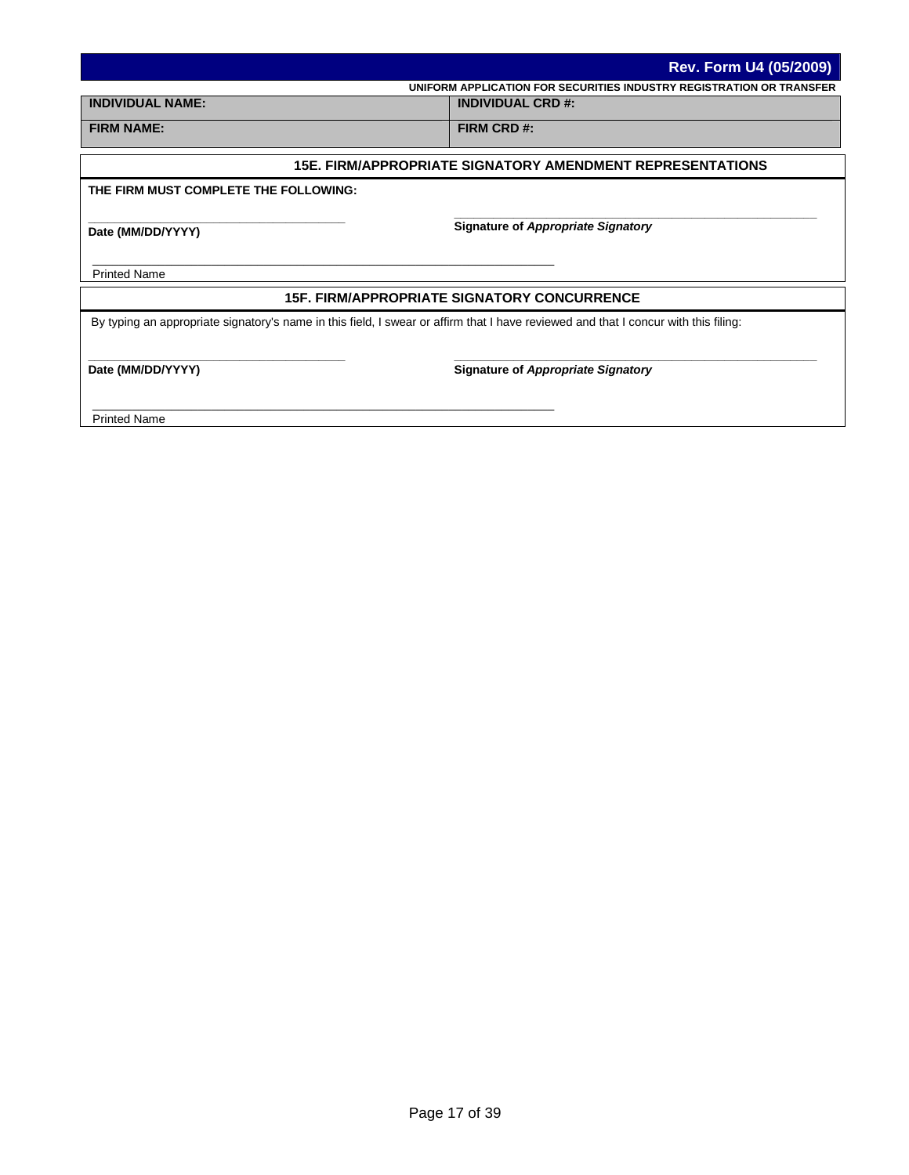|                                       | <b>Rev. Form U4 (05/2009)</b>                                                                                                       |
|---------------------------------------|-------------------------------------------------------------------------------------------------------------------------------------|
|                                       | UNIFORM APPLICATION FOR SECURITIES INDUSTRY REGISTRATION OR TRANSFER                                                                |
| <b>INDIVIDUAL NAME:</b>               | <b>INDIVIDUAL CRD #:</b>                                                                                                            |
| <b>FIRM NAME:</b>                     | FIRM CRD #:                                                                                                                         |
|                                       | <b>15E. FIRM/APPROPRIATE SIGNATORY AMENDMENT REPRESENTATIONS</b>                                                                    |
| THE FIRM MUST COMPLETE THE FOLLOWING: |                                                                                                                                     |
| Date (MM/DD/YYYY)                     | <b>Signature of Appropriate Signatory</b>                                                                                           |
| <b>Printed Name</b>                   |                                                                                                                                     |
|                                       | <b>15F. FIRM/APPROPRIATE SIGNATORY CONCURRENCE</b>                                                                                  |
|                                       | By typing an appropriate signatory's name in this field, I swear or affirm that I have reviewed and that I concur with this filing: |
| Date (MM/DD/YYYY)                     | <b>Signature of Appropriate Signatory</b>                                                                                           |
| <b>Printed Name</b>                   |                                                                                                                                     |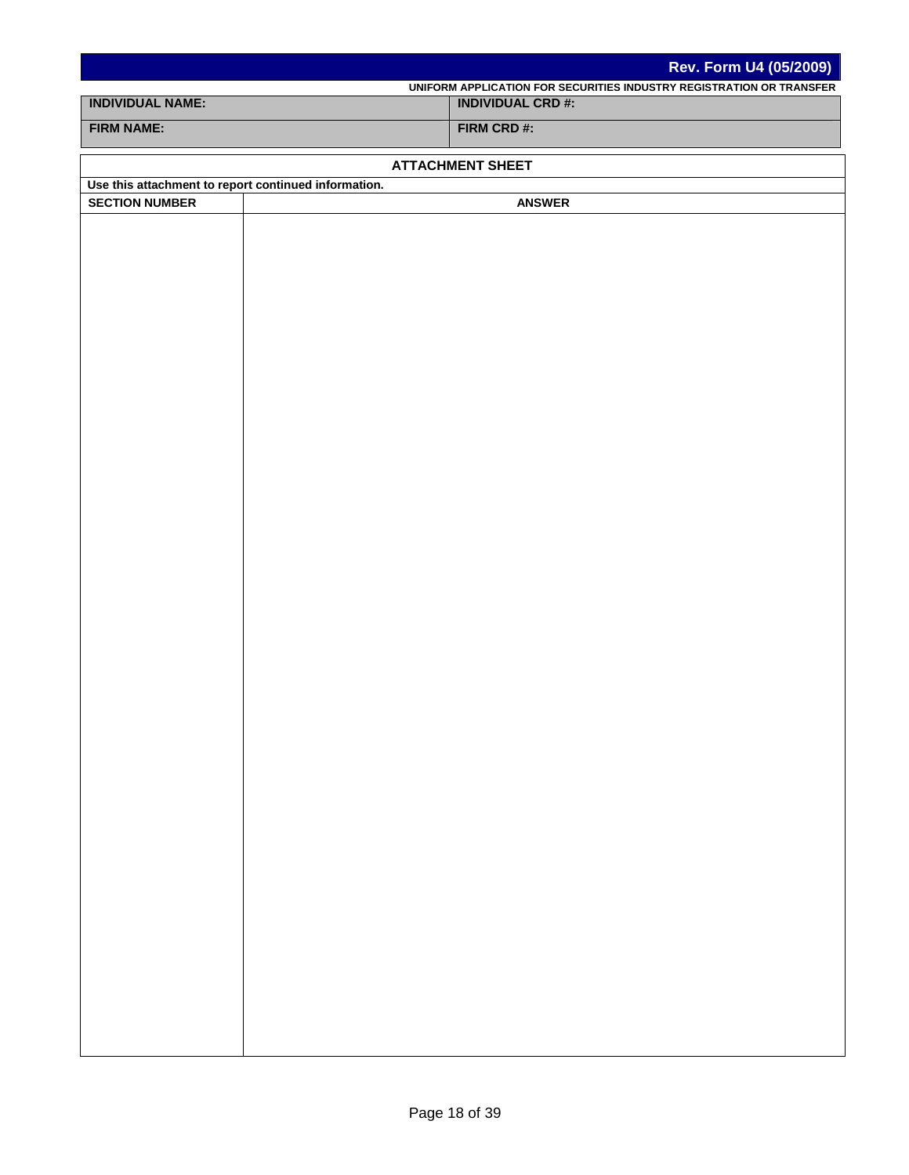|                                                      | Rev. Form U4 (05/2009)                                                                           |
|------------------------------------------------------|--------------------------------------------------------------------------------------------------|
| <b>INDIVIDUAL NAME:</b>                              | UNIFORM APPLICATION FOR SECURITIES INDUSTRY REGISTRATION OR TRANSFER<br><b>INDIVIDUAL CRD #:</b> |
|                                                      |                                                                                                  |
| <b>FIRM NAME:</b>                                    | FIRM CRD #:                                                                                      |
|                                                      | <b>ATTACHMENT SHEET</b>                                                                          |
| Use this attachment to report continued information. |                                                                                                  |
| <b>SECTION NUMBER</b>                                | <b>ANSWER</b>                                                                                    |
|                                                      |                                                                                                  |
|                                                      |                                                                                                  |
|                                                      |                                                                                                  |
|                                                      |                                                                                                  |
|                                                      |                                                                                                  |
|                                                      |                                                                                                  |
|                                                      |                                                                                                  |
|                                                      |                                                                                                  |
|                                                      |                                                                                                  |
|                                                      |                                                                                                  |
|                                                      |                                                                                                  |
|                                                      |                                                                                                  |
|                                                      |                                                                                                  |
|                                                      |                                                                                                  |
|                                                      |                                                                                                  |
|                                                      |                                                                                                  |
|                                                      |                                                                                                  |
|                                                      |                                                                                                  |
|                                                      |                                                                                                  |
|                                                      |                                                                                                  |
|                                                      |                                                                                                  |
|                                                      |                                                                                                  |
|                                                      |                                                                                                  |
|                                                      |                                                                                                  |
|                                                      |                                                                                                  |
|                                                      |                                                                                                  |
|                                                      |                                                                                                  |
|                                                      |                                                                                                  |
|                                                      |                                                                                                  |
|                                                      |                                                                                                  |
|                                                      |                                                                                                  |
|                                                      |                                                                                                  |
|                                                      |                                                                                                  |
|                                                      |                                                                                                  |
|                                                      |                                                                                                  |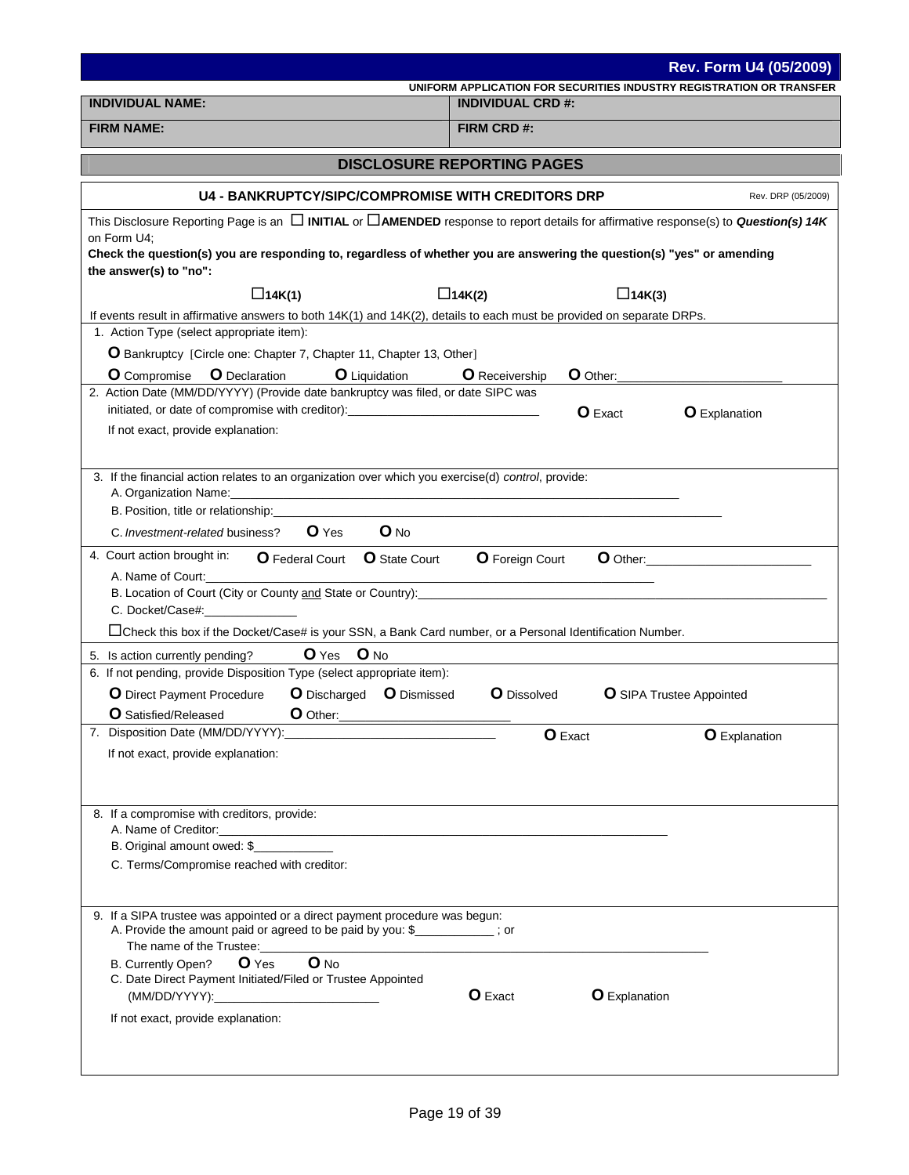| UNIFORM APPLICATION FOR SECURITIES INDUSTRY REGISTRATION OR TRANSFER<br><b>INDIVIDUAL NAME:</b><br><b>INDIVIDUAL CRD #:</b><br><b>FIRM NAME:</b><br>FIRM CRD #:<br><b>DISCLOSURE REPORTING PAGES</b><br><b>U4 - BANKRUPTCY/SIPC/COMPROMISE WITH CREDITORS DRP</b><br>Rev. DRP (05/2009)<br>This Disclosure Reporting Page is an $\Box$ INITIAL or $\Box$ AMENDED response to report details for affirmative response(s) to Question(s) 14K<br>on Form U4;<br>Check the question(s) you are responding to, regardless of whether you are answering the question(s) "yes" or amending<br>$\Box$ 14K(1)<br>$\Box$ 14K(2)<br>$\Box$ 14K(3)<br>If events result in affirmative answers to both 14K(1) and 14K(2), details to each must be provided on separate DRPs.<br>1. Action Type (select appropriate item):<br>O Bankruptcy [Circle one: Chapter 7, Chapter 11, Chapter 13, Other]<br><b>O</b> Liquidation<br><b>O</b> Compromise <b>O</b> Declaration<br>O Other:<br><b>O</b> Receivership<br>2. Action Date (MM/DD/YYYY) (Provide date bankruptcy was filed, or date SIPC was<br>initiated, or date of compromise with creditor):________________________________<br><b>O</b> Exact<br><b>O</b> Explanation<br>If not exact, provide explanation:<br>3. If the financial action relates to an organization over which you exercise(d) control, provide:<br>A. Organization Name:<br><u> 1989 - Johann Stoff, amerikansk politiker (d. 1989)</u><br>B. Position, title or relationship:____<br>$O$ No<br>$O$ Yes<br>C. Investment-related business?<br>4. Court action brought in:<br>O Federal Court O State Court O Foreign Court<br>O Other: <b>O Other:</b><br>A. Name of Court:<br>B. Location of Court (City or County and State or Country): <b>Controlled and State of County and State or Country</b><br>C. Docket/Case#:<br>□Check this box if the Docket/Case# is your SSN, a Bank Card number, or a Personal Identification Number.<br>O Yes O No<br>5. Is action currently pending?<br>6. If not pending, provide Disposition Type (select appropriate item):<br>O Discharged O Dismissed<br><b>O</b> Dissolved<br><b>O</b> Direct Payment Procedure<br><b>O</b> SIPA Trustee Appointed<br>O Other:<br><b>O</b> Satisfied/Released<br>7. Disposition Date (MM/DD/YYYY):<br>O Exact<br><b>O</b> Explanation<br>If not exact, provide explanation:<br>8. If a compromise with creditors, provide:<br>B. Original amount owed: \$<br>C. Terms/Compromise reached with creditor:<br>9. If a SIPA trustee was appointed or a direct payment procedure was begun:<br>A. Provide the amount paid or agreed to be paid by you: \$<br>The name of the Trustee:<br>O No<br>$O$ Yes<br>B. Currently Open?<br>C. Date Direct Payment Initiated/Filed or Trustee Appointed<br><b>O</b> Explanation<br><b>O</b> Exact<br>If not exact, provide explanation: | <b>Rev. Form U4 (05/2009)</b> |  |  |  |
|--------------------------------------------------------------------------------------------------------------------------------------------------------------------------------------------------------------------------------------------------------------------------------------------------------------------------------------------------------------------------------------------------------------------------------------------------------------------------------------------------------------------------------------------------------------------------------------------------------------------------------------------------------------------------------------------------------------------------------------------------------------------------------------------------------------------------------------------------------------------------------------------------------------------------------------------------------------------------------------------------------------------------------------------------------------------------------------------------------------------------------------------------------------------------------------------------------------------------------------------------------------------------------------------------------------------------------------------------------------------------------------------------------------------------------------------------------------------------------------------------------------------------------------------------------------------------------------------------------------------------------------------------------------------------------------------------------------------------------------------------------------------------------------------------------------------------------------------------------------------------------------------------------------------------------------------------------------------------------------------------------------------------------------------------------------------------------------------------------------------------------------------------------------------------------------------------------------------------------------------------------------------------------------------------------------------------------------------------------------------------------------------------------------------------------------------------------------------------------------------------------------------------------------------------------------------------------------------------------------------------------------------------------------------------------------------------------------------------------------------------------------------------------------------------------------------------------------------------------------|-------------------------------|--|--|--|
|                                                                                                                                                                                                                                                                                                                                                                                                                                                                                                                                                                                                                                                                                                                                                                                                                                                                                                                                                                                                                                                                                                                                                                                                                                                                                                                                                                                                                                                                                                                                                                                                                                                                                                                                                                                                                                                                                                                                                                                                                                                                                                                                                                                                                                                                                                                                                                                                                                                                                                                                                                                                                                                                                                                                                                                                                                                              |                               |  |  |  |
|                                                                                                                                                                                                                                                                                                                                                                                                                                                                                                                                                                                                                                                                                                                                                                                                                                                                                                                                                                                                                                                                                                                                                                                                                                                                                                                                                                                                                                                                                                                                                                                                                                                                                                                                                                                                                                                                                                                                                                                                                                                                                                                                                                                                                                                                                                                                                                                                                                                                                                                                                                                                                                                                                                                                                                                                                                                              |                               |  |  |  |
|                                                                                                                                                                                                                                                                                                                                                                                                                                                                                                                                                                                                                                                                                                                                                                                                                                                                                                                                                                                                                                                                                                                                                                                                                                                                                                                                                                                                                                                                                                                                                                                                                                                                                                                                                                                                                                                                                                                                                                                                                                                                                                                                                                                                                                                                                                                                                                                                                                                                                                                                                                                                                                                                                                                                                                                                                                                              |                               |  |  |  |
|                                                                                                                                                                                                                                                                                                                                                                                                                                                                                                                                                                                                                                                                                                                                                                                                                                                                                                                                                                                                                                                                                                                                                                                                                                                                                                                                                                                                                                                                                                                                                                                                                                                                                                                                                                                                                                                                                                                                                                                                                                                                                                                                                                                                                                                                                                                                                                                                                                                                                                                                                                                                                                                                                                                                                                                                                                                              |                               |  |  |  |
|                                                                                                                                                                                                                                                                                                                                                                                                                                                                                                                                                                                                                                                                                                                                                                                                                                                                                                                                                                                                                                                                                                                                                                                                                                                                                                                                                                                                                                                                                                                                                                                                                                                                                                                                                                                                                                                                                                                                                                                                                                                                                                                                                                                                                                                                                                                                                                                                                                                                                                                                                                                                                                                                                                                                                                                                                                                              |                               |  |  |  |
|                                                                                                                                                                                                                                                                                                                                                                                                                                                                                                                                                                                                                                                                                                                                                                                                                                                                                                                                                                                                                                                                                                                                                                                                                                                                                                                                                                                                                                                                                                                                                                                                                                                                                                                                                                                                                                                                                                                                                                                                                                                                                                                                                                                                                                                                                                                                                                                                                                                                                                                                                                                                                                                                                                                                                                                                                                                              |                               |  |  |  |
|                                                                                                                                                                                                                                                                                                                                                                                                                                                                                                                                                                                                                                                                                                                                                                                                                                                                                                                                                                                                                                                                                                                                                                                                                                                                                                                                                                                                                                                                                                                                                                                                                                                                                                                                                                                                                                                                                                                                                                                                                                                                                                                                                                                                                                                                                                                                                                                                                                                                                                                                                                                                                                                                                                                                                                                                                                                              | the answer(s) to "no":        |  |  |  |
|                                                                                                                                                                                                                                                                                                                                                                                                                                                                                                                                                                                                                                                                                                                                                                                                                                                                                                                                                                                                                                                                                                                                                                                                                                                                                                                                                                                                                                                                                                                                                                                                                                                                                                                                                                                                                                                                                                                                                                                                                                                                                                                                                                                                                                                                                                                                                                                                                                                                                                                                                                                                                                                                                                                                                                                                                                                              |                               |  |  |  |
|                                                                                                                                                                                                                                                                                                                                                                                                                                                                                                                                                                                                                                                                                                                                                                                                                                                                                                                                                                                                                                                                                                                                                                                                                                                                                                                                                                                                                                                                                                                                                                                                                                                                                                                                                                                                                                                                                                                                                                                                                                                                                                                                                                                                                                                                                                                                                                                                                                                                                                                                                                                                                                                                                                                                                                                                                                                              |                               |  |  |  |
|                                                                                                                                                                                                                                                                                                                                                                                                                                                                                                                                                                                                                                                                                                                                                                                                                                                                                                                                                                                                                                                                                                                                                                                                                                                                                                                                                                                                                                                                                                                                                                                                                                                                                                                                                                                                                                                                                                                                                                                                                                                                                                                                                                                                                                                                                                                                                                                                                                                                                                                                                                                                                                                                                                                                                                                                                                                              |                               |  |  |  |
|                                                                                                                                                                                                                                                                                                                                                                                                                                                                                                                                                                                                                                                                                                                                                                                                                                                                                                                                                                                                                                                                                                                                                                                                                                                                                                                                                                                                                                                                                                                                                                                                                                                                                                                                                                                                                                                                                                                                                                                                                                                                                                                                                                                                                                                                                                                                                                                                                                                                                                                                                                                                                                                                                                                                                                                                                                                              |                               |  |  |  |
|                                                                                                                                                                                                                                                                                                                                                                                                                                                                                                                                                                                                                                                                                                                                                                                                                                                                                                                                                                                                                                                                                                                                                                                                                                                                                                                                                                                                                                                                                                                                                                                                                                                                                                                                                                                                                                                                                                                                                                                                                                                                                                                                                                                                                                                                                                                                                                                                                                                                                                                                                                                                                                                                                                                                                                                                                                                              |                               |  |  |  |
|                                                                                                                                                                                                                                                                                                                                                                                                                                                                                                                                                                                                                                                                                                                                                                                                                                                                                                                                                                                                                                                                                                                                                                                                                                                                                                                                                                                                                                                                                                                                                                                                                                                                                                                                                                                                                                                                                                                                                                                                                                                                                                                                                                                                                                                                                                                                                                                                                                                                                                                                                                                                                                                                                                                                                                                                                                                              |                               |  |  |  |
|                                                                                                                                                                                                                                                                                                                                                                                                                                                                                                                                                                                                                                                                                                                                                                                                                                                                                                                                                                                                                                                                                                                                                                                                                                                                                                                                                                                                                                                                                                                                                                                                                                                                                                                                                                                                                                                                                                                                                                                                                                                                                                                                                                                                                                                                                                                                                                                                                                                                                                                                                                                                                                                                                                                                                                                                                                                              |                               |  |  |  |
|                                                                                                                                                                                                                                                                                                                                                                                                                                                                                                                                                                                                                                                                                                                                                                                                                                                                                                                                                                                                                                                                                                                                                                                                                                                                                                                                                                                                                                                                                                                                                                                                                                                                                                                                                                                                                                                                                                                                                                                                                                                                                                                                                                                                                                                                                                                                                                                                                                                                                                                                                                                                                                                                                                                                                                                                                                                              |                               |  |  |  |
|                                                                                                                                                                                                                                                                                                                                                                                                                                                                                                                                                                                                                                                                                                                                                                                                                                                                                                                                                                                                                                                                                                                                                                                                                                                                                                                                                                                                                                                                                                                                                                                                                                                                                                                                                                                                                                                                                                                                                                                                                                                                                                                                                                                                                                                                                                                                                                                                                                                                                                                                                                                                                                                                                                                                                                                                                                                              |                               |  |  |  |
|                                                                                                                                                                                                                                                                                                                                                                                                                                                                                                                                                                                                                                                                                                                                                                                                                                                                                                                                                                                                                                                                                                                                                                                                                                                                                                                                                                                                                                                                                                                                                                                                                                                                                                                                                                                                                                                                                                                                                                                                                                                                                                                                                                                                                                                                                                                                                                                                                                                                                                                                                                                                                                                                                                                                                                                                                                                              |                               |  |  |  |
|                                                                                                                                                                                                                                                                                                                                                                                                                                                                                                                                                                                                                                                                                                                                                                                                                                                                                                                                                                                                                                                                                                                                                                                                                                                                                                                                                                                                                                                                                                                                                                                                                                                                                                                                                                                                                                                                                                                                                                                                                                                                                                                                                                                                                                                                                                                                                                                                                                                                                                                                                                                                                                                                                                                                                                                                                                                              |                               |  |  |  |
|                                                                                                                                                                                                                                                                                                                                                                                                                                                                                                                                                                                                                                                                                                                                                                                                                                                                                                                                                                                                                                                                                                                                                                                                                                                                                                                                                                                                                                                                                                                                                                                                                                                                                                                                                                                                                                                                                                                                                                                                                                                                                                                                                                                                                                                                                                                                                                                                                                                                                                                                                                                                                                                                                                                                                                                                                                                              |                               |  |  |  |
|                                                                                                                                                                                                                                                                                                                                                                                                                                                                                                                                                                                                                                                                                                                                                                                                                                                                                                                                                                                                                                                                                                                                                                                                                                                                                                                                                                                                                                                                                                                                                                                                                                                                                                                                                                                                                                                                                                                                                                                                                                                                                                                                                                                                                                                                                                                                                                                                                                                                                                                                                                                                                                                                                                                                                                                                                                                              |                               |  |  |  |
|                                                                                                                                                                                                                                                                                                                                                                                                                                                                                                                                                                                                                                                                                                                                                                                                                                                                                                                                                                                                                                                                                                                                                                                                                                                                                                                                                                                                                                                                                                                                                                                                                                                                                                                                                                                                                                                                                                                                                                                                                                                                                                                                                                                                                                                                                                                                                                                                                                                                                                                                                                                                                                                                                                                                                                                                                                                              |                               |  |  |  |
|                                                                                                                                                                                                                                                                                                                                                                                                                                                                                                                                                                                                                                                                                                                                                                                                                                                                                                                                                                                                                                                                                                                                                                                                                                                                                                                                                                                                                                                                                                                                                                                                                                                                                                                                                                                                                                                                                                                                                                                                                                                                                                                                                                                                                                                                                                                                                                                                                                                                                                                                                                                                                                                                                                                                                                                                                                                              |                               |  |  |  |
|                                                                                                                                                                                                                                                                                                                                                                                                                                                                                                                                                                                                                                                                                                                                                                                                                                                                                                                                                                                                                                                                                                                                                                                                                                                                                                                                                                                                                                                                                                                                                                                                                                                                                                                                                                                                                                                                                                                                                                                                                                                                                                                                                                                                                                                                                                                                                                                                                                                                                                                                                                                                                                                                                                                                                                                                                                                              |                               |  |  |  |
|                                                                                                                                                                                                                                                                                                                                                                                                                                                                                                                                                                                                                                                                                                                                                                                                                                                                                                                                                                                                                                                                                                                                                                                                                                                                                                                                                                                                                                                                                                                                                                                                                                                                                                                                                                                                                                                                                                                                                                                                                                                                                                                                                                                                                                                                                                                                                                                                                                                                                                                                                                                                                                                                                                                                                                                                                                                              |                               |  |  |  |
|                                                                                                                                                                                                                                                                                                                                                                                                                                                                                                                                                                                                                                                                                                                                                                                                                                                                                                                                                                                                                                                                                                                                                                                                                                                                                                                                                                                                                                                                                                                                                                                                                                                                                                                                                                                                                                                                                                                                                                                                                                                                                                                                                                                                                                                                                                                                                                                                                                                                                                                                                                                                                                                                                                                                                                                                                                                              |                               |  |  |  |
|                                                                                                                                                                                                                                                                                                                                                                                                                                                                                                                                                                                                                                                                                                                                                                                                                                                                                                                                                                                                                                                                                                                                                                                                                                                                                                                                                                                                                                                                                                                                                                                                                                                                                                                                                                                                                                                                                                                                                                                                                                                                                                                                                                                                                                                                                                                                                                                                                                                                                                                                                                                                                                                                                                                                                                                                                                                              |                               |  |  |  |
|                                                                                                                                                                                                                                                                                                                                                                                                                                                                                                                                                                                                                                                                                                                                                                                                                                                                                                                                                                                                                                                                                                                                                                                                                                                                                                                                                                                                                                                                                                                                                                                                                                                                                                                                                                                                                                                                                                                                                                                                                                                                                                                                                                                                                                                                                                                                                                                                                                                                                                                                                                                                                                                                                                                                                                                                                                                              |                               |  |  |  |
|                                                                                                                                                                                                                                                                                                                                                                                                                                                                                                                                                                                                                                                                                                                                                                                                                                                                                                                                                                                                                                                                                                                                                                                                                                                                                                                                                                                                                                                                                                                                                                                                                                                                                                                                                                                                                                                                                                                                                                                                                                                                                                                                                                                                                                                                                                                                                                                                                                                                                                                                                                                                                                                                                                                                                                                                                                                              |                               |  |  |  |
|                                                                                                                                                                                                                                                                                                                                                                                                                                                                                                                                                                                                                                                                                                                                                                                                                                                                                                                                                                                                                                                                                                                                                                                                                                                                                                                                                                                                                                                                                                                                                                                                                                                                                                                                                                                                                                                                                                                                                                                                                                                                                                                                                                                                                                                                                                                                                                                                                                                                                                                                                                                                                                                                                                                                                                                                                                                              |                               |  |  |  |
|                                                                                                                                                                                                                                                                                                                                                                                                                                                                                                                                                                                                                                                                                                                                                                                                                                                                                                                                                                                                                                                                                                                                                                                                                                                                                                                                                                                                                                                                                                                                                                                                                                                                                                                                                                                                                                                                                                                                                                                                                                                                                                                                                                                                                                                                                                                                                                                                                                                                                                                                                                                                                                                                                                                                                                                                                                                              |                               |  |  |  |
|                                                                                                                                                                                                                                                                                                                                                                                                                                                                                                                                                                                                                                                                                                                                                                                                                                                                                                                                                                                                                                                                                                                                                                                                                                                                                                                                                                                                                                                                                                                                                                                                                                                                                                                                                                                                                                                                                                                                                                                                                                                                                                                                                                                                                                                                                                                                                                                                                                                                                                                                                                                                                                                                                                                                                                                                                                                              |                               |  |  |  |
|                                                                                                                                                                                                                                                                                                                                                                                                                                                                                                                                                                                                                                                                                                                                                                                                                                                                                                                                                                                                                                                                                                                                                                                                                                                                                                                                                                                                                                                                                                                                                                                                                                                                                                                                                                                                                                                                                                                                                                                                                                                                                                                                                                                                                                                                                                                                                                                                                                                                                                                                                                                                                                                                                                                                                                                                                                                              |                               |  |  |  |
|                                                                                                                                                                                                                                                                                                                                                                                                                                                                                                                                                                                                                                                                                                                                                                                                                                                                                                                                                                                                                                                                                                                                                                                                                                                                                                                                                                                                                                                                                                                                                                                                                                                                                                                                                                                                                                                                                                                                                                                                                                                                                                                                                                                                                                                                                                                                                                                                                                                                                                                                                                                                                                                                                                                                                                                                                                                              |                               |  |  |  |
|                                                                                                                                                                                                                                                                                                                                                                                                                                                                                                                                                                                                                                                                                                                                                                                                                                                                                                                                                                                                                                                                                                                                                                                                                                                                                                                                                                                                                                                                                                                                                                                                                                                                                                                                                                                                                                                                                                                                                                                                                                                                                                                                                                                                                                                                                                                                                                                                                                                                                                                                                                                                                                                                                                                                                                                                                                                              |                               |  |  |  |
|                                                                                                                                                                                                                                                                                                                                                                                                                                                                                                                                                                                                                                                                                                                                                                                                                                                                                                                                                                                                                                                                                                                                                                                                                                                                                                                                                                                                                                                                                                                                                                                                                                                                                                                                                                                                                                                                                                                                                                                                                                                                                                                                                                                                                                                                                                                                                                                                                                                                                                                                                                                                                                                                                                                                                                                                                                                              |                               |  |  |  |
|                                                                                                                                                                                                                                                                                                                                                                                                                                                                                                                                                                                                                                                                                                                                                                                                                                                                                                                                                                                                                                                                                                                                                                                                                                                                                                                                                                                                                                                                                                                                                                                                                                                                                                                                                                                                                                                                                                                                                                                                                                                                                                                                                                                                                                                                                                                                                                                                                                                                                                                                                                                                                                                                                                                                                                                                                                                              |                               |  |  |  |
|                                                                                                                                                                                                                                                                                                                                                                                                                                                                                                                                                                                                                                                                                                                                                                                                                                                                                                                                                                                                                                                                                                                                                                                                                                                                                                                                                                                                                                                                                                                                                                                                                                                                                                                                                                                                                                                                                                                                                                                                                                                                                                                                                                                                                                                                                                                                                                                                                                                                                                                                                                                                                                                                                                                                                                                                                                                              |                               |  |  |  |
|                                                                                                                                                                                                                                                                                                                                                                                                                                                                                                                                                                                                                                                                                                                                                                                                                                                                                                                                                                                                                                                                                                                                                                                                                                                                                                                                                                                                                                                                                                                                                                                                                                                                                                                                                                                                                                                                                                                                                                                                                                                                                                                                                                                                                                                                                                                                                                                                                                                                                                                                                                                                                                                                                                                                                                                                                                                              |                               |  |  |  |
|                                                                                                                                                                                                                                                                                                                                                                                                                                                                                                                                                                                                                                                                                                                                                                                                                                                                                                                                                                                                                                                                                                                                                                                                                                                                                                                                                                                                                                                                                                                                                                                                                                                                                                                                                                                                                                                                                                                                                                                                                                                                                                                                                                                                                                                                                                                                                                                                                                                                                                                                                                                                                                                                                                                                                                                                                                                              |                               |  |  |  |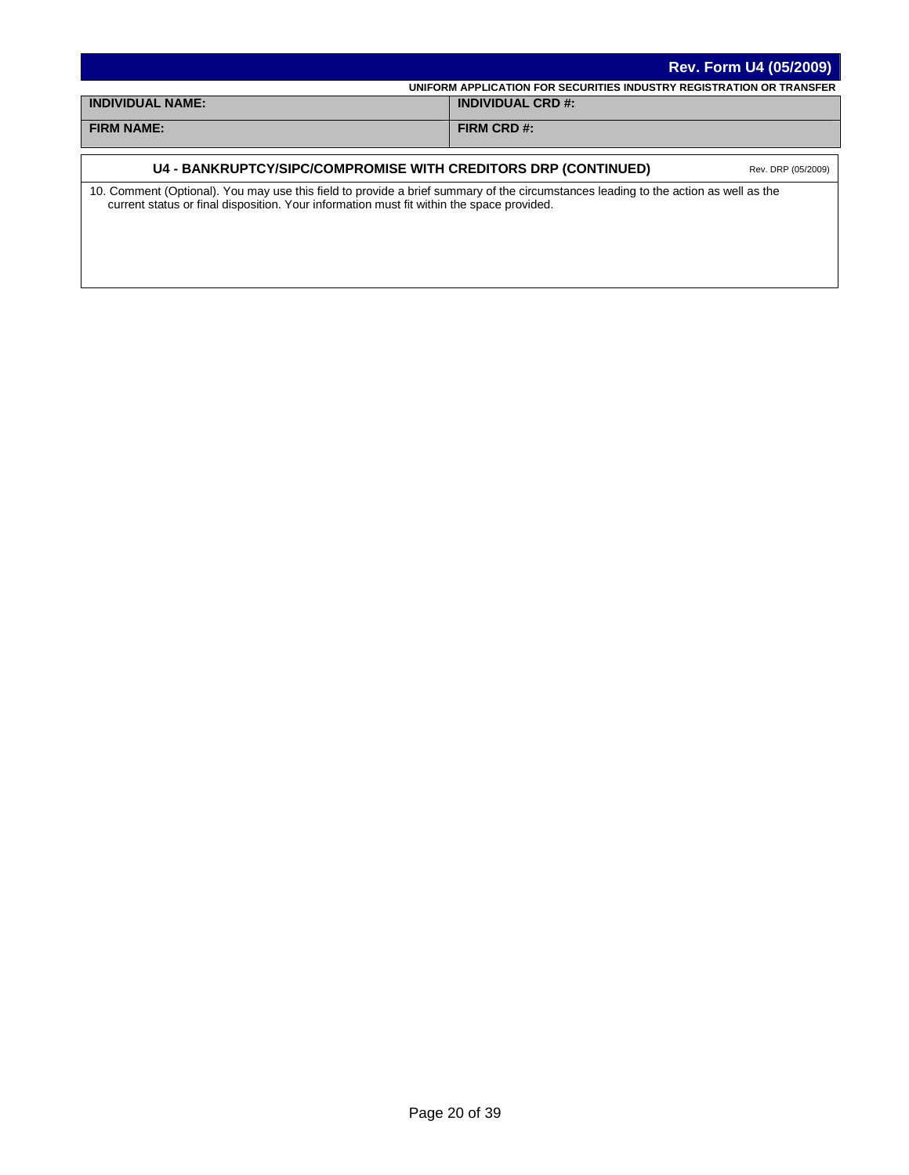|                                                                                                                                     | <b>Rev. Form U4 (05/2009)</b>                                        |
|-------------------------------------------------------------------------------------------------------------------------------------|----------------------------------------------------------------------|
|                                                                                                                                     | UNIFORM APPLICATION FOR SECURITIES INDUSTRY REGISTRATION OR TRANSFER |
| <b>INDIVIDUAL NAME:</b>                                                                                                             | <b>INDIVIDUAL CRD #:</b>                                             |
| <b>FIRM NAME:</b>                                                                                                                   | FIRM CRD #:                                                          |
|                                                                                                                                     |                                                                      |
| U4 - BANKRUPTCY/SIPC/COMPROMISE WITH CREDITORS DRP (CONTINUED)                                                                      | Rev. DRP (05/2009)                                                   |
| 10. Comment (Optional). You may use this field to provide a brief summary of the circumstances leading to the action as well as the |                                                                      |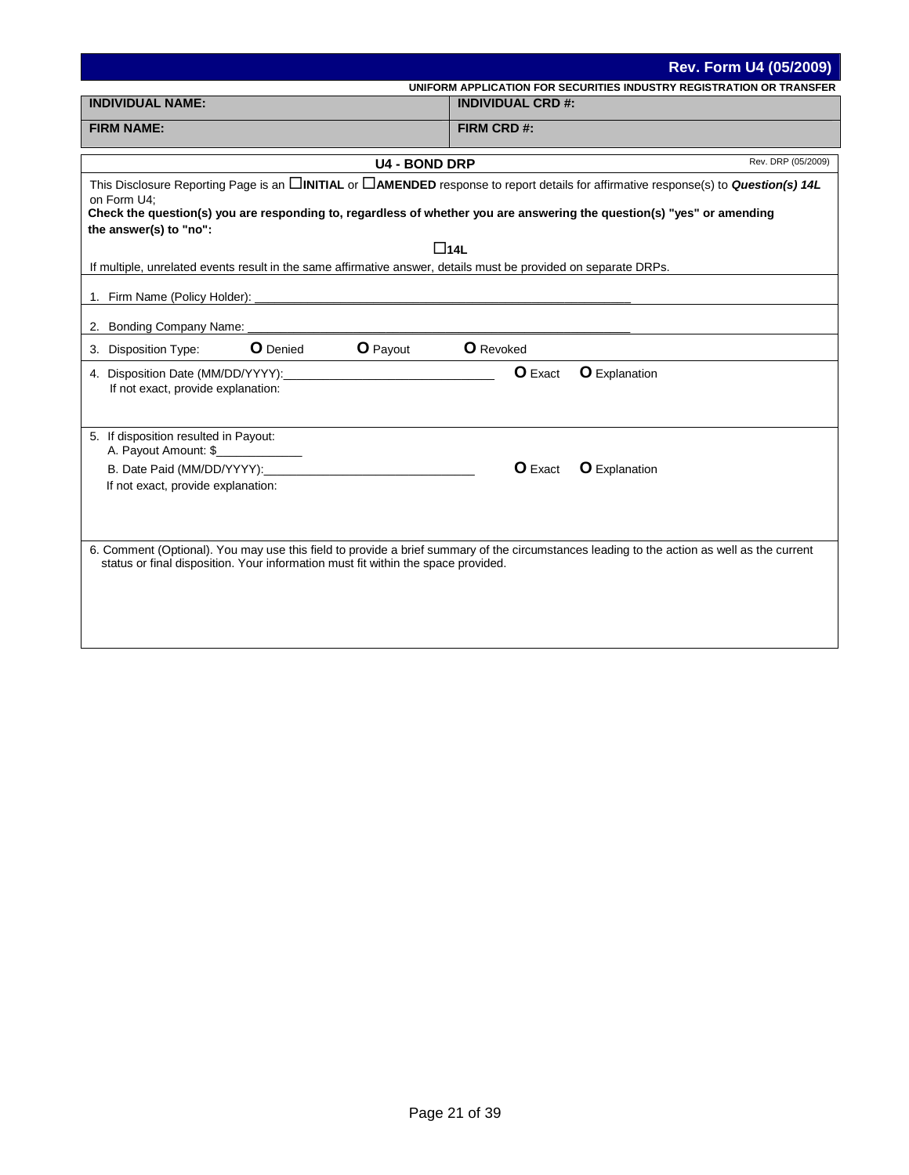|                                                                                                                                                          |                          | <b>Rev. Form U4 (05/2009)</b>                                        |
|----------------------------------------------------------------------------------------------------------------------------------------------------------|--------------------------|----------------------------------------------------------------------|
|                                                                                                                                                          |                          | UNIFORM APPLICATION FOR SECURITIES INDUSTRY REGISTRATION OR TRANSFER |
| <b>INDIVIDUAL NAME:</b>                                                                                                                                  | <b>INDIVIDUAL CRD #:</b> |                                                                      |
| <b>FIRM NAME:</b>                                                                                                                                        | FIRM CRD #:              |                                                                      |
|                                                                                                                                                          |                          |                                                                      |
| <b>U4 - BOND DRP</b>                                                                                                                                     |                          | Rev. DRP (05/2009)                                                   |
| This Disclosure Reporting Page is an <b>CINITIAL</b> or <b>CAMENDED</b> response to report details for affirmative response(s) to <b>Question(s) 14L</b> |                          |                                                                      |
| on Form U4;<br>Check the question(s) you are responding to, regardless of whether you are answering the question(s) "yes" or amending                    |                          |                                                                      |
| the answer(s) to "no":                                                                                                                                   |                          |                                                                      |
|                                                                                                                                                          | $\Box$ 14L               |                                                                      |
| If multiple, unrelated events result in the same affirmative answer, details must be provided on separate DRPs.                                          |                          |                                                                      |
|                                                                                                                                                          |                          |                                                                      |
|                                                                                                                                                          |                          |                                                                      |
| 2. Bonding Company Name:                                                                                                                                 |                          |                                                                      |
| <b>O</b> Denied<br><b>O</b> Payout<br>3. Disposition Type:                                                                                               | <b>O</b> Revoked         |                                                                      |
|                                                                                                                                                          | <b>O</b> Exact           | <b>O</b> Explanation                                                 |
| If not exact, provide explanation:                                                                                                                       |                          |                                                                      |
|                                                                                                                                                          |                          |                                                                      |
|                                                                                                                                                          |                          |                                                                      |
| 5. If disposition resulted in Payout:<br>A. Payout Amount: \$                                                                                            |                          |                                                                      |
|                                                                                                                                                          | <b>O</b> Exact           | <b>O</b> Explanation                                                 |
| If not exact, provide explanation:                                                                                                                       |                          |                                                                      |
|                                                                                                                                                          |                          |                                                                      |
|                                                                                                                                                          |                          |                                                                      |
| 6. Comment (Optional). You may use this field to provide a brief summary of the circumstances leading to the action as well as the current               |                          |                                                                      |
| status or final disposition. Your information must fit within the space provided.                                                                        |                          |                                                                      |
|                                                                                                                                                          |                          |                                                                      |
|                                                                                                                                                          |                          |                                                                      |
|                                                                                                                                                          |                          |                                                                      |
|                                                                                                                                                          |                          |                                                                      |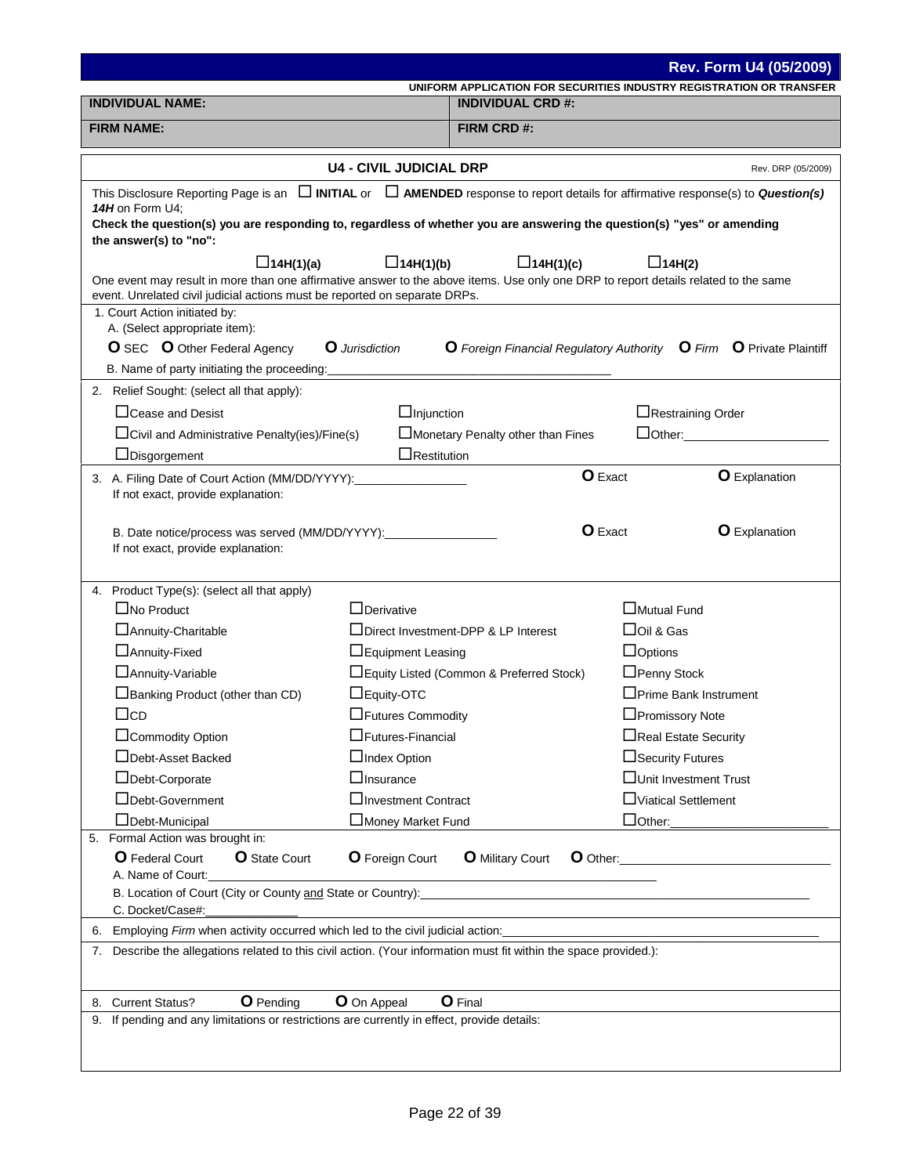|                                                                                                                                                                                                                   |                                |                                                                                                  |                                | <b>Rev. Form U4 (05/2009)</b> |
|-------------------------------------------------------------------------------------------------------------------------------------------------------------------------------------------------------------------|--------------------------------|--------------------------------------------------------------------------------------------------|--------------------------------|-------------------------------|
| <b>INDIVIDUAL NAME:</b>                                                                                                                                                                                           |                                | UNIFORM APPLICATION FOR SECURITIES INDUSTRY REGISTRATION OR TRANSFER<br><b>INDIVIDUAL CRD #:</b> |                                |                               |
| <b>FIRM NAME:</b>                                                                                                                                                                                                 |                                | FIRM CRD #:                                                                                      |                                |                               |
|                                                                                                                                                                                                                   |                                |                                                                                                  |                                |                               |
|                                                                                                                                                                                                                   | <b>U4 - CIVIL JUDICIAL DRP</b> |                                                                                                  |                                | Rev. DRP (05/2009)            |
| This Disclosure Reporting Page is an $\Box$ INITIAL or $\Box$ AMENDED response to report details for affirmative response(s) to Question(s)                                                                       |                                |                                                                                                  |                                |                               |
| 14H on Form U4;<br>Check the question(s) you are responding to, regardless of whether you are answering the question(s) "yes" or amending                                                                         |                                |                                                                                                  |                                |                               |
| the answer(s) to "no":                                                                                                                                                                                            |                                |                                                                                                  |                                |                               |
| $\Box$ 14H(1)(a)                                                                                                                                                                                                  | $\Box$ 14H(1)(b)               | $\Box$ 14H(1)(c)                                                                                 | $\Box$ 14H(2)                  |                               |
| One event may result in more than one affirmative answer to the above items. Use only one DRP to report details related to the same<br>event. Unrelated civil judicial actions must be reported on separate DRPs. |                                |                                                                                                  |                                |                               |
| 1. Court Action initiated by:                                                                                                                                                                                     |                                |                                                                                                  |                                |                               |
| A. (Select appropriate item):                                                                                                                                                                                     |                                |                                                                                                  |                                |                               |
| <b>O</b> SEC <b>O</b> Other Federal Agency<br>B. Name of party initiating the proceeding:                                                                                                                         | <b>O</b> Jurisdiction          | O Foreign Financial Regulatory Authority O Firm O Private Plaintiff                              |                                |                               |
| 2. Relief Sought: (select all that apply):                                                                                                                                                                        |                                |                                                                                                  |                                |                               |
| $\Box$ Cease and Desist                                                                                                                                                                                           | $\Box$ Injunction              |                                                                                                  | □Restraining Order             |                               |
| $\Box$ Civil and Administrative Penalty(ies)/Fine(s)                                                                                                                                                              |                                | Monetary Penalty other than Fines                                                                |                                |                               |
| $\Box$ Disgorgement                                                                                                                                                                                               | $\Box$ Restitution             |                                                                                                  |                                |                               |
|                                                                                                                                                                                                                   |                                | <b>O</b> Exact                                                                                   |                                | <b>O</b> Explanation          |
| If not exact, provide explanation:                                                                                                                                                                                |                                |                                                                                                  |                                |                               |
|                                                                                                                                                                                                                   |                                | <b>O</b> Exact                                                                                   |                                | <b>O</b> Explanation          |
| B. Date notice/process was served (MM/DD/YYYY):________________<br>If not exact, provide explanation:                                                                                                             |                                |                                                                                                  |                                |                               |
|                                                                                                                                                                                                                   |                                |                                                                                                  |                                |                               |
| 4. Product Type(s): (select all that apply)                                                                                                                                                                       |                                |                                                                                                  |                                |                               |
| $\Box$ No Product                                                                                                                                                                                                 | $\Box$ Derivative              |                                                                                                  | □Mutual Fund                   |                               |
| □ Annuity-Charitable                                                                                                                                                                                              |                                | □Direct Investment-DPP & LP Interest                                                             | $\Box$ Oil & Gas               |                               |
| □ Annuity-Fixed<br>□ Annuity-Variable                                                                                                                                                                             | □Equipment Leasing             | □ Equity Listed (Common & Preferred Stock)                                                       | $\Box$ Options<br>□Penny Stock |                               |
| Banking Product (other than CD)                                                                                                                                                                                   | $\Box$ Equity-OTC              |                                                                                                  | □Prime Bank Instrument         |                               |
| $\Box$ cd                                                                                                                                                                                                         | □Futures Commodity             |                                                                                                  | □Promissory Note               |                               |
| □Commodity Option                                                                                                                                                                                                 | $\Box$ Futures-Financial       |                                                                                                  | □Real Estate Security          |                               |
| □Debt-Asset Backed                                                                                                                                                                                                | $\Box$ Index Option            |                                                                                                  | □Security Futures              |                               |
| □Debt-Corporate                                                                                                                                                                                                   | $\Box$ Insurance               |                                                                                                  | □Unit Investment Trust         |                               |
| □Debt-Government                                                                                                                                                                                                  | □Investment Contract           |                                                                                                  | □Viatical Settlement           |                               |
| □Debt-Municipal                                                                                                                                                                                                   | □Money Market Fund             |                                                                                                  | $\Box$ Other:                  |                               |
| 5. Formal Action was brought in:<br><b>O</b> Federal Court<br><b>O</b> State Court                                                                                                                                | <b>O</b> Foreign Court         | <b>O</b> Military Court                                                                          |                                |                               |
| A. Name of Court:                                                                                                                                                                                                 |                                |                                                                                                  |                                |                               |
|                                                                                                                                                                                                                   |                                |                                                                                                  |                                |                               |
| C. Docket/Case#:                                                                                                                                                                                                  |                                |                                                                                                  |                                |                               |
| 6. Employing Firm when activity occurred which led to the civil judicial action:<br>7. Describe the allegations related to this civil action. (Your information must fit within the space provided.):             |                                |                                                                                                  |                                |                               |
|                                                                                                                                                                                                                   |                                |                                                                                                  |                                |                               |
|                                                                                                                                                                                                                   |                                |                                                                                                  |                                |                               |
| <b>O</b> Pending<br>8. Current Status?<br>9. If pending and any limitations or restrictions are currently in effect, provide details:                                                                             | O On Appeal                    | <b>O</b> Final                                                                                   |                                |                               |
|                                                                                                                                                                                                                   |                                |                                                                                                  |                                |                               |
|                                                                                                                                                                                                                   |                                |                                                                                                  |                                |                               |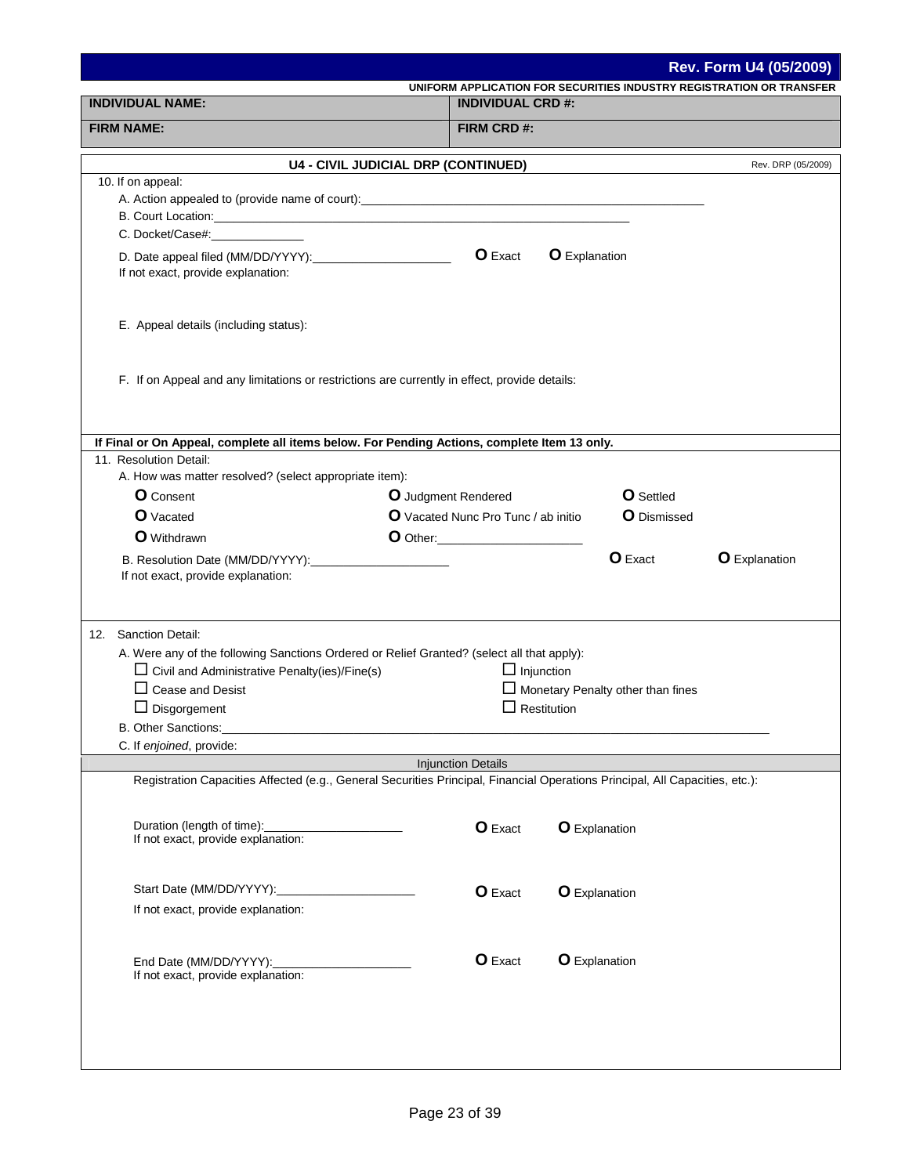|                                                                                                                              |                                                                      |                                          | Rev. Form U4 (05/2009) |
|------------------------------------------------------------------------------------------------------------------------------|----------------------------------------------------------------------|------------------------------------------|------------------------|
|                                                                                                                              | UNIFORM APPLICATION FOR SECURITIES INDUSTRY REGISTRATION OR TRANSFER |                                          |                        |
| <b>INDIVIDUAL NAME:</b>                                                                                                      | <b>INDIVIDUAL CRD #:</b>                                             |                                          |                        |
| <b>FIRM NAME:</b>                                                                                                            | FIRM CRD #:                                                          |                                          |                        |
|                                                                                                                              | <b>U4 - CIVIL JUDICIAL DRP (CONTINUED)</b>                           |                                          | Rev. DRP (05/2009)     |
| 10. If on appeal:                                                                                                            |                                                                      |                                          |                        |
|                                                                                                                              |                                                                      |                                          |                        |
| C. Docket/Case#: C. Docket/Case and C. Docket and C. Docket and C. Docket and C. Docket and C. Docket and C. D               |                                                                      |                                          |                        |
|                                                                                                                              | O Exact<br><b>O</b> Explanation                                      |                                          |                        |
| If not exact, provide explanation:                                                                                           |                                                                      |                                          |                        |
|                                                                                                                              |                                                                      |                                          |                        |
| E. Appeal details (including status):                                                                                        |                                                                      |                                          |                        |
|                                                                                                                              |                                                                      |                                          |                        |
|                                                                                                                              |                                                                      |                                          |                        |
| F. If on Appeal and any limitations or restrictions are currently in effect, provide details:                                |                                                                      |                                          |                        |
|                                                                                                                              |                                                                      |                                          |                        |
| If Final or On Appeal, complete all items below. For Pending Actions, complete Item 13 only.                                 |                                                                      |                                          |                        |
| 11. Resolution Detail:                                                                                                       |                                                                      |                                          |                        |
| A. How was matter resolved? (select appropriate item):                                                                       |                                                                      |                                          |                        |
| <b>O</b> Consent                                                                                                             | O Judgment Rendered                                                  | <b>O</b> Settled                         |                        |
| <b>O</b> Vacated                                                                                                             | O Vacated Nunc Pro Tunc / ab initio                                  | <b>O</b> Dismissed                       |                        |
| <b>O</b> Withdrawn                                                                                                           | <b>O</b> Other:________________________                              |                                          |                        |
| If not exact, provide explanation:                                                                                           |                                                                      | <b>O</b> Exact                           | <b>O</b> Explanation   |
|                                                                                                                              |                                                                      |                                          |                        |
|                                                                                                                              |                                                                      |                                          |                        |
| 12. Sanction Detail:                                                                                                         |                                                                      |                                          |                        |
| A. Were any of the following Sanctions Ordered or Relief Granted? (select all that apply):                                   |                                                                      |                                          |                        |
| $\Box$ Civil and Administrative Penalty(ies)/Fine(s)<br>$\Box$ Cease and Desist                                              | $\Box$ Injunction                                                    | $\Box$ Monetary Penalty other than fines |                        |
| $\Box$ Disgorgement                                                                                                          | $\Box$ Restitution                                                   |                                          |                        |
| B. Other Sanctions:                                                                                                          |                                                                      |                                          |                        |
| C. If enjoined, provide:                                                                                                     |                                                                      |                                          |                        |
| Registration Capacities Affected (e.g., General Securities Principal, Financial Operations Principal, All Capacities, etc.): | <b>Injunction Details</b>                                            |                                          |                        |
|                                                                                                                              |                                                                      |                                          |                        |
| Duration (length of time):                                                                                                   |                                                                      |                                          |                        |
| If not exact, provide explanation:                                                                                           | O Exact                                                              | <b>O</b> Explanation                     |                        |
|                                                                                                                              |                                                                      |                                          |                        |
| Start Date (MM/DD/YYYY):_                                                                                                    | O Exact                                                              | <b>O</b> Explanation                     |                        |
| If not exact, provide explanation:                                                                                           |                                                                      |                                          |                        |
|                                                                                                                              |                                                                      |                                          |                        |
|                                                                                                                              | <b>O</b> Exact                                                       | <b>O</b> Explanation                     |                        |
| End Date (MM/DD/YYYY):<br>If not exact, provide explanation:                                                                 |                                                                      |                                          |                        |
|                                                                                                                              |                                                                      |                                          |                        |
|                                                                                                                              |                                                                      |                                          |                        |
|                                                                                                                              |                                                                      |                                          |                        |
|                                                                                                                              |                                                                      |                                          |                        |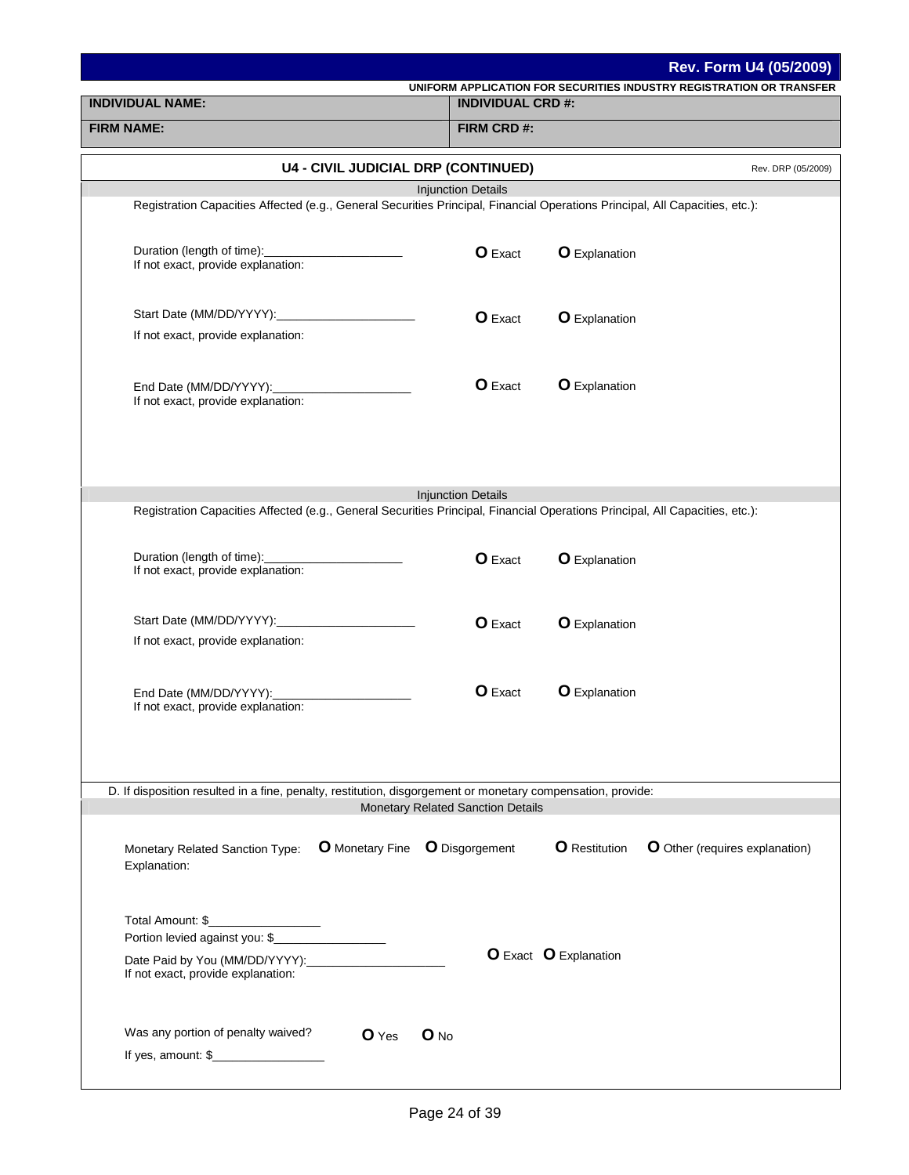|                                                                                                                              |                                   |                       | <b>Rev. Form U4 (05/2009)</b>                                        |
|------------------------------------------------------------------------------------------------------------------------------|-----------------------------------|-----------------------|----------------------------------------------------------------------|
| <b>INDIVIDUAL NAME:</b>                                                                                                      | <b>INDIVIDUAL CRD #:</b>          |                       | UNIFORM APPLICATION FOR SECURITIES INDUSTRY REGISTRATION OR TRANSFER |
| <b>FIRM NAME:</b>                                                                                                            | FIRM CRD #:                       |                       |                                                                      |
|                                                                                                                              |                                   |                       |                                                                      |
| <b>U4 - CIVIL JUDICIAL DRP (CONTINUED)</b>                                                                                   |                                   |                       | Rev. DRP (05/2009)                                                   |
|                                                                                                                              | <b>Injunction Details</b>         |                       |                                                                      |
| Registration Capacities Affected (e.g., General Securities Principal, Financial Operations Principal, All Capacities, etc.): |                                   |                       |                                                                      |
| Duration (length of time):<br>If not exact, provide explanation:                                                             | <b>O</b> Exact                    | <b>O</b> Explanation  |                                                                      |
| If not exact, provide explanation:                                                                                           | <b>O</b> Exact                    | <b>O</b> Explanation  |                                                                      |
| End Date (MM/DD/YYYY):<br>If not exact, provide explanation:                                                                 | <b>O</b> Exact                    | <b>O</b> Explanation  |                                                                      |
|                                                                                                                              | <b>Injunction Details</b>         |                       |                                                                      |
| Registration Capacities Affected (e.g., General Securities Principal, Financial Operations Principal, All Capacities, etc.): |                                   |                       |                                                                      |
| Duration (length of time): Duration (length of time):<br>If not exact, provide explanation:                                  | <b>O</b> Exact                    | <b>O</b> Explanation  |                                                                      |
| If not exact, provide explanation:                                                                                           | <b>O</b> Exact                    | <b>O</b> Explanation  |                                                                      |
| End Date (MM/DD/YYYY):<br>If not exact, provide explanation:                                                                 | <b>O</b> Exact                    | <b>O</b> Explanation  |                                                                      |
|                                                                                                                              |                                   |                       |                                                                      |
| D. If disposition resulted in a fine, penalty, restitution, disgorgement or monetary compensation, provide:                  | Monetary Related Sanction Details |                       |                                                                      |
| <b>O</b> Monetary Fine <b>O</b> Disgorgement<br>Monetary Related Sanction Type:<br>Explanation:                              |                                   | <b>O</b> Restitution  | <b>O</b> Other (requires explanation)                                |
| Total Amount: \$_____________________                                                                                        |                                   |                       |                                                                      |
|                                                                                                                              |                                   |                       |                                                                      |
| If not exact, provide explanation:                                                                                           |                                   | O Exact O Explanation |                                                                      |
| Was any portion of penalty waived?<br>$\mathbf 0$ Yes<br>If yes, amount: $\frac{1}{2}$ [100]                                 | $\mathbf{O}$ No                   |                       |                                                                      |
|                                                                                                                              |                                   |                       |                                                                      |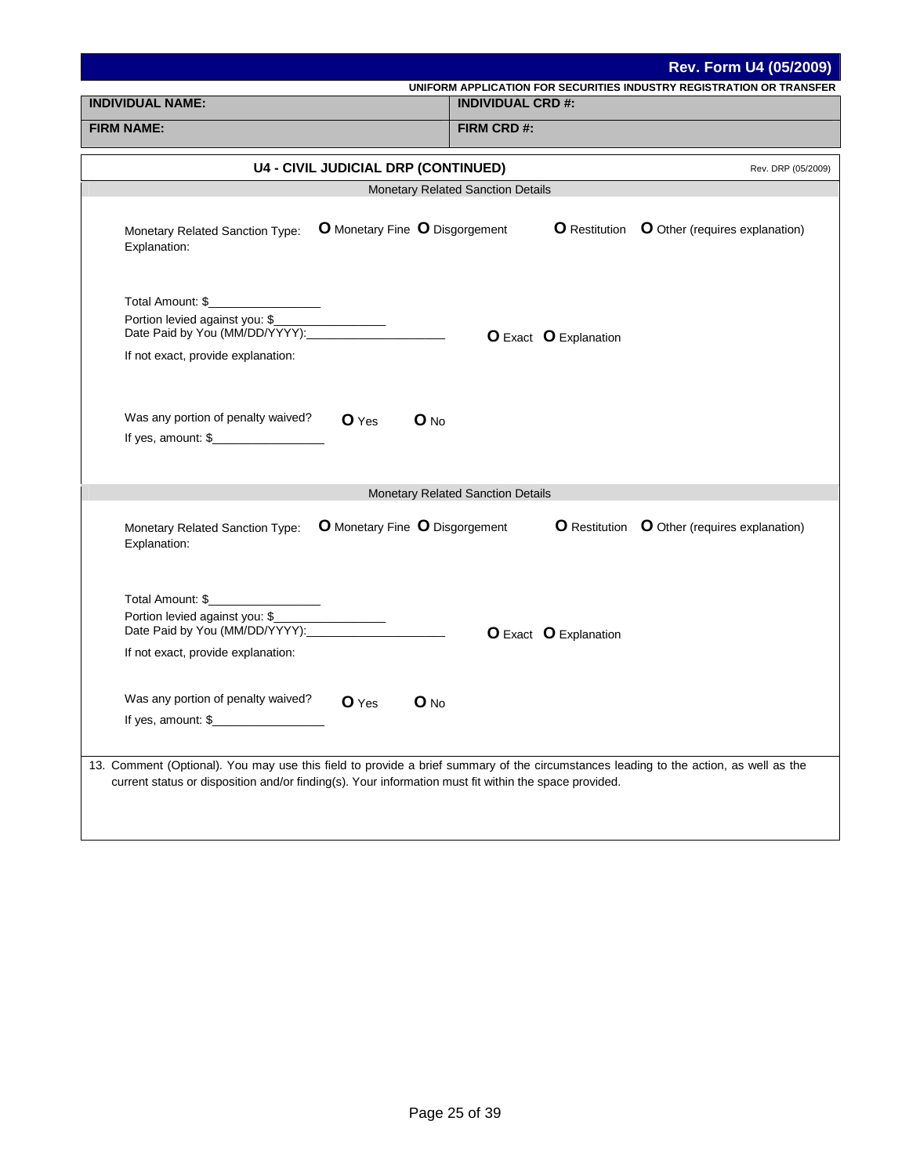|                                                                                                                                                | <b>Rev. Form U4 (05/2009)</b>                                                                                                        |
|------------------------------------------------------------------------------------------------------------------------------------------------|--------------------------------------------------------------------------------------------------------------------------------------|
| <b>INDIVIDUAL NAME:</b>                                                                                                                        | UNIFORM APPLICATION FOR SECURITIES INDUSTRY REGISTRATION OR TRANSFER<br><b>INDIVIDUAL CRD #:</b>                                     |
|                                                                                                                                                |                                                                                                                                      |
| <b>FIRM NAME:</b>                                                                                                                              | FIRM CRD#:                                                                                                                           |
| <b>U4 - CIVIL JUDICIAL DRP (CONTINUED)</b>                                                                                                     | Rev. DRP (05/2009)                                                                                                                   |
|                                                                                                                                                | <b>Monetary Related Sanction Details</b>                                                                                             |
| O Monetary Fine O Disgorgement<br>Monetary Related Sanction Type:<br>Explanation:                                                              | <b>O</b> Restitution <b>O</b> Other (requires explanation)                                                                           |
| Total Amount: \$<br>Portion levied against you: \$____________________<br>Date Paid by You (MM/DD/YYYY):<br>If not exact, provide explanation: | <b>O</b> Exact <b>O</b> Explanation                                                                                                  |
| Was any portion of penalty waived?<br>$O$ No<br>$O$ Yes<br>If yes, amount: $\frac{1}{2}$                                                       |                                                                                                                                      |
|                                                                                                                                                | Monetary Related Sanction Details                                                                                                    |
| O Monetary Fine O Disgorgement<br>Monetary Related Sanction Type:<br>Explanation:                                                              | <b>O</b> Restitution <b>O</b> Other (requires explanation)                                                                           |
| Total Amount: \$___________________<br>Portion levied against you: \$<br>Date Paid by You (MM/DD/YYYY):<br>If not exact, provide explanation:  | <b>O</b> Exact <b>O</b> Explanation                                                                                                  |
| Was any portion of penalty waived?<br>O No<br><b>O</b> Yes<br>If yes, amount: \$                                                               |                                                                                                                                      |
| current status or disposition and/or finding(s). Your information must fit within the space provided.                                          | 13. Comment (Optional). You may use this field to provide a brief summary of the circumstances leading to the action, as well as the |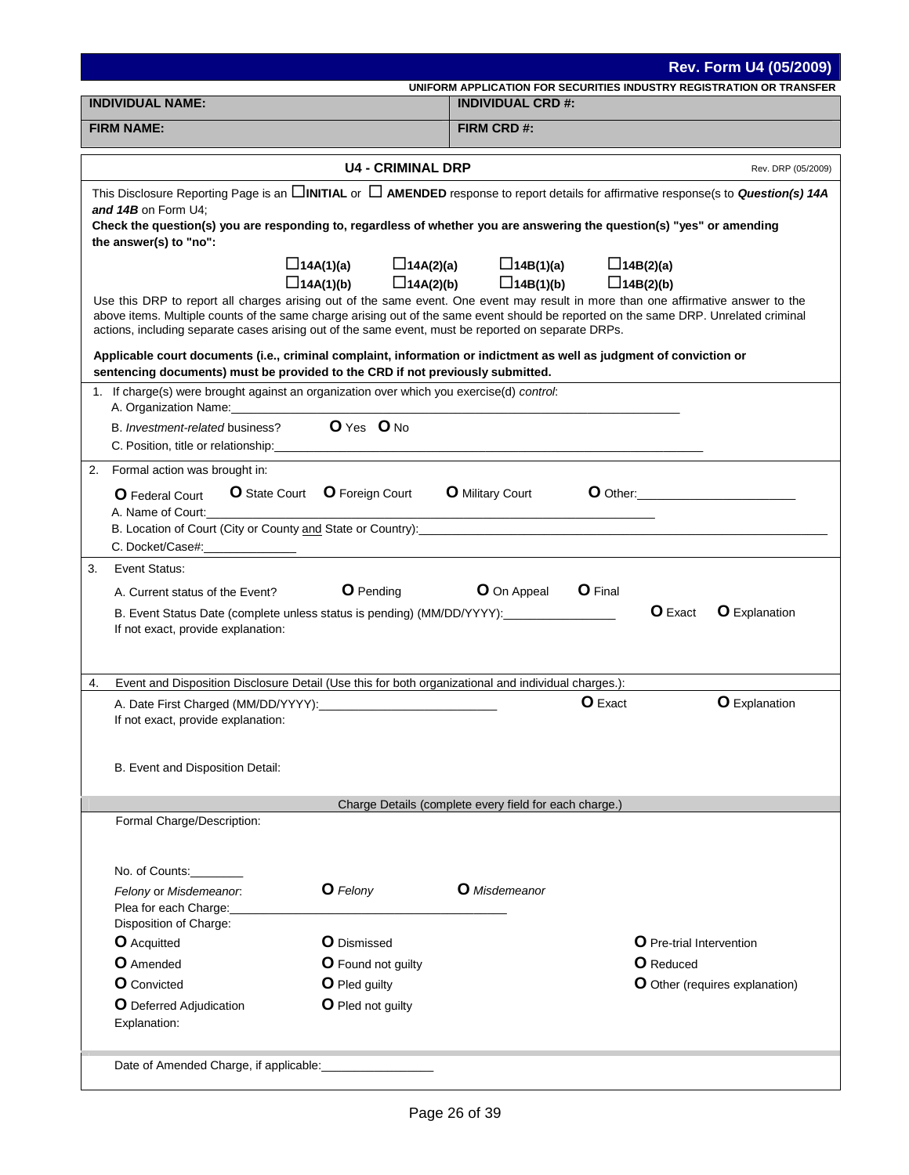| UNIFORM APPLICATION FOR SECURITIES INDUSTRY REGISTRATION OR TRANSFER<br><b>INDIVIDUAL CRD #:</b><br>FIRM CRD #:<br><b>U4 - CRIMINAL DRP</b><br>Rev. DRP (05/2009)<br>This Disclosure Reporting Page is an <b>DINITIAL</b> or <b>D AMENDED</b> response to report details for affirmative response(s to <b>Question(s) 14A</b><br>and 14B on Form U4;<br>Check the question(s) you are responding to, regardless of whether you are answering the question(s) "yes" or amending<br>the answer(s) to "no":<br>$\Box$ 14A(1)(a)<br>$\Box$ 14A(2)(a)<br>$\Box$ 14B(1)(a)<br>$\Box$ 14B(2)(a)<br>$\Box$ 14A(1)(b)<br>$\Box$ 14A(2)(b)<br>$\Box$ 14B(1)(b)<br>$\Box$ 14B(2)(b)<br>Use this DRP to report all charges arising out of the same event. One event may result in more than one affirmative answer to the<br>above items. Multiple counts of the same charge arising out of the same event should be reported on the same DRP. Unrelated criminal<br>actions, including separate cases arising out of the same event, must be reported on separate DRPs.<br>Applicable court documents (i.e., criminal complaint, information or indictment as well as judgment of conviction or<br>sentencing documents) must be provided to the CRD if not previously submitted.<br>1. If charge(s) were brought against an organization over which you exercise(d) control:<br>A. Organization Name:<br>O Yes O No<br>B. Investment-related business?<br>C. Position, title or relationship: example of the state of the state of the state of the state of the state of the state of the state of the state of the state of the state of the state of the state of the state of the st<br>Formal action was brought in:<br>O Other:<br><b>O</b> State Court <b>O</b> Foreign Court<br><b>O</b> Military Court<br><b>O</b> Federal Court<br>A. Name of Court:<br>B. Location of Court (City or County and State or Country): <b>Constant Control Constant County of County</b> County and State or Country):<br>C. Docket/Case#:<br>Event Status:<br><b>O</b> Pending<br>O On Appeal<br><b>O</b> Final<br>A. Current status of the Event?<br>O Exact<br><b>O</b> Explanation<br>B. Event Status Date (complete unless status is pending) (MM/DD/YYYY):<br>If not exact, provide explanation:<br>Event and Disposition Disclosure Detail (Use this for both organizational and individual charges.):<br><b>O</b> Explanation<br><b>O</b> Exact<br>A. Date First Charged (MM/DD/YYYY):<br>If not exact, provide explanation:<br>B. Event and Disposition Detail:<br>Charge Details (complete every field for each charge.)<br>Formal Charge/Description:<br>No. of Counts:<br>O Felony<br><b>O</b> Misdemeanor<br>Felony or Misdemeanor.<br>Plea for each Charge:<br>Disposition of Charge:<br><b>O</b> Acquitted<br>O Dismissed<br><b>O</b> Pre-trial Intervention<br>O Amended<br><b>O</b> Reduced<br><b>O</b> Found not guilty<br><b>O</b> Convicted<br>O Pled guilty<br>O Other (requires explanation)<br>O Pled not guilty<br><b>O</b> Deferred Adjudication<br>Explanation:<br>Date of Amended Charge, if applicable: |                         |  | Rev. Form U4 (05/2009) |
|------------------------------------------------------------------------------------------------------------------------------------------------------------------------------------------------------------------------------------------------------------------------------------------------------------------------------------------------------------------------------------------------------------------------------------------------------------------------------------------------------------------------------------------------------------------------------------------------------------------------------------------------------------------------------------------------------------------------------------------------------------------------------------------------------------------------------------------------------------------------------------------------------------------------------------------------------------------------------------------------------------------------------------------------------------------------------------------------------------------------------------------------------------------------------------------------------------------------------------------------------------------------------------------------------------------------------------------------------------------------------------------------------------------------------------------------------------------------------------------------------------------------------------------------------------------------------------------------------------------------------------------------------------------------------------------------------------------------------------------------------------------------------------------------------------------------------------------------------------------------------------------------------------------------------------------------------------------------------------------------------------------------------------------------------------------------------------------------------------------------------------------------------------------------------------------------------------------------------------------------------------------------------------------------------------------------------------------------------------------------------------------------------------------------------------------------------------------------------------------------------------------------------------------------------------------------------------------------------------------------------------------------------------------------------------------------------------------------------------------------------------------------------------------------------------------------------------------------------------------------------------------------------------------------------------------------------------------------------------------------------------------------------------------------------------------------------------------------------------------|-------------------------|--|------------------------|
|                                                                                                                                                                                                                                                                                                                                                                                                                                                                                                                                                                                                                                                                                                                                                                                                                                                                                                                                                                                                                                                                                                                                                                                                                                                                                                                                                                                                                                                                                                                                                                                                                                                                                                                                                                                                                                                                                                                                                                                                                                                                                                                                                                                                                                                                                                                                                                                                                                                                                                                                                                                                                                                                                                                                                                                                                                                                                                                                                                                                                                                                                                                  | <b>INDIVIDUAL NAME:</b> |  |                        |
|                                                                                                                                                                                                                                                                                                                                                                                                                                                                                                                                                                                                                                                                                                                                                                                                                                                                                                                                                                                                                                                                                                                                                                                                                                                                                                                                                                                                                                                                                                                                                                                                                                                                                                                                                                                                                                                                                                                                                                                                                                                                                                                                                                                                                                                                                                                                                                                                                                                                                                                                                                                                                                                                                                                                                                                                                                                                                                                                                                                                                                                                                                                  | <b>FIRM NAME:</b>       |  |                        |
|                                                                                                                                                                                                                                                                                                                                                                                                                                                                                                                                                                                                                                                                                                                                                                                                                                                                                                                                                                                                                                                                                                                                                                                                                                                                                                                                                                                                                                                                                                                                                                                                                                                                                                                                                                                                                                                                                                                                                                                                                                                                                                                                                                                                                                                                                                                                                                                                                                                                                                                                                                                                                                                                                                                                                                                                                                                                                                                                                                                                                                                                                                                  |                         |  |                        |
|                                                                                                                                                                                                                                                                                                                                                                                                                                                                                                                                                                                                                                                                                                                                                                                                                                                                                                                                                                                                                                                                                                                                                                                                                                                                                                                                                                                                                                                                                                                                                                                                                                                                                                                                                                                                                                                                                                                                                                                                                                                                                                                                                                                                                                                                                                                                                                                                                                                                                                                                                                                                                                                                                                                                                                                                                                                                                                                                                                                                                                                                                                                  |                         |  |                        |
|                                                                                                                                                                                                                                                                                                                                                                                                                                                                                                                                                                                                                                                                                                                                                                                                                                                                                                                                                                                                                                                                                                                                                                                                                                                                                                                                                                                                                                                                                                                                                                                                                                                                                                                                                                                                                                                                                                                                                                                                                                                                                                                                                                                                                                                                                                                                                                                                                                                                                                                                                                                                                                                                                                                                                                                                                                                                                                                                                                                                                                                                                                                  |                         |  |                        |
|                                                                                                                                                                                                                                                                                                                                                                                                                                                                                                                                                                                                                                                                                                                                                                                                                                                                                                                                                                                                                                                                                                                                                                                                                                                                                                                                                                                                                                                                                                                                                                                                                                                                                                                                                                                                                                                                                                                                                                                                                                                                                                                                                                                                                                                                                                                                                                                                                                                                                                                                                                                                                                                                                                                                                                                                                                                                                                                                                                                                                                                                                                                  |                         |  |                        |
|                                                                                                                                                                                                                                                                                                                                                                                                                                                                                                                                                                                                                                                                                                                                                                                                                                                                                                                                                                                                                                                                                                                                                                                                                                                                                                                                                                                                                                                                                                                                                                                                                                                                                                                                                                                                                                                                                                                                                                                                                                                                                                                                                                                                                                                                                                                                                                                                                                                                                                                                                                                                                                                                                                                                                                                                                                                                                                                                                                                                                                                                                                                  |                         |  |                        |
|                                                                                                                                                                                                                                                                                                                                                                                                                                                                                                                                                                                                                                                                                                                                                                                                                                                                                                                                                                                                                                                                                                                                                                                                                                                                                                                                                                                                                                                                                                                                                                                                                                                                                                                                                                                                                                                                                                                                                                                                                                                                                                                                                                                                                                                                                                                                                                                                                                                                                                                                                                                                                                                                                                                                                                                                                                                                                                                                                                                                                                                                                                                  |                         |  |                        |
|                                                                                                                                                                                                                                                                                                                                                                                                                                                                                                                                                                                                                                                                                                                                                                                                                                                                                                                                                                                                                                                                                                                                                                                                                                                                                                                                                                                                                                                                                                                                                                                                                                                                                                                                                                                                                                                                                                                                                                                                                                                                                                                                                                                                                                                                                                                                                                                                                                                                                                                                                                                                                                                                                                                                                                                                                                                                                                                                                                                                                                                                                                                  |                         |  |                        |
|                                                                                                                                                                                                                                                                                                                                                                                                                                                                                                                                                                                                                                                                                                                                                                                                                                                                                                                                                                                                                                                                                                                                                                                                                                                                                                                                                                                                                                                                                                                                                                                                                                                                                                                                                                                                                                                                                                                                                                                                                                                                                                                                                                                                                                                                                                                                                                                                                                                                                                                                                                                                                                                                                                                                                                                                                                                                                                                                                                                                                                                                                                                  |                         |  |                        |
|                                                                                                                                                                                                                                                                                                                                                                                                                                                                                                                                                                                                                                                                                                                                                                                                                                                                                                                                                                                                                                                                                                                                                                                                                                                                                                                                                                                                                                                                                                                                                                                                                                                                                                                                                                                                                                                                                                                                                                                                                                                                                                                                                                                                                                                                                                                                                                                                                                                                                                                                                                                                                                                                                                                                                                                                                                                                                                                                                                                                                                                                                                                  |                         |  |                        |
|                                                                                                                                                                                                                                                                                                                                                                                                                                                                                                                                                                                                                                                                                                                                                                                                                                                                                                                                                                                                                                                                                                                                                                                                                                                                                                                                                                                                                                                                                                                                                                                                                                                                                                                                                                                                                                                                                                                                                                                                                                                                                                                                                                                                                                                                                                                                                                                                                                                                                                                                                                                                                                                                                                                                                                                                                                                                                                                                                                                                                                                                                                                  | 2.                      |  |                        |
|                                                                                                                                                                                                                                                                                                                                                                                                                                                                                                                                                                                                                                                                                                                                                                                                                                                                                                                                                                                                                                                                                                                                                                                                                                                                                                                                                                                                                                                                                                                                                                                                                                                                                                                                                                                                                                                                                                                                                                                                                                                                                                                                                                                                                                                                                                                                                                                                                                                                                                                                                                                                                                                                                                                                                                                                                                                                                                                                                                                                                                                                                                                  |                         |  |                        |
|                                                                                                                                                                                                                                                                                                                                                                                                                                                                                                                                                                                                                                                                                                                                                                                                                                                                                                                                                                                                                                                                                                                                                                                                                                                                                                                                                                                                                                                                                                                                                                                                                                                                                                                                                                                                                                                                                                                                                                                                                                                                                                                                                                                                                                                                                                                                                                                                                                                                                                                                                                                                                                                                                                                                                                                                                                                                                                                                                                                                                                                                                                                  |                         |  |                        |
|                                                                                                                                                                                                                                                                                                                                                                                                                                                                                                                                                                                                                                                                                                                                                                                                                                                                                                                                                                                                                                                                                                                                                                                                                                                                                                                                                                                                                                                                                                                                                                                                                                                                                                                                                                                                                                                                                                                                                                                                                                                                                                                                                                                                                                                                                                                                                                                                                                                                                                                                                                                                                                                                                                                                                                                                                                                                                                                                                                                                                                                                                                                  | 3.                      |  |                        |
|                                                                                                                                                                                                                                                                                                                                                                                                                                                                                                                                                                                                                                                                                                                                                                                                                                                                                                                                                                                                                                                                                                                                                                                                                                                                                                                                                                                                                                                                                                                                                                                                                                                                                                                                                                                                                                                                                                                                                                                                                                                                                                                                                                                                                                                                                                                                                                                                                                                                                                                                                                                                                                                                                                                                                                                                                                                                                                                                                                                                                                                                                                                  |                         |  |                        |
|                                                                                                                                                                                                                                                                                                                                                                                                                                                                                                                                                                                                                                                                                                                                                                                                                                                                                                                                                                                                                                                                                                                                                                                                                                                                                                                                                                                                                                                                                                                                                                                                                                                                                                                                                                                                                                                                                                                                                                                                                                                                                                                                                                                                                                                                                                                                                                                                                                                                                                                                                                                                                                                                                                                                                                                                                                                                                                                                                                                                                                                                                                                  |                         |  |                        |
|                                                                                                                                                                                                                                                                                                                                                                                                                                                                                                                                                                                                                                                                                                                                                                                                                                                                                                                                                                                                                                                                                                                                                                                                                                                                                                                                                                                                                                                                                                                                                                                                                                                                                                                                                                                                                                                                                                                                                                                                                                                                                                                                                                                                                                                                                                                                                                                                                                                                                                                                                                                                                                                                                                                                                                                                                                                                                                                                                                                                                                                                                                                  | 4.                      |  |                        |
|                                                                                                                                                                                                                                                                                                                                                                                                                                                                                                                                                                                                                                                                                                                                                                                                                                                                                                                                                                                                                                                                                                                                                                                                                                                                                                                                                                                                                                                                                                                                                                                                                                                                                                                                                                                                                                                                                                                                                                                                                                                                                                                                                                                                                                                                                                                                                                                                                                                                                                                                                                                                                                                                                                                                                                                                                                                                                                                                                                                                                                                                                                                  |                         |  |                        |
|                                                                                                                                                                                                                                                                                                                                                                                                                                                                                                                                                                                                                                                                                                                                                                                                                                                                                                                                                                                                                                                                                                                                                                                                                                                                                                                                                                                                                                                                                                                                                                                                                                                                                                                                                                                                                                                                                                                                                                                                                                                                                                                                                                                                                                                                                                                                                                                                                                                                                                                                                                                                                                                                                                                                                                                                                                                                                                                                                                                                                                                                                                                  |                         |  |                        |
|                                                                                                                                                                                                                                                                                                                                                                                                                                                                                                                                                                                                                                                                                                                                                                                                                                                                                                                                                                                                                                                                                                                                                                                                                                                                                                                                                                                                                                                                                                                                                                                                                                                                                                                                                                                                                                                                                                                                                                                                                                                                                                                                                                                                                                                                                                                                                                                                                                                                                                                                                                                                                                                                                                                                                                                                                                                                                                                                                                                                                                                                                                                  |                         |  |                        |
|                                                                                                                                                                                                                                                                                                                                                                                                                                                                                                                                                                                                                                                                                                                                                                                                                                                                                                                                                                                                                                                                                                                                                                                                                                                                                                                                                                                                                                                                                                                                                                                                                                                                                                                                                                                                                                                                                                                                                                                                                                                                                                                                                                                                                                                                                                                                                                                                                                                                                                                                                                                                                                                                                                                                                                                                                                                                                                                                                                                                                                                                                                                  |                         |  |                        |
|                                                                                                                                                                                                                                                                                                                                                                                                                                                                                                                                                                                                                                                                                                                                                                                                                                                                                                                                                                                                                                                                                                                                                                                                                                                                                                                                                                                                                                                                                                                                                                                                                                                                                                                                                                                                                                                                                                                                                                                                                                                                                                                                                                                                                                                                                                                                                                                                                                                                                                                                                                                                                                                                                                                                                                                                                                                                                                                                                                                                                                                                                                                  |                         |  |                        |
|                                                                                                                                                                                                                                                                                                                                                                                                                                                                                                                                                                                                                                                                                                                                                                                                                                                                                                                                                                                                                                                                                                                                                                                                                                                                                                                                                                                                                                                                                                                                                                                                                                                                                                                                                                                                                                                                                                                                                                                                                                                                                                                                                                                                                                                                                                                                                                                                                                                                                                                                                                                                                                                                                                                                                                                                                                                                                                                                                                                                                                                                                                                  |                         |  |                        |
|                                                                                                                                                                                                                                                                                                                                                                                                                                                                                                                                                                                                                                                                                                                                                                                                                                                                                                                                                                                                                                                                                                                                                                                                                                                                                                                                                                                                                                                                                                                                                                                                                                                                                                                                                                                                                                                                                                                                                                                                                                                                                                                                                                                                                                                                                                                                                                                                                                                                                                                                                                                                                                                                                                                                                                                                                                                                                                                                                                                                                                                                                                                  |                         |  |                        |
|                                                                                                                                                                                                                                                                                                                                                                                                                                                                                                                                                                                                                                                                                                                                                                                                                                                                                                                                                                                                                                                                                                                                                                                                                                                                                                                                                                                                                                                                                                                                                                                                                                                                                                                                                                                                                                                                                                                                                                                                                                                                                                                                                                                                                                                                                                                                                                                                                                                                                                                                                                                                                                                                                                                                                                                                                                                                                                                                                                                                                                                                                                                  |                         |  |                        |
|                                                                                                                                                                                                                                                                                                                                                                                                                                                                                                                                                                                                                                                                                                                                                                                                                                                                                                                                                                                                                                                                                                                                                                                                                                                                                                                                                                                                                                                                                                                                                                                                                                                                                                                                                                                                                                                                                                                                                                                                                                                                                                                                                                                                                                                                                                                                                                                                                                                                                                                                                                                                                                                                                                                                                                                                                                                                                                                                                                                                                                                                                                                  |                         |  |                        |
|                                                                                                                                                                                                                                                                                                                                                                                                                                                                                                                                                                                                                                                                                                                                                                                                                                                                                                                                                                                                                                                                                                                                                                                                                                                                                                                                                                                                                                                                                                                                                                                                                                                                                                                                                                                                                                                                                                                                                                                                                                                                                                                                                                                                                                                                                                                                                                                                                                                                                                                                                                                                                                                                                                                                                                                                                                                                                                                                                                                                                                                                                                                  |                         |  |                        |
|                                                                                                                                                                                                                                                                                                                                                                                                                                                                                                                                                                                                                                                                                                                                                                                                                                                                                                                                                                                                                                                                                                                                                                                                                                                                                                                                                                                                                                                                                                                                                                                                                                                                                                                                                                                                                                                                                                                                                                                                                                                                                                                                                                                                                                                                                                                                                                                                                                                                                                                                                                                                                                                                                                                                                                                                                                                                                                                                                                                                                                                                                                                  |                         |  |                        |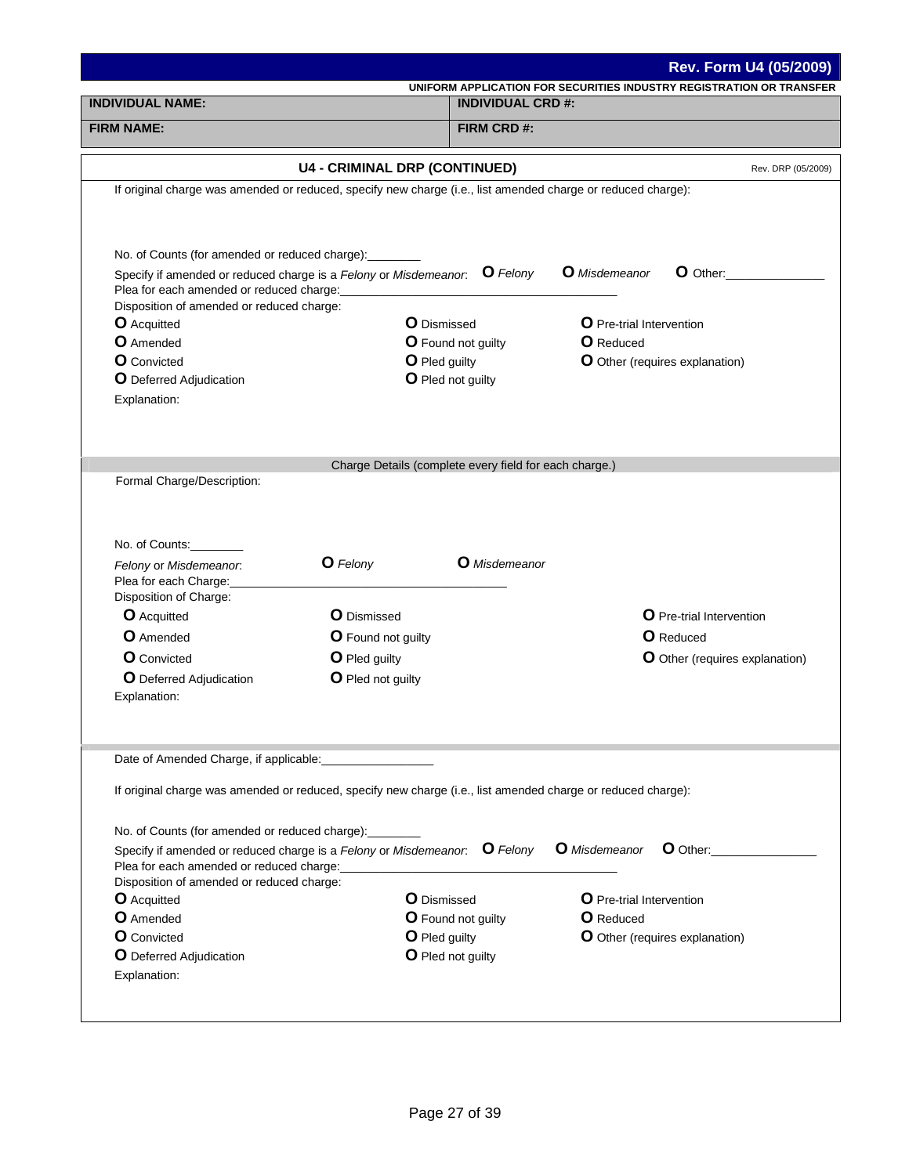|                                                        |                                                                                                              | Rev. Form U4 (05/2009)                                               |
|--------------------------------------------------------|--------------------------------------------------------------------------------------------------------------|----------------------------------------------------------------------|
| <b>INDIVIDUAL NAME:</b>                                | <b>INDIVIDUAL CRD #:</b>                                                                                     | UNIFORM APPLICATION FOR SECURITIES INDUSTRY REGISTRATION OR TRANSFER |
|                                                        |                                                                                                              |                                                                      |
| <b>FIRM NAME:</b>                                      | FIRM CRD #:                                                                                                  |                                                                      |
|                                                        | <b>U4 - CRIMINAL DRP (CONTINUED)</b>                                                                         | Rev. DRP (05/2009)                                                   |
|                                                        | If original charge was amended or reduced, specify new charge (i.e., list amended charge or reduced charge): |                                                                      |
|                                                        |                                                                                                              |                                                                      |
| No. of Counts (for amended or reduced charge): _______ |                                                                                                              |                                                                      |
| Plea for each amended or reduced charge:               | Specify if amended or reduced charge is a Felony or Misdemeanor. $\bullet$ Felony                            | <b>O</b> Misdemeanor<br>$O$ Other:                                   |
| Disposition of amended or reduced charge:              |                                                                                                              |                                                                      |
| <b>O</b> Acquitted                                     | <b>O</b> Dismissed                                                                                           | <b>O</b> Pre-trial Intervention                                      |
| <b>O</b> Amended                                       | <b>O</b> Found not guilty                                                                                    | <b>O</b> Reduced                                                     |
| <b>O</b> Convicted                                     | O Pled guilty                                                                                                | <b>O</b> Other (requires explanation)                                |
| <b>O</b> Deferred Adjudication                         | O Pled not guilty                                                                                            |                                                                      |
| Explanation:                                           |                                                                                                              |                                                                      |
|                                                        |                                                                                                              |                                                                      |
|                                                        |                                                                                                              |                                                                      |
| Formal Charge/Description:<br>No. of Counts:           | Charge Details (complete every field for each charge.)                                                       |                                                                      |
| Felony or Misdemeanor.<br>Plea for each Charge:        | O Felony<br><b>O</b> Misdemeanor                                                                             |                                                                      |
| Disposition of Charge:                                 |                                                                                                              |                                                                      |
| <b>O</b> Acquitted                                     | <b>O</b> Dismissed                                                                                           | O Pre-trial Intervention                                             |
| <b>O</b> Amended                                       | <b>O</b> Found not guilty                                                                                    | <b>O</b> Reduced                                                     |
| <b>O</b> Convicted                                     |                                                                                                              |                                                                      |
|                                                        | O Pled guilty                                                                                                | O Other (requires explanation)                                       |
| O Deferred Adjudication<br>Explanation:                | O Pled not guilty                                                                                            |                                                                      |
| Date of Amended Charge, if applicable:                 |                                                                                                              |                                                                      |
|                                                        | If original charge was amended or reduced, specify new charge (i.e., list amended charge or reduced charge): |                                                                      |
| No. of Counts (for amended or reduced charge):         |                                                                                                              |                                                                      |
| Plea for each amended or reduced charge:               | Specify if amended or reduced charge is a Felony or Misdemeanor. O Felony                                    | <b>O</b> Misdemeanor<br>$\bullet$ Other:                             |
| Disposition of amended or reduced charge:              |                                                                                                              |                                                                      |
| <b>O</b> Acquitted                                     | <b>O</b> Dismissed                                                                                           | O Pre-trial Intervention                                             |
| <b>O</b> Amended                                       | <b>O</b> Found not guilty                                                                                    | <b>O</b> Reduced                                                     |
| <b>O</b> Convicted                                     | O Pled guilty                                                                                                | <b>O</b> Other (requires explanation)                                |
| <b>O</b> Deferred Adjudication<br>Explanation:         | O Pled not guilty                                                                                            |                                                                      |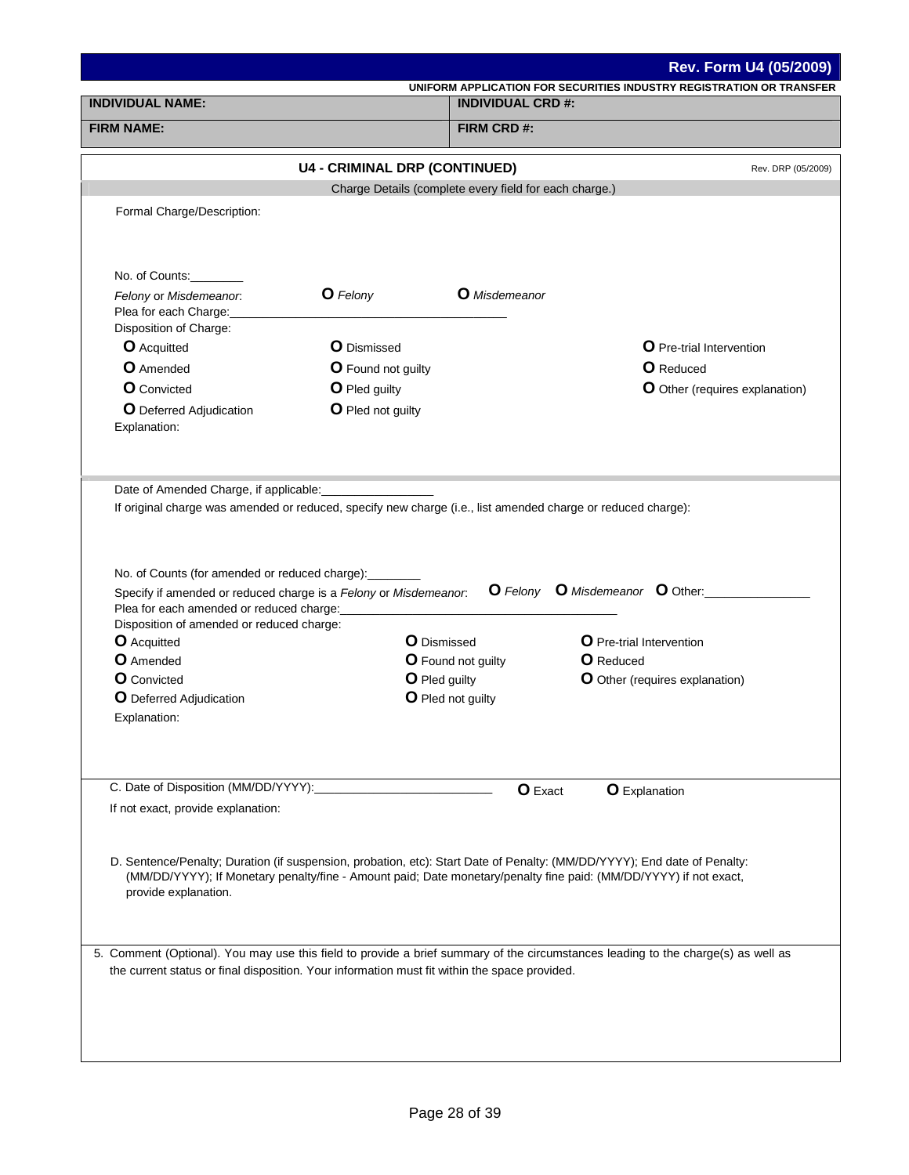|                                                                                                                                                                                                                                                                   |                                                                                                                                                                                                                         |                                                        | <b>Rev. Form U4 (05/2009)</b>                                                                                                          |
|-------------------------------------------------------------------------------------------------------------------------------------------------------------------------------------------------------------------------------------------------------------------|-------------------------------------------------------------------------------------------------------------------------------------------------------------------------------------------------------------------------|--------------------------------------------------------|----------------------------------------------------------------------------------------------------------------------------------------|
| <b>INDIVIDUAL NAME:</b>                                                                                                                                                                                                                                           |                                                                                                                                                                                                                         | <b>INDIVIDUAL CRD #:</b>                               | UNIFORM APPLICATION FOR SECURITIES INDUSTRY REGISTRATION OR TRANSFER                                                                   |
| <b>FIRM NAME:</b>                                                                                                                                                                                                                                                 |                                                                                                                                                                                                                         | FIRM CRD #:                                            |                                                                                                                                        |
|                                                                                                                                                                                                                                                                   |                                                                                                                                                                                                                         |                                                        |                                                                                                                                        |
|                                                                                                                                                                                                                                                                   | <b>U4 - CRIMINAL DRP (CONTINUED)</b>                                                                                                                                                                                    |                                                        | Rev. DRP (05/2009)                                                                                                                     |
|                                                                                                                                                                                                                                                                   |                                                                                                                                                                                                                         | Charge Details (complete every field for each charge.) |                                                                                                                                        |
| Formal Charge/Description:                                                                                                                                                                                                                                        |                                                                                                                                                                                                                         |                                                        |                                                                                                                                        |
|                                                                                                                                                                                                                                                                   |                                                                                                                                                                                                                         |                                                        |                                                                                                                                        |
| No. of Counts:                                                                                                                                                                                                                                                    | <b>O</b> Felony                                                                                                                                                                                                         | <b>O</b> Misdemeanor                                   |                                                                                                                                        |
| Felony or Misdemeanor.<br>Plea for each Charge:<br>Disposition of Charge:                                                                                                                                                                                         |                                                                                                                                                                                                                         |                                                        |                                                                                                                                        |
| <b>O</b> Acquitted                                                                                                                                                                                                                                                | <b>O</b> Dismissed                                                                                                                                                                                                      |                                                        | <b>O</b> Pre-trial Intervention                                                                                                        |
| <b>O</b> Amended                                                                                                                                                                                                                                                  | <b>O</b> Found not guilty                                                                                                                                                                                               |                                                        | <b>O</b> Reduced                                                                                                                       |
| <b>O</b> Convicted                                                                                                                                                                                                                                                | O Pled guilty                                                                                                                                                                                                           |                                                        | O Other (requires explanation)                                                                                                         |
| <b>O</b> Deferred Adjudication<br>Explanation:                                                                                                                                                                                                                    | O Pled not guilty                                                                                                                                                                                                       |                                                        |                                                                                                                                        |
| No. of Counts (for amended or reduced charge): _______<br>Plea for each amended or reduced charge:<br>Disposition of amended or reduced charge:<br><b>O</b> Acquitted<br><b>O</b> Amended<br><b>O</b> Convicted<br><b>O</b> Deferred Adjudication<br>Explanation: | If original charge was amended or reduced, specify new charge (i.e., list amended charge or reduced charge):<br>Specify if amended or reduced charge is a Felony or Misdemeanor.<br><b>O</b> Dismissed<br>O Pled guilty | <b>O</b> Found not guilty<br>O Pled not guilty         | <b>O</b> Felony <b>O</b> Misdemeanor <b>O</b> Other:<br>O Pre-trial Intervention<br><b>O</b> Reduced<br>O Other (requires explanation) |
|                                                                                                                                                                                                                                                                   |                                                                                                                                                                                                                         |                                                        |                                                                                                                                        |
| C. Date of Disposition (MM/DD/YYYY):<br>If not exact, provide explanation:                                                                                                                                                                                        |                                                                                                                                                                                                                         | <b>O</b> Exact                                         | <b>O</b> Explanation                                                                                                                   |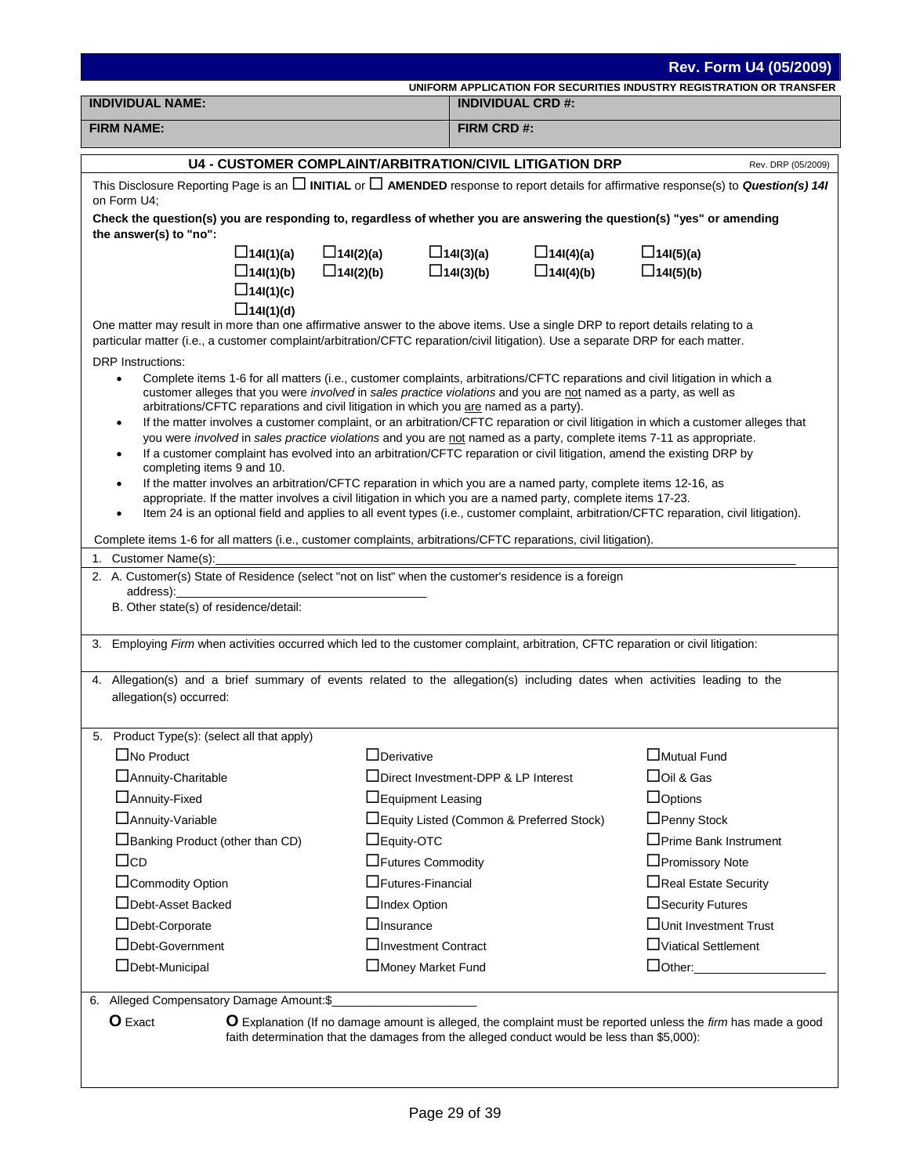| Rev. Form U4 (05/2009)                                                                                                                                                                                                                                         |                          |                                                                                            |                                                                                                                                        |
|----------------------------------------------------------------------------------------------------------------------------------------------------------------------------------------------------------------------------------------------------------------|--------------------------|--------------------------------------------------------------------------------------------|----------------------------------------------------------------------------------------------------------------------------------------|
|                                                                                                                                                                                                                                                                |                          |                                                                                            | UNIFORM APPLICATION FOR SECURITIES INDUSTRY REGISTRATION OR TRANSFER                                                                   |
| <b>INDIVIDUAL NAME:</b>                                                                                                                                                                                                                                        |                          | <b>INDIVIDUAL CRD #:</b>                                                                   |                                                                                                                                        |
| <b>FIRM NAME:</b>                                                                                                                                                                                                                                              |                          | FIRM CRD #:                                                                                |                                                                                                                                        |
| <b>U4 - CUSTOMER COMPLAINT/ARBITRATION/CIVIL LITIGATION DRP</b><br>Rev. DRP (05/2009)                                                                                                                                                                          |                          |                                                                                            |                                                                                                                                        |
| This Disclosure Reporting Page is an $\square$ INITIAL or $\square$ AMENDED response to report details for affirmative response(s) to <i>Question(s) 14I</i><br>on Form U4;                                                                                    |                          |                                                                                            |                                                                                                                                        |
| Check the question(s) you are responding to, regardless of whether you are answering the question(s) "yes" or amending<br>the answer(s) to "no":                                                                                                               |                          |                                                                                            |                                                                                                                                        |
| $\Box$ 14I(1)(a)                                                                                                                                                                                                                                               | $\Box$ 14I(2)(a)         | $\Box$ 14I(3)(a)<br>$\Box$ 14I(4)(a)                                                       | $\Box$ 14I(5)(a)                                                                                                                       |
| $\Box$ 14I(1)(b)                                                                                                                                                                                                                                               | $\Box$ 14I(2)(b)         | $\Box$ 14I(4)(b)<br>$\Box$ 14I(3)(b)                                                       | $\Box$ 14I(5)(b)                                                                                                                       |
| $\Box$ 14I(1)(c)                                                                                                                                                                                                                                               |                          |                                                                                            |                                                                                                                                        |
| $\Box$ 14I(1)(d)<br>One matter may result in more than one affirmative answer to the above items. Use a single DRP to report details relating to a                                                                                                             |                          |                                                                                            |                                                                                                                                        |
| particular matter (i.e., a customer complaint/arbitration/CFTC reparation/civil litigation). Use a separate DRP for each matter.                                                                                                                               |                          |                                                                                            |                                                                                                                                        |
| <b>DRP</b> Instructions:                                                                                                                                                                                                                                       |                          |                                                                                            |                                                                                                                                        |
| Complete items 1-6 for all matters (i.e., customer complaints, arbitrations/CFTC reparations and civil litigation in which a<br>$\bullet$<br>customer alleges that you were involved in sales practice violations and you are not named as a party, as well as |                          |                                                                                            |                                                                                                                                        |
| arbitrations/CFTC reparations and civil litigation in which you are named as a party).                                                                                                                                                                         |                          |                                                                                            |                                                                                                                                        |
| $\bullet$                                                                                                                                                                                                                                                      |                          |                                                                                            | If the matter involves a customer complaint, or an arbitration/CFTC reparation or civil litigation in which a customer alleges that    |
| you were involved in sales practice violations and you are not named as a party, complete items 7-11 as appropriate.<br>If a customer complaint has evolved into an arbitration/CFTC reparation or civil litigation, amend the existing DRP by<br>$\bullet$    |                          |                                                                                            |                                                                                                                                        |
| completing items 9 and 10.                                                                                                                                                                                                                                     |                          |                                                                                            |                                                                                                                                        |
| If the matter involves an arbitration/CFTC reparation in which you are a named party, complete items 12-16, as                                                                                                                                                 |                          |                                                                                            |                                                                                                                                        |
| appropriate. If the matter involves a civil litigation in which you are a named party, complete items 17-23.                                                                                                                                                   |                          |                                                                                            | Item 24 is an optional field and applies to all event types (i.e., customer complaint, arbitration/CFTC reparation, civil litigation). |
|                                                                                                                                                                                                                                                                |                          |                                                                                            |                                                                                                                                        |
| Complete items 1-6 for all matters (i.e., customer complaints, arbitrations/CFTC reparations, civil litigation).<br>1. Customer Name(s):                                                                                                                       |                          |                                                                                            |                                                                                                                                        |
| 2. A. Customer(s) State of Residence (select "not on list" when the customer's residence is a foreign                                                                                                                                                          |                          |                                                                                            |                                                                                                                                        |
| address):                                                                                                                                                                                                                                                      |                          |                                                                                            |                                                                                                                                        |
| B. Other state(s) of residence/detail:                                                                                                                                                                                                                         |                          |                                                                                            |                                                                                                                                        |
| 3. Employing Firm when activities occurred which led to the customer complaint, arbitration, CFTC reparation or civil litigation:                                                                                                                              |                          |                                                                                            |                                                                                                                                        |
|                                                                                                                                                                                                                                                                |                          |                                                                                            |                                                                                                                                        |
| 4. Allegation(s) and a brief summary of events related to the allegation(s) including dates when activities leading to the                                                                                                                                     |                          |                                                                                            |                                                                                                                                        |
| allegation(s) occurred:                                                                                                                                                                                                                                        |                          |                                                                                            |                                                                                                                                        |
|                                                                                                                                                                                                                                                                |                          |                                                                                            |                                                                                                                                        |
| 5. Product Type(s): (select all that apply)<br>$\Box$ No Product                                                                                                                                                                                               | $\Box$ Derivative        |                                                                                            | Mutual Fund                                                                                                                            |
| □ Annuity-Charitable                                                                                                                                                                                                                                           |                          | □Direct Investment-DPP & LP Interest                                                       | $\Box$ Oil & Gas                                                                                                                       |
| □ Annuity-Fixed                                                                                                                                                                                                                                                | □Equipment Leasing       |                                                                                            | $\Box$ Options                                                                                                                         |
| □ Annuity-Variable                                                                                                                                                                                                                                             |                          | □Equity Listed (Common & Preferred Stock)                                                  | □Penny Stock                                                                                                                           |
| $\Box$ Banking Product (other than CD)                                                                                                                                                                                                                         | $\Box$ Equity-OTC        |                                                                                            | □ Prime Bank Instrument                                                                                                                |
| $\Box$ cd                                                                                                                                                                                                                                                      | □Futures Commodity       |                                                                                            | □Promissory Note                                                                                                                       |
| □Commodity Option                                                                                                                                                                                                                                              | $\Box$ Futures-Financial |                                                                                            | □Real Estate Security                                                                                                                  |
| □Debt-Asset Backed                                                                                                                                                                                                                                             | □Index Option            |                                                                                            | □ Security Futures                                                                                                                     |
| □Debt-Corporate                                                                                                                                                                                                                                                | $\Box$ Insurance         |                                                                                            | □Unit Investment Trust                                                                                                                 |
| □Debt-Government                                                                                                                                                                                                                                               | □Investment Contract     |                                                                                            | □Viatical Settlement                                                                                                                   |
| □Debt-Municipal                                                                                                                                                                                                                                                | □Money Market Fund       |                                                                                            | $\Box$ Other:                                                                                                                          |
|                                                                                                                                                                                                                                                                |                          |                                                                                            |                                                                                                                                        |
| 6. Alleged Compensatory Damage Amount:\$_                                                                                                                                                                                                                      |                          |                                                                                            |                                                                                                                                        |
| <b>O</b> Exact<br>O Explanation (If no damage amount is alleged, the complaint must be reported unless the firm has made a good                                                                                                                                |                          |                                                                                            |                                                                                                                                        |
|                                                                                                                                                                                                                                                                |                          | faith determination that the damages from the alleged conduct would be less than \$5,000): |                                                                                                                                        |
|                                                                                                                                                                                                                                                                |                          |                                                                                            |                                                                                                                                        |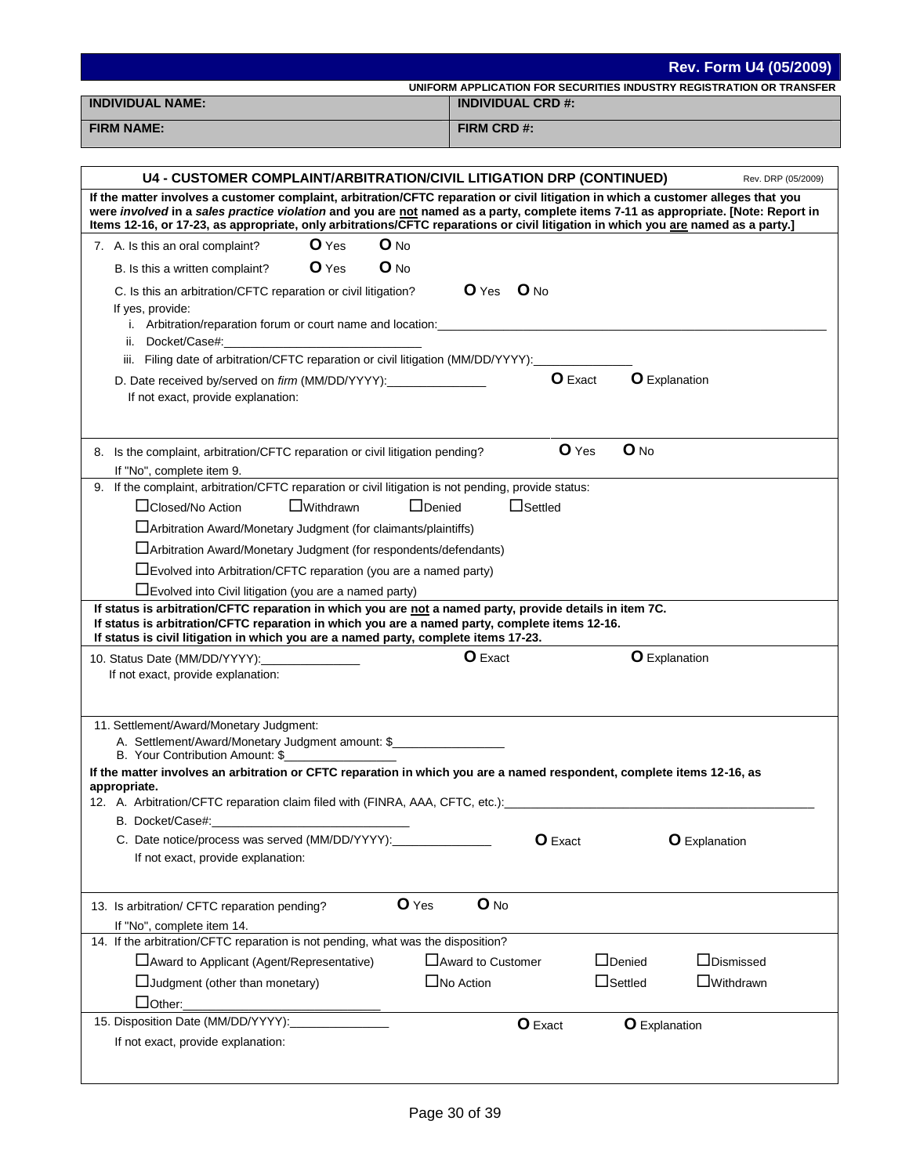|                                                                                                                                                                                                                                                                                                                                                                                                                                                                                                                                                                                                                                                                                                                                                                                                                                                                                                                                                                                                                                                                                                                            |                                                                      | <b>Rev. Form U4 (05/2009)</b> |
|----------------------------------------------------------------------------------------------------------------------------------------------------------------------------------------------------------------------------------------------------------------------------------------------------------------------------------------------------------------------------------------------------------------------------------------------------------------------------------------------------------------------------------------------------------------------------------------------------------------------------------------------------------------------------------------------------------------------------------------------------------------------------------------------------------------------------------------------------------------------------------------------------------------------------------------------------------------------------------------------------------------------------------------------------------------------------------------------------------------------------|----------------------------------------------------------------------|-------------------------------|
|                                                                                                                                                                                                                                                                                                                                                                                                                                                                                                                                                                                                                                                                                                                                                                                                                                                                                                                                                                                                                                                                                                                            | UNIFORM APPLICATION FOR SECURITIES INDUSTRY REGISTRATION OR TRANSFER |                               |
| <b>INDIVIDUAL NAME:</b>                                                                                                                                                                                                                                                                                                                                                                                                                                                                                                                                                                                                                                                                                                                                                                                                                                                                                                                                                                                                                                                                                                    | <b>INDIVIDUAL CRD #:</b>                                             |                               |
| <b>FIRM NAME:</b>                                                                                                                                                                                                                                                                                                                                                                                                                                                                                                                                                                                                                                                                                                                                                                                                                                                                                                                                                                                                                                                                                                          | FIRM CRD #:                                                          |                               |
|                                                                                                                                                                                                                                                                                                                                                                                                                                                                                                                                                                                                                                                                                                                                                                                                                                                                                                                                                                                                                                                                                                                            |                                                                      |                               |
| <b>U4 - CUSTOMER COMPLAINT/ARBITRATION/CIVIL LITIGATION DRP (CONTINUED)</b>                                                                                                                                                                                                                                                                                                                                                                                                                                                                                                                                                                                                                                                                                                                                                                                                                                                                                                                                                                                                                                                |                                                                      | Rev. DRP (05/2009)            |
| If the matter involves a customer complaint, arbitration/CFTC reparation or civil litigation in which a customer alleges that you<br>were involved in a sales practice violation and you are not named as a party, complete items 7-11 as appropriate. [Note: Report in<br>Items 12-16, or 17-23, as appropriate, only arbitrations/CFTC reparations or civil litigation in which you are named as a party.]                                                                                                                                                                                                                                                                                                                                                                                                                                                                                                                                                                                                                                                                                                               |                                                                      |                               |
| O Yes<br>$O$ No<br>7. A. Is this an oral complaint?                                                                                                                                                                                                                                                                                                                                                                                                                                                                                                                                                                                                                                                                                                                                                                                                                                                                                                                                                                                                                                                                        |                                                                      |                               |
| $O$ Yes<br>$O$ No<br>B. Is this a written complaint?                                                                                                                                                                                                                                                                                                                                                                                                                                                                                                                                                                                                                                                                                                                                                                                                                                                                                                                                                                                                                                                                       |                                                                      |                               |
| C. Is this an arbitration/CFTC reparation or civil litigation?<br>If yes, provide:<br>ii. Docket/Case#:                                                                                                                                                                                                                                                                                                                                                                                                                                                                                                                                                                                                                                                                                                                                                                                                                                                                                                                                                                                                                    | $O$ Yes $O$ No                                                       |                               |
| iii. Filing date of arbitration/CFTC reparation or civil litigation (MM/DD/YYYY):                                                                                                                                                                                                                                                                                                                                                                                                                                                                                                                                                                                                                                                                                                                                                                                                                                                                                                                                                                                                                                          |                                                                      |                               |
| D. Date received by/served on firm (MM/DD/YYYY):________________<br>If not exact, provide explanation:                                                                                                                                                                                                                                                                                                                                                                                                                                                                                                                                                                                                                                                                                                                                                                                                                                                                                                                                                                                                                     | <b>O</b> Exact<br><b>O</b> Explanation                               |                               |
| 8. Is the complaint, arbitration/CFTC reparation or civil litigation pending?<br>If "No", complete item 9.                                                                                                                                                                                                                                                                                                                                                                                                                                                                                                                                                                                                                                                                                                                                                                                                                                                                                                                                                                                                                 | $O$ No<br>$O$ Yes                                                    |                               |
| 9. If the complaint, arbitration/CFTC reparation or civil litigation is not pending, provide status:<br>□Closed/No Action<br>$\Box$ Withdrawn<br>$\Box$ Denied<br>Arbitration Award/Monetary Judgment (for claimants/plaintiffs)<br>□ Arbitration Award/Monetary Judgment (for respondents/defendants)<br>$\Box$ Evolved into Arbitration/CFTC reparation (you are a named party)<br>$\Box$ Evolved into Civil litigation (you are a named party)<br>If status is arbitration/CFTC reparation in which you are not a named party, provide details in item 7C.<br>If status is arbitration/CFTC reparation in which you are a named party, complete items 12-16.<br>If status is civil litigation in which you are a named party, complete items 17-23.<br>10. Status Date (MM/DD/YYYY):_________________<br>If not exact, provide explanation:<br>11. Settlement/Award/Monetary Judgment:<br>A. Settlement/Award/Monetary Judgment amount: \$<br>B. Your Contribution Amount: \$<br>If the matter involves an arbitration or CFTC reparation in which you are a named respondent, complete items 12-16, as<br>appropriate. | $\Box$ Settled<br>O Exact<br><b>O</b> Explanation                    |                               |
| 12. A. Arbitration/CFTC reparation claim filed with (FINRA, AAA, CFTC, etc.): [14] The content of the content of the content of the content of the content of the content of the content of the content of the content of the                                                                                                                                                                                                                                                                                                                                                                                                                                                                                                                                                                                                                                                                                                                                                                                                                                                                                              |                                                                      |                               |
| B. Docket/Case#:                                                                                                                                                                                                                                                                                                                                                                                                                                                                                                                                                                                                                                                                                                                                                                                                                                                                                                                                                                                                                                                                                                           |                                                                      |                               |
| C. Date notice/process was served (MM/DD/YYYY):                                                                                                                                                                                                                                                                                                                                                                                                                                                                                                                                                                                                                                                                                                                                                                                                                                                                                                                                                                                                                                                                            | O Exact                                                              | <b>O</b> Explanation          |
| If not exact, provide explanation:                                                                                                                                                                                                                                                                                                                                                                                                                                                                                                                                                                                                                                                                                                                                                                                                                                                                                                                                                                                                                                                                                         |                                                                      |                               |
| O Yes<br>13. Is arbitration/ CFTC reparation pending?<br>If "No", complete item 14.                                                                                                                                                                                                                                                                                                                                                                                                                                                                                                                                                                                                                                                                                                                                                                                                                                                                                                                                                                                                                                        | O No                                                                 |                               |
| 14. If the arbitration/CFTC reparation is not pending, what was the disposition?<br>□ Award to Applicant (Agent/Representative)                                                                                                                                                                                                                                                                                                                                                                                                                                                                                                                                                                                                                                                                                                                                                                                                                                                                                                                                                                                            | $\Box$ Denied<br>$\Box$ Award to Customer                            | $\Box$ Dismissed              |
| $\Box$ Judgment (other than monetary)                                                                                                                                                                                                                                                                                                                                                                                                                                                                                                                                                                                                                                                                                                                                                                                                                                                                                                                                                                                                                                                                                      | $\Box$ Settled<br>$\Box$ No Action                                   | $\Box$ Withdrawn              |
| $\Box$ Other:                                                                                                                                                                                                                                                                                                                                                                                                                                                                                                                                                                                                                                                                                                                                                                                                                                                                                                                                                                                                                                                                                                              |                                                                      |                               |
| 15. Disposition Date (MM/DD/YYYY):<br>If not exact, provide explanation:                                                                                                                                                                                                                                                                                                                                                                                                                                                                                                                                                                                                                                                                                                                                                                                                                                                                                                                                                                                                                                                   | O Exact<br><b>O</b> Explanation                                      |                               |
|                                                                                                                                                                                                                                                                                                                                                                                                                                                                                                                                                                                                                                                                                                                                                                                                                                                                                                                                                                                                                                                                                                                            |                                                                      |                               |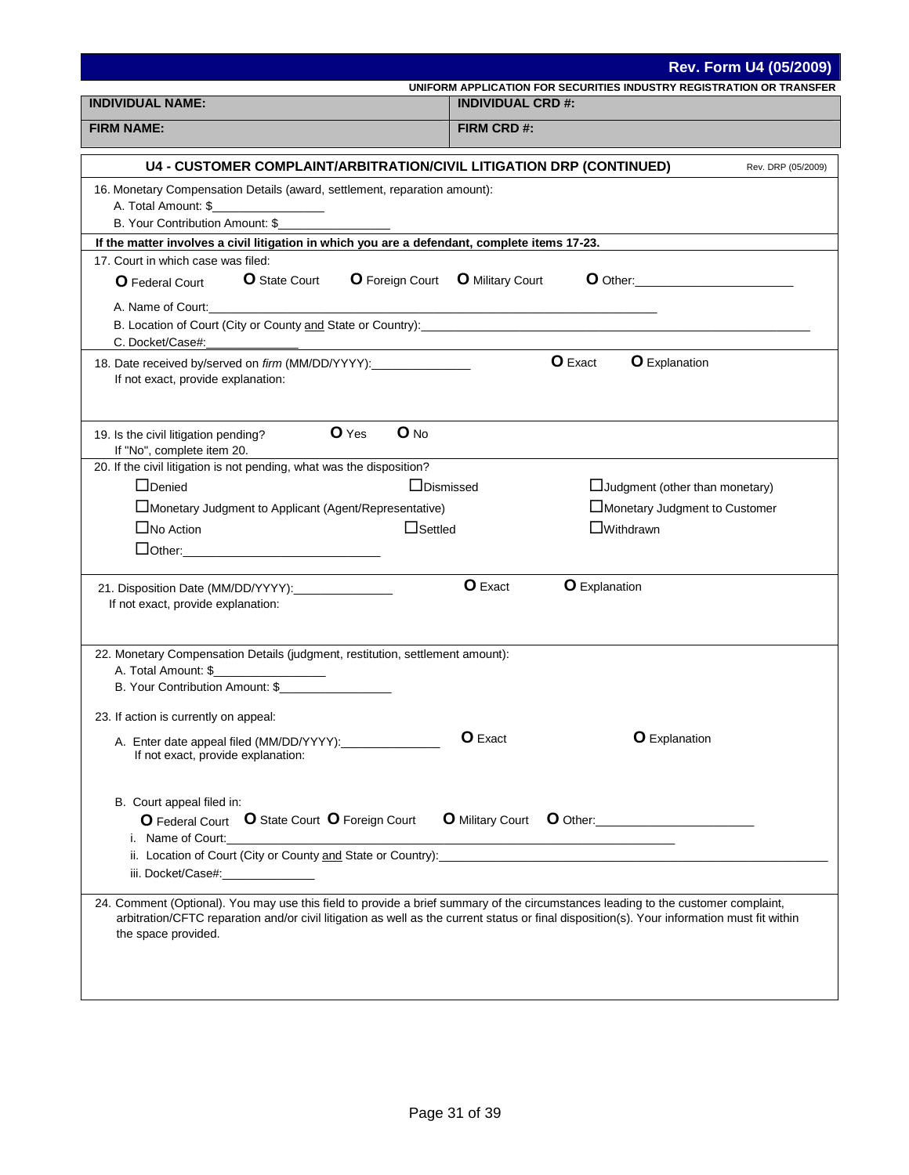|                                                                                                                                                                                                                                                                                                         |                                                |                                                                      | <b>Rev. Form U4 (05/2009)</b> |
|---------------------------------------------------------------------------------------------------------------------------------------------------------------------------------------------------------------------------------------------------------------------------------------------------------|------------------------------------------------|----------------------------------------------------------------------|-------------------------------|
| <b>INDIVIDUAL NAME:</b>                                                                                                                                                                                                                                                                                 | <b>INDIVIDUAL CRD #:</b>                       | UNIFORM APPLICATION FOR SECURITIES INDUSTRY REGISTRATION OR TRANSFER |                               |
|                                                                                                                                                                                                                                                                                                         |                                                |                                                                      |                               |
| <b>FIRM NAME:</b>                                                                                                                                                                                                                                                                                       | FIRM CRD #:                                    |                                                                      |                               |
| <b>U4 - CUSTOMER COMPLAINT/ARBITRATION/CIVIL LITIGATION DRP (CONTINUED)</b>                                                                                                                                                                                                                             |                                                |                                                                      | Rev. DRP (05/2009)            |
| 16. Monetary Compensation Details (award, settlement, reparation amount):<br>A. Total Amount: \$<br>B. Your Contribution Amount: \$                                                                                                                                                                     |                                                |                                                                      |                               |
| If the matter involves a civil litigation in which you are a defendant, complete items 17-23.                                                                                                                                                                                                           |                                                |                                                                      |                               |
| 17. Court in which case was filed:                                                                                                                                                                                                                                                                      |                                                |                                                                      |                               |
| <b>O</b> State Court<br><b>O</b> Federal Court                                                                                                                                                                                                                                                          | <b>O</b> Foreign Court <b>O</b> Military Court |                                                                      |                               |
| C. Docket/Case#:<br><u> La Carlo de la Carlo de la Carlo de la Carlo de la Carlo de la Carlo de la Carlo de la Carlo de la Carlo de l</u>                                                                                                                                                               |                                                |                                                                      |                               |
| 18. Date received by/served on firm (MM/DD/YYYY):________________<br>If not exact, provide explanation:                                                                                                                                                                                                 |                                                | <b>O</b> Exact<br><b>O</b> Explanation                               |                               |
| O Yes<br>19. Is the civil litigation pending?<br>If "No", complete item 20.                                                                                                                                                                                                                             | $O$ No                                         |                                                                      |                               |
| 20. If the civil litigation is not pending, what was the disposition?                                                                                                                                                                                                                                   |                                                |                                                                      |                               |
| $\Box$ Denied                                                                                                                                                                                                                                                                                           | $\Box$ Dismissed                               | $\Box$ Judgment (other than monetary)                                |                               |
| Monetary Judgment to Applicant (Agent/Representative)                                                                                                                                                                                                                                                   |                                                | $\square$ Monetary Judgment to Customer                              |                               |
| $\Box$ No Action                                                                                                                                                                                                                                                                                        | $\Box$ Settled                                 | $\Box$ Withdrawn                                                     |                               |
|                                                                                                                                                                                                                                                                                                         |                                                |                                                                      |                               |
| 21. Disposition Date (MM/DD/YYYY):________________<br>If not exact, provide explanation:                                                                                                                                                                                                                | <b>O</b> Exact                                 | <b>O</b> Explanation                                                 |                               |
| 22. Monetary Compensation Details (judgment, restitution, settlement amount):                                                                                                                                                                                                                           |                                                |                                                                      |                               |
| A. Total Amount: \$                                                                                                                                                                                                                                                                                     |                                                |                                                                      |                               |
| B. Your Contribution Amount: \$                                                                                                                                                                                                                                                                         |                                                |                                                                      |                               |
| 23. If action is currently on appeal:                                                                                                                                                                                                                                                                   |                                                |                                                                      |                               |
| A. Enter date appeal filed (MM/DD/YYYY):<br>If not exact, provide explanation:                                                                                                                                                                                                                          | O Exact                                        | <b>O</b> Explanation                                                 |                               |
| B. Court appeal filed in:<br>O Federal Court O State Court O Foreign Court<br>i. Name of Court:                                                                                                                                                                                                         |                                                | O Military Court O Other:                                            |                               |
| ii. Location of Court (City or County and State or Country): Country and State or Country and State or Country and State or Country and State or Country and State or Country and State or Country and State or Country and St<br>iii. Docket/Case#:_______________                                     |                                                |                                                                      |                               |
| 24. Comment (Optional). You may use this field to provide a brief summary of the circumstances leading to the customer complaint,<br>arbitration/CFTC reparation and/or civil litigation as well as the current status or final disposition(s). Your information must fit within<br>the space provided. |                                                |                                                                      |                               |
|                                                                                                                                                                                                                                                                                                         |                                                |                                                                      |                               |
|                                                                                                                                                                                                                                                                                                         |                                                |                                                                      |                               |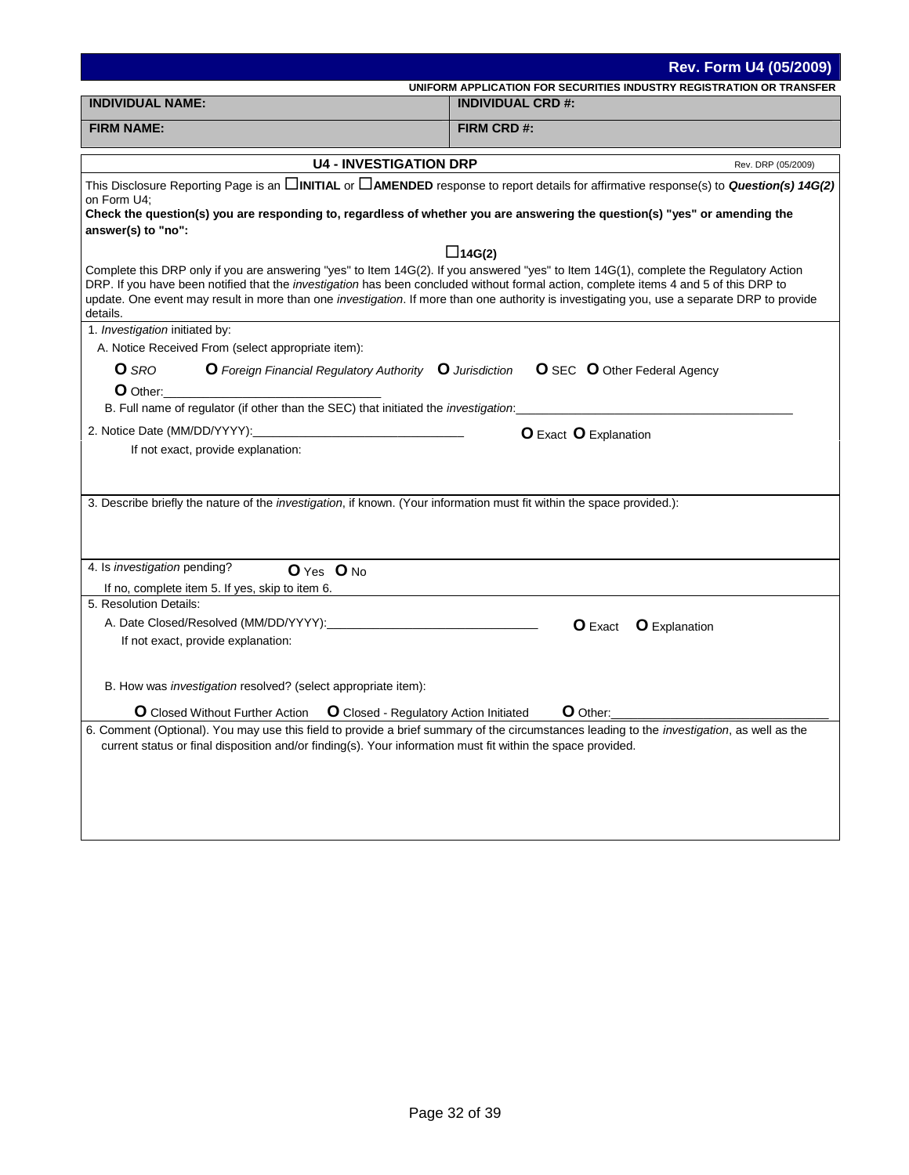|                                                                                                                                                                                                                                                                                                                               | Rev. Form U4 (05/2009)                                                                                                                                      |
|-------------------------------------------------------------------------------------------------------------------------------------------------------------------------------------------------------------------------------------------------------------------------------------------------------------------------------|-------------------------------------------------------------------------------------------------------------------------------------------------------------|
|                                                                                                                                                                                                                                                                                                                               | UNIFORM APPLICATION FOR SECURITIES INDUSTRY REGISTRATION OR TRANSFER                                                                                        |
| <b>INDIVIDUAL NAME:</b>                                                                                                                                                                                                                                                                                                       | <b>INDIVIDUAL CRD #:</b>                                                                                                                                    |
| <b>FIRM NAME:</b>                                                                                                                                                                                                                                                                                                             | FIRM CRD #:                                                                                                                                                 |
| <b>U4 - INVESTIGATION DRP</b>                                                                                                                                                                                                                                                                                                 | Rev. DRP (05/2009)                                                                                                                                          |
| on Form U4;<br>Check the question(s) you are responding to, regardless of whether you are answering the question(s) "yes" or amending the<br>answer(s) to "no":                                                                                                                                                               | This Disclosure Reporting Page is an <b>DINITIAL</b> or <b>DAMENDED</b> response to report details for affirmative response(s) to <b>Question(s) 14G(2)</b> |
|                                                                                                                                                                                                                                                                                                                               | $\Box$ 14G(2)                                                                                                                                               |
| Complete this DRP only if you are answering "yes" to Item 14G(2). If you answered "yes" to Item 14G(1), complete the Regulatory Action<br>DRP. If you have been notified that the investigation has been concluded without formal action, complete items 4 and 5 of this DRP to<br>details.<br>1. Investigation initiated by: | update. One event may result in more than one investigation. If more than one authority is investigating you, use a separate DRP to provide                 |
| A. Notice Received From (select appropriate item):                                                                                                                                                                                                                                                                            |                                                                                                                                                             |
| O Foreign Financial Regulatory Authority O Jurisdiction<br><b>O</b> SRO                                                                                                                                                                                                                                                       | <b>O</b> SEC <b>O</b> Other Federal Agency                                                                                                                  |
| O Other:                                                                                                                                                                                                                                                                                                                      |                                                                                                                                                             |
| B. Full name of regulator (if other than the SEC) that initiated the <i>investigation</i> :                                                                                                                                                                                                                                   |                                                                                                                                                             |
|                                                                                                                                                                                                                                                                                                                               | <b>O</b> Exact <b>O</b> Explanation                                                                                                                         |
| If not exact, provide explanation:                                                                                                                                                                                                                                                                                            |                                                                                                                                                             |
|                                                                                                                                                                                                                                                                                                                               |                                                                                                                                                             |
|                                                                                                                                                                                                                                                                                                                               |                                                                                                                                                             |
| 3. Describe briefly the nature of the investigation, if known. (Your information must fit within the space provided.):                                                                                                                                                                                                        |                                                                                                                                                             |
|                                                                                                                                                                                                                                                                                                                               |                                                                                                                                                             |
|                                                                                                                                                                                                                                                                                                                               |                                                                                                                                                             |
| 4. Is <i>investigation</i> pending?<br>O Yes O No                                                                                                                                                                                                                                                                             |                                                                                                                                                             |
| If no, complete item 5. If yes, skip to item 6.                                                                                                                                                                                                                                                                               |                                                                                                                                                             |
| 5. Resolution Details:                                                                                                                                                                                                                                                                                                        |                                                                                                                                                             |
|                                                                                                                                                                                                                                                                                                                               | <b>O</b> Exact<br><b>O</b> Explanation                                                                                                                      |
| If not exact, provide explanation:                                                                                                                                                                                                                                                                                            |                                                                                                                                                             |
|                                                                                                                                                                                                                                                                                                                               |                                                                                                                                                             |
| B. How was <i>investigation</i> resolved? (select appropriate item):                                                                                                                                                                                                                                                          |                                                                                                                                                             |
|                                                                                                                                                                                                                                                                                                                               |                                                                                                                                                             |
| <b>O</b> Closed - Regulatory Action Initiated<br><b>O</b> Closed Without Further Action                                                                                                                                                                                                                                       | O Other:                                                                                                                                                    |
| current status or final disposition and/or finding(s). Your information must fit within the space provided.                                                                                                                                                                                                                   | 6. Comment (Optional). You may use this field to provide a brief summary of the circumstances leading to the investigation, as well as the                  |
|                                                                                                                                                                                                                                                                                                                               |                                                                                                                                                             |
|                                                                                                                                                                                                                                                                                                                               |                                                                                                                                                             |
|                                                                                                                                                                                                                                                                                                                               |                                                                                                                                                             |
|                                                                                                                                                                                                                                                                                                                               |                                                                                                                                                             |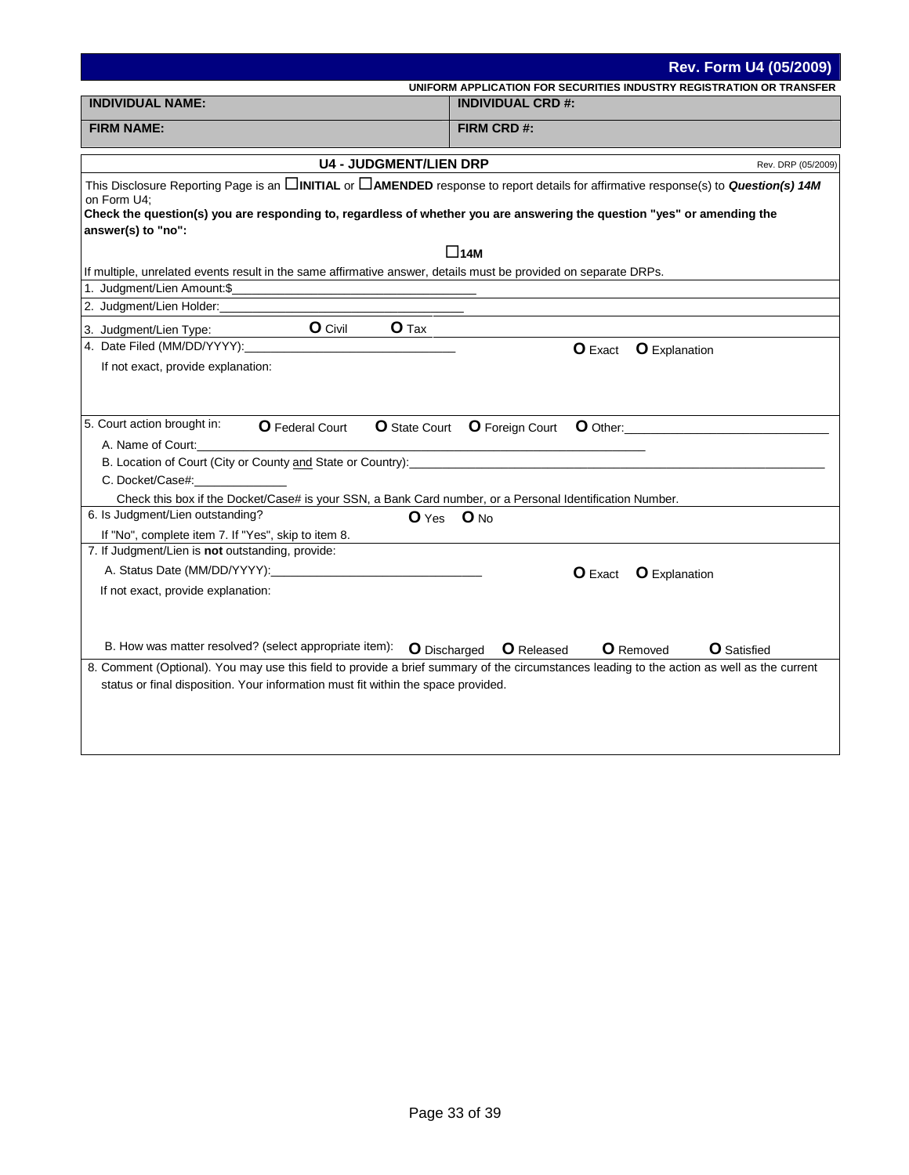|                                                                                                                                               | Rev. Form U4 (05/2009)                                                                                                                                                                                                                                                        |
|-----------------------------------------------------------------------------------------------------------------------------------------------|-------------------------------------------------------------------------------------------------------------------------------------------------------------------------------------------------------------------------------------------------------------------------------|
| <b>INDIVIDUAL NAME:</b>                                                                                                                       | UNIFORM APPLICATION FOR SECURITIES INDUSTRY REGISTRATION OR TRANSFER<br><b>INDIVIDUAL CRD #:</b>                                                                                                                                                                              |
|                                                                                                                                               |                                                                                                                                                                                                                                                                               |
| <b>FIRM NAME:</b>                                                                                                                             | FIRM CRD #:                                                                                                                                                                                                                                                                   |
| <b>U4 - JUDGMENT/LIEN DRP</b>                                                                                                                 | Rev. DRP (05/2009)                                                                                                                                                                                                                                                            |
| on Form U4;                                                                                                                                   | This Disclosure Reporting Page is an $\Box$ INITIAL or $\Box$ AMENDED response to report details for affirmative response(s) to Question(s) 14M                                                                                                                               |
| Check the question(s) you are responding to, regardless of whether you are answering the question "yes" or amending the<br>answer(s) to "no": |                                                                                                                                                                                                                                                                               |
|                                                                                                                                               | $\square$ 14M                                                                                                                                                                                                                                                                 |
| If multiple, unrelated events result in the same affirmative answer, details must be provided on separate DRPs.                               |                                                                                                                                                                                                                                                                               |
| 1. Judgment/Lien Amount:\$_                                                                                                                   |                                                                                                                                                                                                                                                                               |
| 2. Judgment/Lien Holder:___                                                                                                                   |                                                                                                                                                                                                                                                                               |
| <b>O</b> Civil<br>$O$ Tax<br>3. Judgment/Lien Type:                                                                                           |                                                                                                                                                                                                                                                                               |
| 4. Date Filed (MM/DD/YYYY):                                                                                                                   | <b>O</b> Exact<br><b>O</b> Explanation                                                                                                                                                                                                                                        |
| If not exact, provide explanation:                                                                                                            |                                                                                                                                                                                                                                                                               |
|                                                                                                                                               |                                                                                                                                                                                                                                                                               |
|                                                                                                                                               |                                                                                                                                                                                                                                                                               |
| 5. Court action brought in:<br><b>O</b> Federal Court                                                                                         | <b>O</b> State Court <b>O</b> Foreign Court<br>O Other: We are a set of the set of the set of the set of the set of the set of the set of the set of the set of the set of the set of the set of the set of the set of the set of the set of the set of the set of the set of |
| A. Name of Court:                                                                                                                             | the control of the control of the control of the control of the control of                                                                                                                                                                                                    |
|                                                                                                                                               |                                                                                                                                                                                                                                                                               |
| C. Docket/Case#:                                                                                                                              |                                                                                                                                                                                                                                                                               |
| Check this box if the Docket/Case# is your SSN, a Bank Card number, or a Personal Identification Number.<br>6. Is Judgment/Lien outstanding?  |                                                                                                                                                                                                                                                                               |
| If "No", complete item 7. If "Yes", skip to item 8.                                                                                           | O Yes O No                                                                                                                                                                                                                                                                    |
| 7. If Judgment/Lien is not outstanding, provide:                                                                                              |                                                                                                                                                                                                                                                                               |
|                                                                                                                                               | <b>O</b> Exact<br><b>O</b> Explanation                                                                                                                                                                                                                                        |
| If not exact, provide explanation:                                                                                                            |                                                                                                                                                                                                                                                                               |
|                                                                                                                                               |                                                                                                                                                                                                                                                                               |
|                                                                                                                                               |                                                                                                                                                                                                                                                                               |
| B. How was matter resolved? (select appropriate item):                                                                                        | <b>O</b> Released<br><b>O</b> Removed<br><b>O</b> Satisfied                                                                                                                                                                                                                   |
|                                                                                                                                               | <b>O</b> Discharged<br>8. Comment (Optional). You may use this field to provide a brief summary of the circumstances leading to the action as well as the current                                                                                                             |
| status or final disposition. Your information must fit within the space provided.                                                             |                                                                                                                                                                                                                                                                               |
|                                                                                                                                               |                                                                                                                                                                                                                                                                               |
|                                                                                                                                               |                                                                                                                                                                                                                                                                               |
|                                                                                                                                               |                                                                                                                                                                                                                                                                               |
|                                                                                                                                               |                                                                                                                                                                                                                                                                               |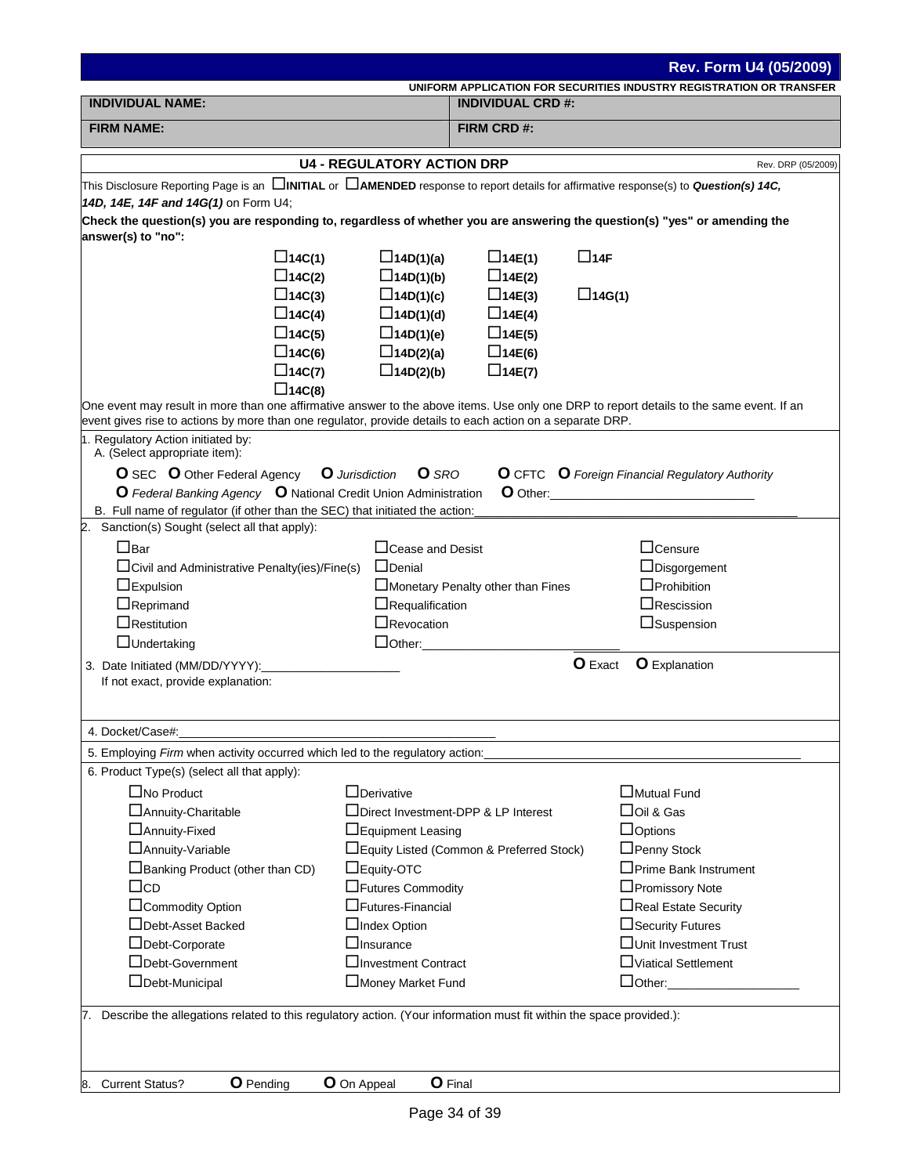| Rev. Form U4 (05/2009)                                                                                                                                     |                                       |                                           |                                                                                                                                          |  |
|------------------------------------------------------------------------------------------------------------------------------------------------------------|---------------------------------------|-------------------------------------------|------------------------------------------------------------------------------------------------------------------------------------------|--|
|                                                                                                                                                            |                                       |                                           | UNIFORM APPLICATION FOR SECURITIES INDUSTRY REGISTRATION OR TRANSFER                                                                     |  |
| <b>INDIVIDUAL NAME:</b>                                                                                                                                    |                                       | <b>INDIVIDUAL CRD #:</b>                  |                                                                                                                                          |  |
| <b>FIRM NAME:</b>                                                                                                                                          | FIRM CRD #:                           |                                           |                                                                                                                                          |  |
|                                                                                                                                                            | <b>U4 - REGULATORY ACTION DRP</b>     |                                           | Rev. DRP (05/2009)                                                                                                                       |  |
| This Disclosure Reporting Page is an <b>DINITIAL</b> or <b>DAMENDED</b> response to report details for affirmative response(s) to <b>Question(s) 14C</b> , |                                       |                                           |                                                                                                                                          |  |
| 14D, 14E, 14F and 14G(1) on Form U4;                                                                                                                       |                                       |                                           |                                                                                                                                          |  |
| Check the question(s) you are responding to, regardless of whether you are answering the question(s) "yes" or amending the<br>answer(s) to "no":           |                                       |                                           |                                                                                                                                          |  |
| $\Box$ 14C(1)                                                                                                                                              | $\square$ 14D(1)(a)                   | $\Box$ 14E(1)                             | $\Box$ 14F                                                                                                                               |  |
| $\Box$ 14C(2)                                                                                                                                              | $\Box$ 14D(1)(b)                      | $\Box$ 14E(2)                             |                                                                                                                                          |  |
| $\Box$ 14C(3)                                                                                                                                              | $\Box$ 14D(1)(c)                      | $\Box$ 14E(3)                             | $\Box$ 14G(1)                                                                                                                            |  |
| $\Box$ 14C(4)                                                                                                                                              | $\Box$ 14D(1)(d)                      | $\Box$ 14E(4)                             |                                                                                                                                          |  |
| $\Box$ 14C(5)                                                                                                                                              | $\Box$ 14D(1)(e)                      | $\Box$ 14E(5)                             |                                                                                                                                          |  |
| $\square$ 14C(6)                                                                                                                                           | $\Box$ 14D(2)(a)                      | $\Box$ 14E(6)                             |                                                                                                                                          |  |
| $\square$ 14C(7)                                                                                                                                           | $\Box$ 14D(2)(b)                      | $\Box$ 14E(7)                             |                                                                                                                                          |  |
| $\Box$ 14C(8)                                                                                                                                              |                                       |                                           |                                                                                                                                          |  |
| event gives rise to actions by more than one regulator, provide details to each action on a separate DRP.                                                  |                                       |                                           | One event may result in more than one affirmative answer to the above items. Use only one DRP to report details to the same event. If an |  |
| 1. Regulatory Action initiated by:<br>A. (Select appropriate item):                                                                                        |                                       |                                           |                                                                                                                                          |  |
| <b>O</b> SEC <b>O</b> Other Federal Agency                                                                                                                 | <b>Q</b> Jurisdiction<br><b>O</b> SRO |                                           | <b>O</b> CFTC <b>O</b> Foreign Financial Regulatory Authority                                                                            |  |
| O Federal Banking Agency O National Credit Union Administration                                                                                            |                                       |                                           | O Other: <b>O Other:</b>                                                                                                                 |  |
| B. Full name of regulator (if other than the SEC) that initiated the action:                                                                               |                                       |                                           |                                                                                                                                          |  |
| 2. Sanction(s) Sought (select all that apply):                                                                                                             |                                       |                                           |                                                                                                                                          |  |
| $\Box$ Bar                                                                                                                                                 | $\Box$ Cease and Desist               |                                           | $\Box$ Censure                                                                                                                           |  |
| $\Box$ Civil and Administrative Penalty(ies)/Fine(s)                                                                                                       | $\Box$ Denial                         |                                           | $\Box$ Disgorgement                                                                                                                      |  |
| $\Box$ Expulsion                                                                                                                                           |                                       | Monetary Penalty other than Fines         | $\Box$ Prohibition                                                                                                                       |  |
| $\Box$ Reprimand                                                                                                                                           | $\Box$ Requalification                |                                           | $\Box$ Rescission                                                                                                                        |  |
| $\Box$ Restitution                                                                                                                                         | $\Box$ Revocation                     |                                           | $\Box$ Suspension                                                                                                                        |  |
| $\Box$ Undertaking                                                                                                                                         |                                       | $\Box$ Other: $\Box$                      |                                                                                                                                          |  |
| 3. Date Initiated (MM/DD/YYYY):                                                                                                                            |                                       |                                           | O Exact<br><b>O</b> Explanation                                                                                                          |  |
| If not exact, provide explanation:                                                                                                                         |                                       |                                           |                                                                                                                                          |  |
|                                                                                                                                                            |                                       |                                           |                                                                                                                                          |  |
| 4. Docket/Case#:                                                                                                                                           |                                       |                                           |                                                                                                                                          |  |
| 5. Employing Firm when activity occurred which led to the regulatory action:                                                                               |                                       |                                           |                                                                                                                                          |  |
| 6. Product Type(s) (select all that apply):                                                                                                                |                                       |                                           |                                                                                                                                          |  |
| $\Box$ No Product                                                                                                                                          | $\Box$ Derivative                     |                                           | $\Box$ Mutual Fund                                                                                                                       |  |
| □ Annuity-Charitable                                                                                                                                       |                                       | □Direct Investment-DPP & LP Interest      | $\Box$ Oil & Gas                                                                                                                         |  |
| □ Annuity-Fixed                                                                                                                                            | □Equipment Leasing                    |                                           | $\Box$ Options                                                                                                                           |  |
| □ Annuity-Variable                                                                                                                                         |                                       | □Equity Listed (Common & Preferred Stock) | □Penny Stock                                                                                                                             |  |
| $\Box$ Banking Product (other than CD)                                                                                                                     | $\Box$ Equity-OTC                     |                                           | $\Box$ Prime Bank Instrument                                                                                                             |  |
| $\Box$ cd                                                                                                                                                  | □Futures Commodity                    |                                           | □Promissory Note                                                                                                                         |  |
| □Commodity Option                                                                                                                                          | $\Box$ Futures-Financial              |                                           | □Real Estate Security                                                                                                                    |  |
| □Debt-Asset Backed                                                                                                                                         | $\Box$ Index Option                   |                                           | □ Security Futures                                                                                                                       |  |
| □Debt-Corporate                                                                                                                                            | $\Box$ Insurance                      |                                           | □Unit Investment Trust                                                                                                                   |  |
| □Debt-Government                                                                                                                                           | □Investment Contract                  |                                           | □Viatical Settlement                                                                                                                     |  |
| □Debt-Municipal                                                                                                                                            | Money Market Fund                     |                                           | $\Box$ Other:                                                                                                                            |  |
| 7. Describe the allegations related to this regulatory action. (Your information must fit within the space provided.):                                     |                                       |                                           |                                                                                                                                          |  |
|                                                                                                                                                            |                                       |                                           |                                                                                                                                          |  |
| <b>O</b> Pending<br>8. Current Status?                                                                                                                     | <b>O</b> On Appeal                    | <b>O</b> Final                            |                                                                                                                                          |  |
|                                                                                                                                                            |                                       |                                           |                                                                                                                                          |  |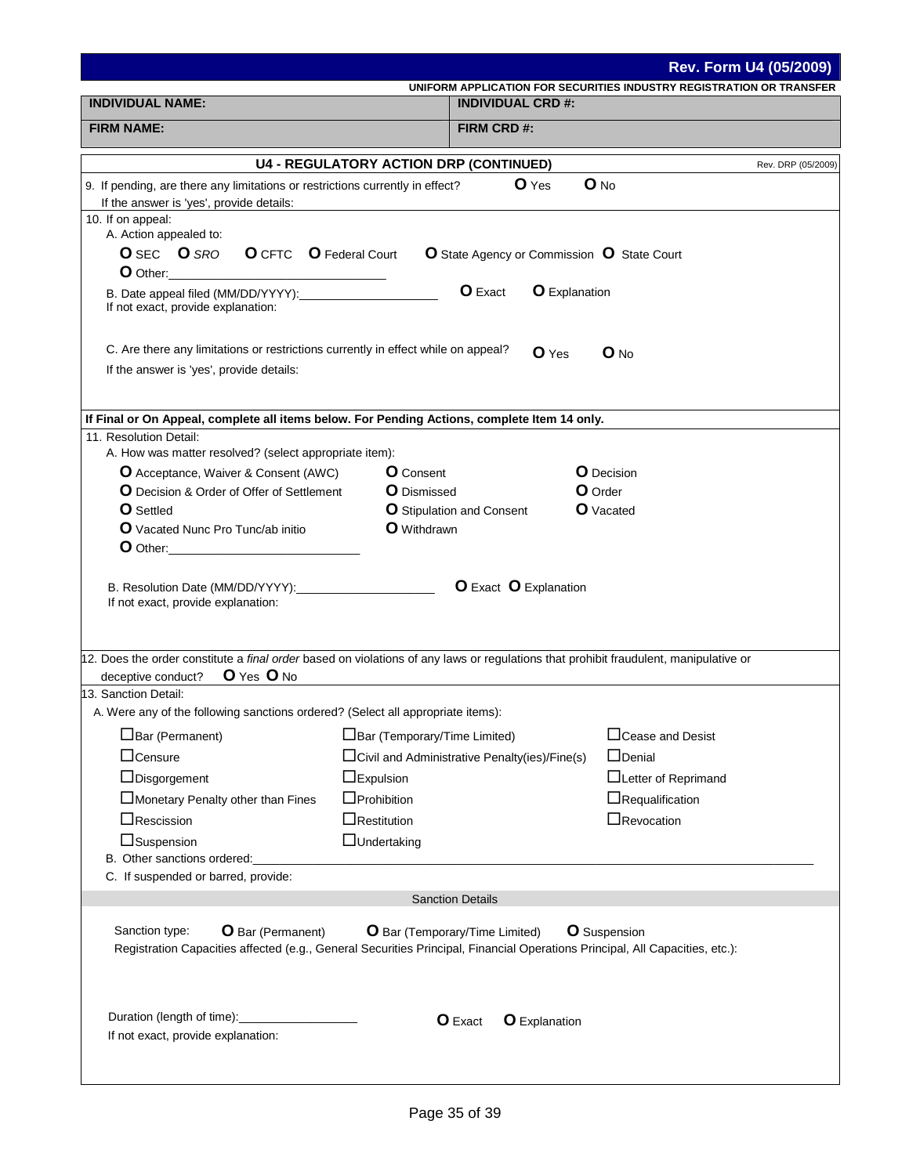|                                                                                                                                                                                                                                                                                       |                                                                                                                                                                            |                                                          | <b>Rev. Form U4 (05/2009)</b>                                        |  |  |  |
|---------------------------------------------------------------------------------------------------------------------------------------------------------------------------------------------------------------------------------------------------------------------------------------|----------------------------------------------------------------------------------------------------------------------------------------------------------------------------|----------------------------------------------------------|----------------------------------------------------------------------|--|--|--|
|                                                                                                                                                                                                                                                                                       |                                                                                                                                                                            |                                                          | UNIFORM APPLICATION FOR SECURITIES INDUSTRY REGISTRATION OR TRANSFER |  |  |  |
| <b>INDIVIDUAL NAME:</b>                                                                                                                                                                                                                                                               |                                                                                                                                                                            | <b>INDIVIDUAL CRD #:</b>                                 |                                                                      |  |  |  |
| <b>FIRM NAME:</b>                                                                                                                                                                                                                                                                     |                                                                                                                                                                            | FIRM CRD #:                                              |                                                                      |  |  |  |
|                                                                                                                                                                                                                                                                                       | <b>U4 - REGULATORY ACTION DRP (CONTINUED)</b>                                                                                                                              |                                                          | Rev. DRP (05/2009)                                                   |  |  |  |
| 9. If pending, are there any limitations or restrictions currently in effect?<br>If the answer is 'yes', provide details:                                                                                                                                                             |                                                                                                                                                                            | $O$ Yes                                                  | $O$ No                                                               |  |  |  |
| 10. If on appeal:                                                                                                                                                                                                                                                                     |                                                                                                                                                                            |                                                          |                                                                      |  |  |  |
| A. Action appealed to:                                                                                                                                                                                                                                                                |                                                                                                                                                                            |                                                          |                                                                      |  |  |  |
| <b>O</b> SEC <b>O</b> SRO<br><b>O</b> CFTC <b>O</b> Federal Court                                                                                                                                                                                                                     |                                                                                                                                                                            | <b>O</b> State Agency or Commission <b>O</b> State Court |                                                                      |  |  |  |
| If not exact, provide explanation:                                                                                                                                                                                                                                                    |                                                                                                                                                                            | O Exact<br><b>O</b> Explanation                          |                                                                      |  |  |  |
| C. Are there any limitations or restrictions currently in effect while on appeal?                                                                                                                                                                                                     |                                                                                                                                                                            | $O$ Yes                                                  | $O$ No                                                               |  |  |  |
| If the answer is 'yes', provide details:                                                                                                                                                                                                                                              |                                                                                                                                                                            |                                                          |                                                                      |  |  |  |
| If Final or On Appeal, complete all items below. For Pending Actions, complete Item 14 only.                                                                                                                                                                                          |                                                                                                                                                                            |                                                          |                                                                      |  |  |  |
| 11. Resolution Detail:                                                                                                                                                                                                                                                                |                                                                                                                                                                            |                                                          |                                                                      |  |  |  |
| A. How was matter resolved? (select appropriate item):                                                                                                                                                                                                                                |                                                                                                                                                                            |                                                          |                                                                      |  |  |  |
| O Acceptance, Waiver & Consent (AWC)                                                                                                                                                                                                                                                  | <b>O</b> Consent                                                                                                                                                           |                                                          | <b>O</b> Decision                                                    |  |  |  |
| <b>O</b> Decision & Order of Offer of Settlement                                                                                                                                                                                                                                      | <b>O</b> Dismissed                                                                                                                                                         |                                                          | O Order                                                              |  |  |  |
| <b>O</b> Settled                                                                                                                                                                                                                                                                      |                                                                                                                                                                            | <b>O</b> Stipulation and Consent                         | <b>O</b> Vacated                                                     |  |  |  |
| <b>O</b> Vacated Nunc Pro Tunc/ab initio<br><b>O</b> Other: <b>Calculate Contract Contract Contract Contract Contract Contract Contract Contract Contract Contract Contract Contract Contract Contract Contract Contract Contract Contract Contract Contract Contract Contract Co</b> | <b>O</b> Withdrawn                                                                                                                                                         |                                                          |                                                                      |  |  |  |
|                                                                                                                                                                                                                                                                                       | If not exact, provide explanation:<br>12. Does the order constitute a final order based on violations of any laws or regulations that prohibit fraudulent, manipulative or |                                                          |                                                                      |  |  |  |
| O Yes O No<br>deceptive conduct?                                                                                                                                                                                                                                                      |                                                                                                                                                                            |                                                          |                                                                      |  |  |  |
| 13. Sanction Detail:                                                                                                                                                                                                                                                                  |                                                                                                                                                                            |                                                          |                                                                      |  |  |  |
| A. Were any of the following sanctions ordered? (Select all appropriate items):                                                                                                                                                                                                       |                                                                                                                                                                            |                                                          |                                                                      |  |  |  |
| $\Box$ Bar (Permanent)                                                                                                                                                                                                                                                                | $\Box$ Bar (Temporary/Time Limited)                                                                                                                                        |                                                          | □ Cease and Desist                                                   |  |  |  |
| $\Box$ Censure                                                                                                                                                                                                                                                                        |                                                                                                                                                                            | $\Box$ Civil and Administrative Penalty(ies)/Fine(s)     | $\Box$ Denial                                                        |  |  |  |
| $\Box$ Disgorgement                                                                                                                                                                                                                                                                   | $\Box$ Expulsion                                                                                                                                                           |                                                          | □Letter of Reprimand                                                 |  |  |  |
| Monetary Penalty other than Fines                                                                                                                                                                                                                                                     | $\Box$ Prohibition                                                                                                                                                         |                                                          | $\Box$ Requalification                                               |  |  |  |
| $\Box$ Rescission                                                                                                                                                                                                                                                                     | $\Box$ Restitution                                                                                                                                                         |                                                          | $\Box$ Revocation                                                    |  |  |  |
| □Suspension                                                                                                                                                                                                                                                                           | $\Box$ Undertaking                                                                                                                                                         |                                                          |                                                                      |  |  |  |
| B. Other sanctions ordered:                                                                                                                                                                                                                                                           |                                                                                                                                                                            |                                                          |                                                                      |  |  |  |
| C. If suspended or barred, provide:                                                                                                                                                                                                                                                   |                                                                                                                                                                            |                                                          |                                                                      |  |  |  |
|                                                                                                                                                                                                                                                                                       |                                                                                                                                                                            | <b>Sanction Details</b>                                  |                                                                      |  |  |  |
| Sanction type:<br><b>O</b> Bar (Permanent)<br>Registration Capacities affected (e.g., General Securities Principal, Financial Operations Principal, All Capacities, etc.):                                                                                                            |                                                                                                                                                                            | <b>O</b> Bar (Temporary/Time Limited)                    | <b>O</b> Suspension                                                  |  |  |  |
| Duration (length of time):<br>If not exact, provide explanation:                                                                                                                                                                                                                      |                                                                                                                                                                            | <b>O</b> Exact<br><b>O</b> Explanation                   |                                                                      |  |  |  |
|                                                                                                                                                                                                                                                                                       |                                                                                                                                                                            |                                                          |                                                                      |  |  |  |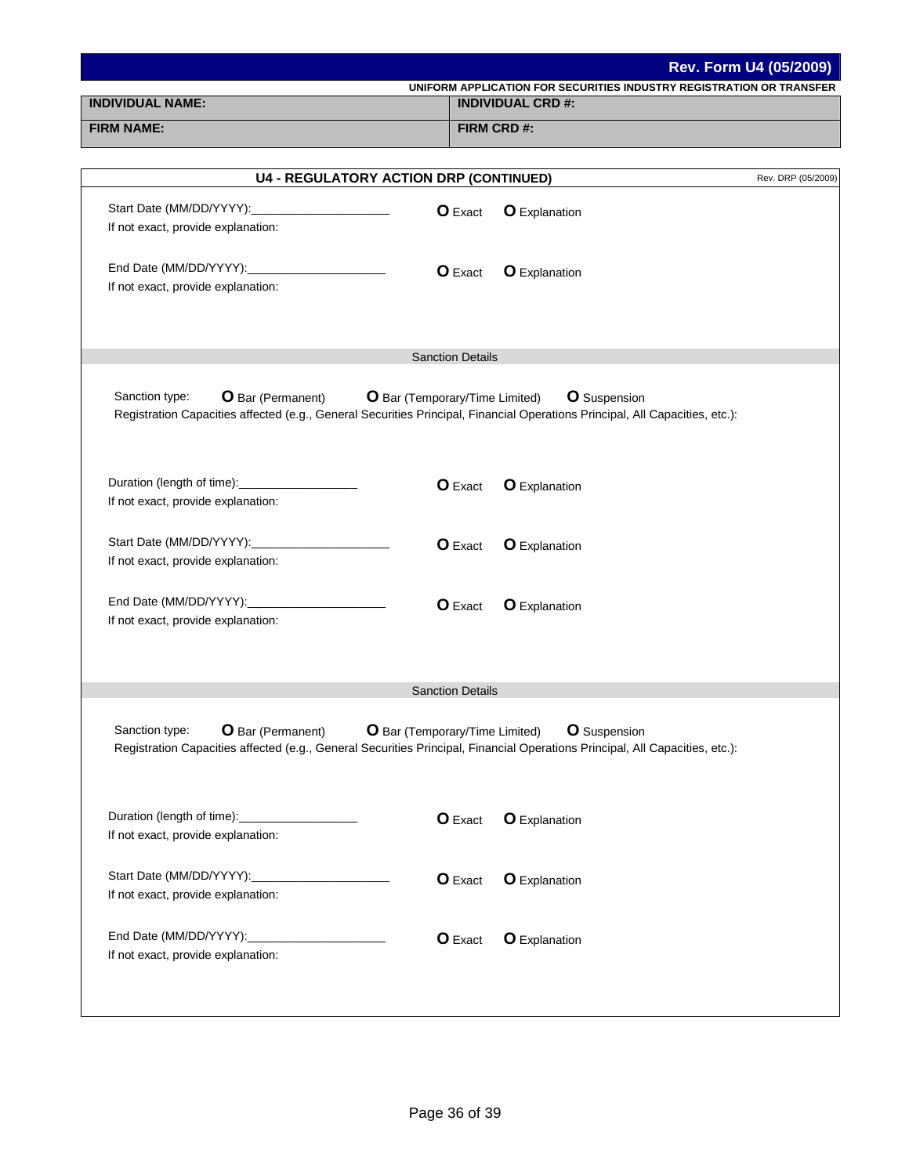| Rev. Form U4 (05/2009)                                                                                                                                                     |                                       |                                                                      |                    |  |  |
|----------------------------------------------------------------------------------------------------------------------------------------------------------------------------|---------------------------------------|----------------------------------------------------------------------|--------------------|--|--|
| <b>INDIVIDUAL NAME:</b>                                                                                                                                                    |                                       | UNIFORM APPLICATION FOR SECURITIES INDUSTRY REGISTRATION OR TRANSFER |                    |  |  |
| <b>FIRM NAME:</b>                                                                                                                                                          |                                       | <b>INDIVIDUAL CRD #:</b>                                             |                    |  |  |
|                                                                                                                                                                            |                                       | <b>FIRM CRD#:</b>                                                    |                    |  |  |
| <b>U4 - REGULATORY ACTION DRP (CONTINUED)</b>                                                                                                                              |                                       |                                                                      | Rev. DRP (05/2009) |  |  |
|                                                                                                                                                                            |                                       |                                                                      |                    |  |  |
|                                                                                                                                                                            | <b>O</b> Exact                        | <b>O</b> Explanation                                                 |                    |  |  |
| If not exact, provide explanation:                                                                                                                                         |                                       |                                                                      |                    |  |  |
|                                                                                                                                                                            | <b>O</b> Exact                        | <b>O</b> Explanation                                                 |                    |  |  |
| If not exact, provide explanation:                                                                                                                                         |                                       |                                                                      |                    |  |  |
|                                                                                                                                                                            |                                       |                                                                      |                    |  |  |
|                                                                                                                                                                            |                                       |                                                                      |                    |  |  |
|                                                                                                                                                                            | <b>Sanction Details</b>               |                                                                      |                    |  |  |
|                                                                                                                                                                            |                                       |                                                                      |                    |  |  |
| Sanction type:<br><b>O</b> Bar (Permanent)<br>Registration Capacities affected (e.g., General Securities Principal, Financial Operations Principal, All Capacities, etc.): | <b>O</b> Bar (Temporary/Time Limited) | <b>O</b> Suspension                                                  |                    |  |  |
|                                                                                                                                                                            |                                       |                                                                      |                    |  |  |
|                                                                                                                                                                            |                                       |                                                                      |                    |  |  |
| Duration (length of time):______________________                                                                                                                           | <b>O</b> Exact                        | <b>O</b> Explanation                                                 |                    |  |  |
| If not exact, provide explanation:                                                                                                                                         |                                       |                                                                      |                    |  |  |
|                                                                                                                                                                            |                                       |                                                                      |                    |  |  |
|                                                                                                                                                                            | <b>O</b> Exact                        | <b>O</b> Explanation                                                 |                    |  |  |
| If not exact, provide explanation:                                                                                                                                         |                                       |                                                                      |                    |  |  |
|                                                                                                                                                                            | <b>O</b> Exact                        | <b>O</b> Explanation                                                 |                    |  |  |
| If not exact, provide explanation:                                                                                                                                         |                                       |                                                                      |                    |  |  |
|                                                                                                                                                                            |                                       |                                                                      |                    |  |  |
|                                                                                                                                                                            |                                       |                                                                      |                    |  |  |
|                                                                                                                                                                            | <b>Sanction Details</b>               |                                                                      |                    |  |  |
|                                                                                                                                                                            |                                       |                                                                      |                    |  |  |
| Sanction type:<br><b>O</b> Bar (Permanent)<br>Registration Capacities affected (e.g., General Securities Principal, Financial Operations Principal, All Capacities, etc.): | O Bar (Temporary/Time Limited)        | <b>O</b> Suspension                                                  |                    |  |  |
|                                                                                                                                                                            |                                       |                                                                      |                    |  |  |
|                                                                                                                                                                            |                                       |                                                                      |                    |  |  |
| Duration (length of time):_____________________                                                                                                                            | <b>O</b> Exact                        | <b>O</b> Explanation                                                 |                    |  |  |
| If not exact, provide explanation:                                                                                                                                         |                                       |                                                                      |                    |  |  |
|                                                                                                                                                                            |                                       |                                                                      |                    |  |  |
| If not exact, provide explanation:                                                                                                                                         | <b>O</b> Exact                        | <b>O</b> Explanation                                                 |                    |  |  |
|                                                                                                                                                                            |                                       |                                                                      |                    |  |  |
|                                                                                                                                                                            | <b>O</b> Exact                        | <b>O</b> Explanation                                                 |                    |  |  |
| If not exact, provide explanation:                                                                                                                                         |                                       |                                                                      |                    |  |  |
|                                                                                                                                                                            |                                       |                                                                      |                    |  |  |
|                                                                                                                                                                            |                                       |                                                                      |                    |  |  |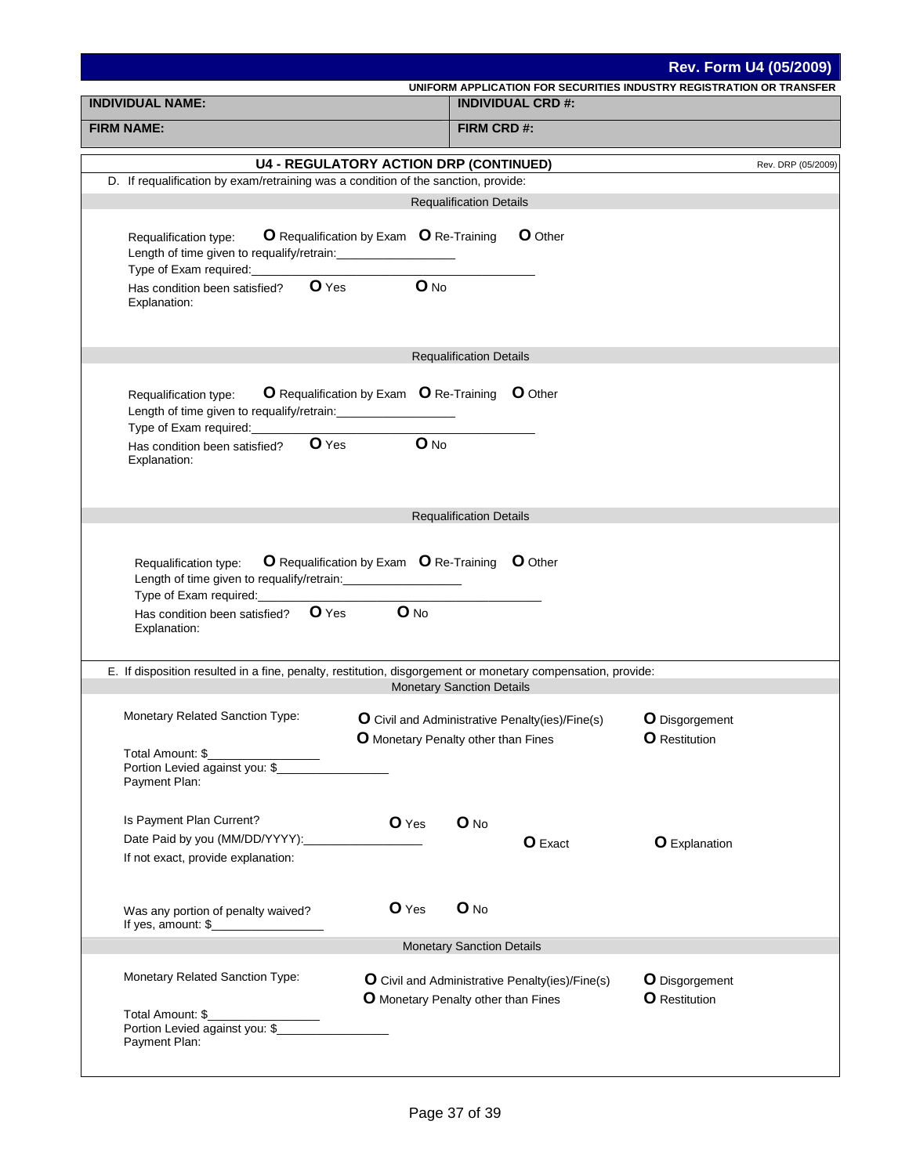|                                                                                                                                                                                                                                                                                                                                                               |                                                                                                                                                 | <b>Rev. Form U4 (05/2009)</b>          |
|---------------------------------------------------------------------------------------------------------------------------------------------------------------------------------------------------------------------------------------------------------------------------------------------------------------------------------------------------------------|-------------------------------------------------------------------------------------------------------------------------------------------------|----------------------------------------|
| <b>INDIVIDUAL NAME:</b>                                                                                                                                                                                                                                                                                                                                       | UNIFORM APPLICATION FOR SECURITIES INDUSTRY REGISTRATION OR TRANSFER<br><b>INDIVIDUAL CRD #:</b>                                                |                                        |
| <b>FIRM NAME:</b>                                                                                                                                                                                                                                                                                                                                             | FIRM CRD#:                                                                                                                                      |                                        |
|                                                                                                                                                                                                                                                                                                                                                               |                                                                                                                                                 |                                        |
|                                                                                                                                                                                                                                                                                                                                                               | <b>U4 - REGULATORY ACTION DRP (CONTINUED)</b>                                                                                                   | Rev. DRP (05/2009)                     |
| D. If requalification by exam/retraining was a condition of the sanction, provide:                                                                                                                                                                                                                                                                            |                                                                                                                                                 |                                        |
|                                                                                                                                                                                                                                                                                                                                                               | <b>Requalification Details</b>                                                                                                                  |                                        |
| Requalification type:<br>Length of time given to requalify/retrain:                                                                                                                                                                                                                                                                                           | <b>O</b> Requalification by Exam <b>O</b> Re-Training<br><b>O</b> Other                                                                         |                                        |
| Has condition been satisfied?<br>Explanation:                                                                                                                                                                                                                                                                                                                 | $O$ Yes<br>$O$ No                                                                                                                               |                                        |
|                                                                                                                                                                                                                                                                                                                                                               | <b>Requalification Details</b>                                                                                                                  |                                        |
| Requalification type:<br>Length of time given to requalify/retrain:<br>Type of Exam required:                                                                                                                                                                                                                                                                 | <b>O</b> Requalification by Exam <b>O</b> Re-Training <b>O</b> Other                                                                            |                                        |
| Has condition been satisfied?<br>Explanation:                                                                                                                                                                                                                                                                                                                 | $O$ Yes<br>$O$ No                                                                                                                               |                                        |
|                                                                                                                                                                                                                                                                                                                                                               |                                                                                                                                                 |                                        |
|                                                                                                                                                                                                                                                                                                                                                               | <b>Requalification Details</b>                                                                                                                  |                                        |
| Requalification type:<br>Length of time given to requalify/retrain:<br>Type of Exam required:<br><u>Interact of</u> the state of the state of the state of the state of the state of the state of the state of the state of the state of the state of the state of the state of the state of the state of th<br>Has condition been satisfied?<br>Explanation: | O Requalification by Exam O Re-Training O Other<br>$O$ Yes<br>$O$ No                                                                            |                                        |
|                                                                                                                                                                                                                                                                                                                                                               | E. If disposition resulted in a fine, penalty, restitution, disgorgement or monetary compensation, provide:<br><b>Monetary Sanction Details</b> |                                        |
|                                                                                                                                                                                                                                                                                                                                                               |                                                                                                                                                 |                                        |
| Monetary Related Sanction Type:                                                                                                                                                                                                                                                                                                                               | O Civil and Administrative Penalty(ies)/Fine(s)<br><b>O</b> Monetary Penalty other than Fines                                                   | <b>O</b> Disgorgement                  |
| Total Amount: \$<br>Portion Levied against you: \$<br>Payment Plan:                                                                                                                                                                                                                                                                                           |                                                                                                                                                 | <b>O</b> Restitution                   |
| Is Payment Plan Current?                                                                                                                                                                                                                                                                                                                                      | O Yes<br>O No                                                                                                                                   |                                        |
| Date Paid by you (MM/DD/YYYY):                                                                                                                                                                                                                                                                                                                                | <b>O</b> Exact                                                                                                                                  | <b>O</b> Explanation                   |
| If not exact, provide explanation:                                                                                                                                                                                                                                                                                                                            |                                                                                                                                                 |                                        |
| Was any portion of penalty waived?<br>If yes, amount: $\frac{1}{2}$                                                                                                                                                                                                                                                                                           | O Yes<br>$O$ No                                                                                                                                 |                                        |
|                                                                                                                                                                                                                                                                                                                                                               | <b>Monetary Sanction Details</b>                                                                                                                |                                        |
| Monetary Related Sanction Type:                                                                                                                                                                                                                                                                                                                               | O Civil and Administrative Penalty(ies)/Fine(s)<br>O Monetary Penalty other than Fines                                                          | O Disgorgement<br><b>O</b> Restitution |
| Total Amount: \$<br>Portion Levied against you: \$<br>Payment Plan:                                                                                                                                                                                                                                                                                           |                                                                                                                                                 |                                        |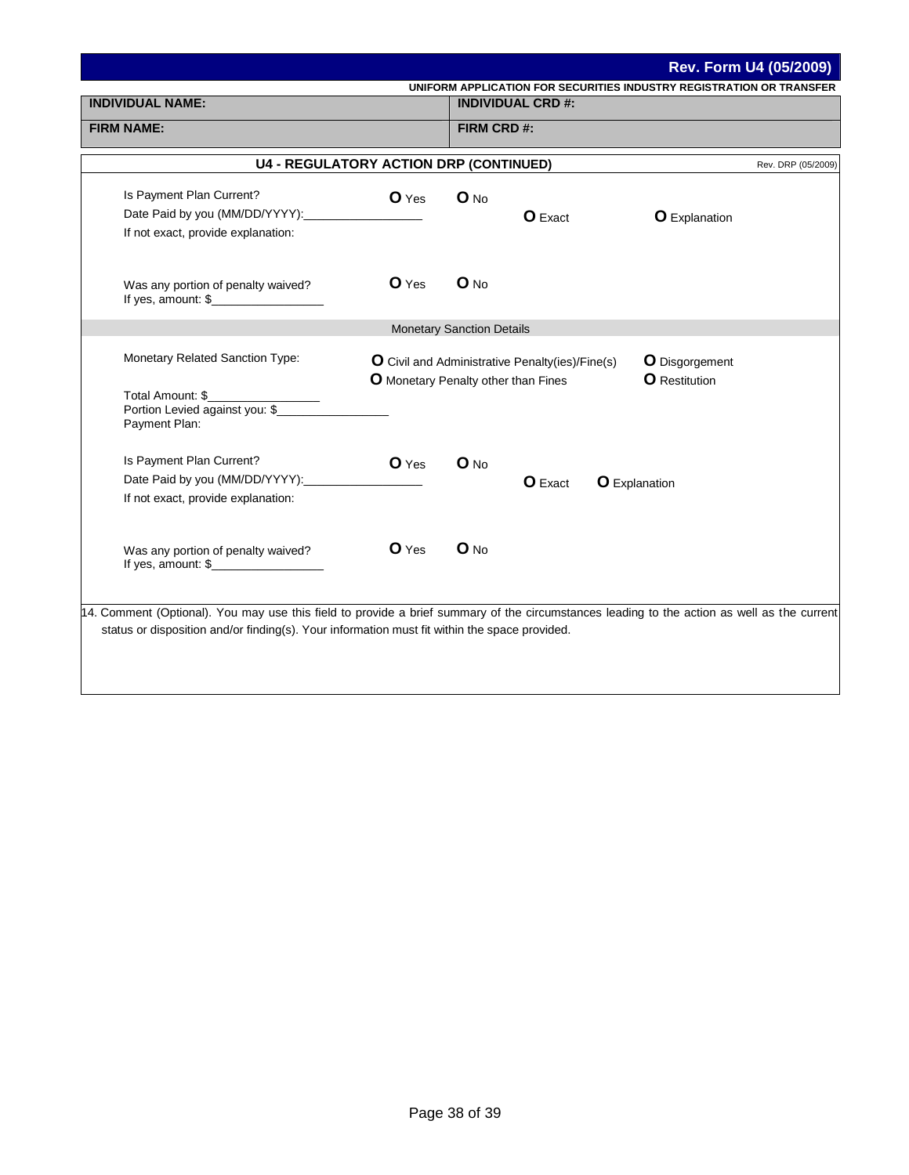| Rev. Form U4 (05/2009)                                                                                                                                                                                                                       |         |                                  |                          |                                                                      |  |
|----------------------------------------------------------------------------------------------------------------------------------------------------------------------------------------------------------------------------------------------|---------|----------------------------------|--------------------------|----------------------------------------------------------------------|--|
| <b>INDIVIDUAL NAME:</b>                                                                                                                                                                                                                      |         |                                  | <b>INDIVIDUAL CRD #:</b> | UNIFORM APPLICATION FOR SECURITIES INDUSTRY REGISTRATION OR TRANSFER |  |
|                                                                                                                                                                                                                                              |         |                                  |                          |                                                                      |  |
| <b>FIRM NAME:</b>                                                                                                                                                                                                                            |         | FIRM CRD #:                      |                          |                                                                      |  |
| <b>U4 - REGULATORY ACTION DRP (CONTINUED)</b>                                                                                                                                                                                                |         |                                  |                          | Rev. DRP (05/2009)                                                   |  |
| Is Payment Plan Current?                                                                                                                                                                                                                     | O Yes   | $O$ No                           |                          |                                                                      |  |
|                                                                                                                                                                                                                                              |         |                                  | <b>O</b> Exact           | <b>O</b> Explanation                                                 |  |
| If not exact, provide explanation:                                                                                                                                                                                                           |         |                                  |                          |                                                                      |  |
| Was any portion of penalty waived?                                                                                                                                                                                                           | $O$ Yes | O No                             |                          |                                                                      |  |
|                                                                                                                                                                                                                                              |         | <b>Monetary Sanction Details</b> |                          |                                                                      |  |
| Monetary Related Sanction Type:<br>O Civil and Administrative Penalty(ies)/Fine(s)<br><b>O</b> Disgorgement<br><b>O</b> Restitution<br><b>O</b> Monetary Penalty other than Fines                                                            |         |                                  |                          |                                                                      |  |
| Total Amount: \$<br>Portion Levied against you: \$<br>Payment Plan:                                                                                                                                                                          |         |                                  |                          |                                                                      |  |
| Is Payment Plan Current?                                                                                                                                                                                                                     | O Yes   | $O$ No                           |                          |                                                                      |  |
| Date Paid by you (MM/DD/YYYY):                                                                                                                                                                                                               |         |                                  | <b>O</b> Exact           | <b>O</b> Explanation                                                 |  |
| If not exact, provide explanation:                                                                                                                                                                                                           |         |                                  |                          |                                                                      |  |
| Was any portion of penalty waived?<br>If yes, amount: $\frac{1}{2}$ [100]                                                                                                                                                                    | $O$ Yes | $O$ No                           |                          |                                                                      |  |
| 14. Comment (Optional). You may use this field to provide a brief summary of the circumstances leading to the action as well as the current<br>status or disposition and/or finding(s). Your information must fit within the space provided. |         |                                  |                          |                                                                      |  |